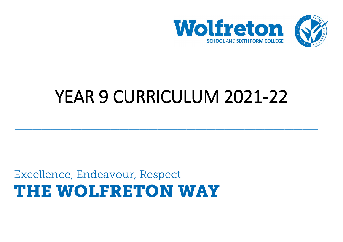



# YEAR 9 CURRICULUM 2021-22

\_\_\_\_\_\_\_\_\_\_\_\_\_\_\_\_\_\_\_\_\_\_\_\_\_\_\_\_\_\_\_\_\_\_\_\_\_\_\_\_\_\_\_\_\_\_\_\_\_\_\_\_\_\_\_\_\_\_\_\_\_\_\_\_\_\_\_\_\_\_\_\_\_\_\_\_\_\_\_\_\_\_\_\_\_\_\_\_\_\_\_\_\_\_\_\_\_\_\_\_\_\_\_\_\_\_\_\_\_\_\_\_\_\_\_\_\_\_\_\_\_\_\_\_\_\_\_\_\_\_\_\_\_\_\_\_

# Excellence, Endeavour, Respect THE WOLFRETON WAY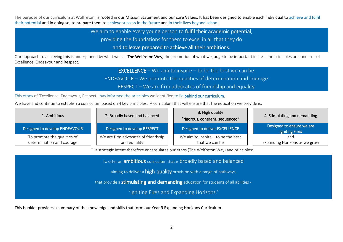The purpose of our curriculum at Wolfreton, is rooted in our Mission Statement and our core Values. It has been designed to enable each individual to achieve and fulfil their potential and in doing so, to prepare them to achieve success in the future and in their lives beyond school.

We aim to enable every young person to fulfil their academic potential,

providing the foundations for them to excel in all that they do

and to leave prepared to achieve all their ambitions.

Our approach to achieving this is underpinned by what we call The Wolfreton Way; the promotion of what we judge to be important in life – the principles or standards of Excellence, Endeavour and Respect.

> **EXCELLENCE** – We aim to inspire – to be the best we can be ENDEAVOUR – We promote the qualities of determination and courage

RESPECT – We are firm advocates of friendship and equality

This ethos of 'Excellence, Endeavour, Respect', has informed the principles we identified to lie behind our curriculum.

We have and continue to establish a curriculum based on 4 key principles. A curriculum that will ensure that the education we provide is:

| 1. Ambitious                                             | 2. Broadly based and balanced                       | 3. High quality<br>"rigorous, coherent, sequenced"     | 4. Stimulating and demanding                       |
|----------------------------------------------------------|-----------------------------------------------------|--------------------------------------------------------|----------------------------------------------------|
| Designed to develop ENDEAVOUR                            | Designed to develop RESPECT                         | Designed to deliver EXCELLENCE                         | Designed to ensure we are<br><b>Igniting Fires</b> |
| To promote the qualities of<br>determination and courage | We are firm advocates of friendship<br>and equality | We aim to inspire $-$ to be the best<br>that we can be | and<br>Expanding Horizons as we grow               |

Our strategic intent therefore encapsulates our ethos (The Wolfreton Way) and principles:

To offer an **ambitious** curriculum that is broadly based and balanced

aiming to deliver a **high-quality** provision with a range of pathways

that provide a stimulating and demanding education for students of all abilities -

'Igniting Fires and Expanding Horizons.'

This booklet provides a summary of the knowledge and skills that form our Year 9 Expanding Horizons Curriculum.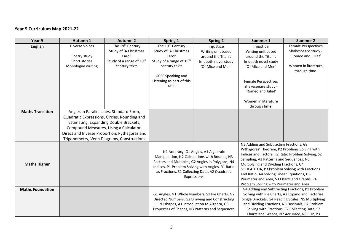## **Year 9 Curriculum Map 2021-22**

| Year 9                  | Autumn 1                                      | <b>Autumn 2</b>                            | Spring 1                                       | <b>Spring 2</b>                                               | Summer 1                                          | <b>Summer 2</b>                                    |
|-------------------------|-----------------------------------------------|--------------------------------------------|------------------------------------------------|---------------------------------------------------------------|---------------------------------------------------|----------------------------------------------------|
| <b>English</b>          | Diverse Voices                                | The 19 <sup>th</sup> Century               | The 19 <sup>th</sup> Century                   | Injustice                                                     | Injustice                                         | <b>Female Perspectives</b>                         |
|                         |                                               | Study of 'A Christmas                      | Study of 'A Christmas                          | Writing unit based                                            | Writing unit based                                | Shakespeare study -                                |
|                         | Poetry study                                  | Carol'                                     | Carol'                                         | around the Titanic                                            | around the Titanic                                | 'Romeo and Juliet'                                 |
|                         | Short stories                                 | Study of a range of 19th                   | Study of a range of 19th                       | In-depth novel study                                          | In-depth novel study                              |                                                    |
|                         | Monologue writing                             | century texts                              | century texts                                  | 'Of Mice and Men'                                             | 'Of Mice and Men'                                 | Women in literature                                |
|                         |                                               |                                            |                                                |                                                               |                                                   | through time.                                      |
|                         |                                               |                                            | <b>GCSE Speaking and</b>                       |                                                               |                                                   |                                                    |
|                         |                                               |                                            | Listening as part of this                      |                                                               | <b>Female Perspectives</b>                        |                                                    |
|                         |                                               |                                            | unit                                           |                                                               | Shakespeare study -                               |                                                    |
|                         |                                               |                                            |                                                |                                                               | 'Romeo and Juliet'                                |                                                    |
|                         |                                               |                                            |                                                |                                                               | Women in literature                               |                                                    |
|                         |                                               |                                            |                                                |                                                               | through time.                                     |                                                    |
| <b>Maths Transition</b> |                                               | Angles in Parallel Lines, Standard Form,   |                                                |                                                               |                                                   |                                                    |
|                         | Quadratic Expressions, Circles, Rounding and  |                                            |                                                |                                                               |                                                   |                                                    |
|                         | Estimating, Expanding Double Brackets,        |                                            |                                                |                                                               |                                                   |                                                    |
|                         | Compound Measures, Using a Calculator,        |                                            |                                                |                                                               |                                                   |                                                    |
|                         | Direct and Inverse Proportion, Pythagoras and |                                            |                                                |                                                               |                                                   |                                                    |
|                         |                                               | Trigonometry, Venn Diagrams, Constructions |                                                |                                                               |                                                   |                                                    |
|                         |                                               |                                            |                                                |                                                               | N5 Adding and Subtracting Fractions, G3           |                                                    |
|                         |                                               |                                            |                                                |                                                               | Pythagoras' Theorem, P2 Problems Solving with     |                                                    |
|                         |                                               |                                            |                                                | N1 Accuracy, G1 Angles, A1 Algebraic                          | Indices and Factors, R2 Ratio Problem Solving, S2 |                                                    |
|                         |                                               |                                            |                                                | Manipulation, N2 Calculations with Bounds, N3                 | Sampling, A3 Patterns and Sequences, N6           |                                                    |
| <b>Maths Higher</b>     |                                               |                                            |                                                | Factors and Multiples, G2 Angles in Polygons, N4              | Multiplying and Dividing Fractions, G4            |                                                    |
|                         |                                               |                                            |                                                | Indices, P1 Problem Solving with Angles, R1 Ratio             | SOHCAHTOA, P3 Problem Solving with Fractions      |                                                    |
|                         |                                               |                                            |                                                | as Fractions, S1 Collecting Data, A2 Quadratic<br>Expressions | and Ratio, A4 Solving Linear Equations, G5        |                                                    |
|                         |                                               |                                            |                                                |                                                               | Perimeter and Area, S3 Charts and Graphs, P4      |                                                    |
|                         |                                               |                                            |                                                |                                                               | Problem Solving with Perimeter and Area           |                                                    |
| <b>Maths Foundation</b> |                                               |                                            |                                                |                                                               |                                                   | N4 Adding and Subtracting Fractions, P1 Problem    |
|                         |                                               |                                            | G1 Angles, N1 Whole Numbers, S1 Pie Charts, N2 |                                                               |                                                   | Solving with Pie Charts, A2 Expand and Factorise   |
|                         |                                               |                                            |                                                | Directed Numbers, G2 Drawing and Constructing                 |                                                   | Single Brackets, G4 Reading Scales, N5 Multiplying |
|                         |                                               |                                            |                                                | 2D shapes, A1 Introduction to Algebra, G3                     |                                                   | and Dividing Fractions, N6 Decimals, P2 Problem    |
|                         |                                               |                                            |                                                | Properties of Shapes, N3 Patterns and Sequences               |                                                   | Solving with Fractions, S2 Collecting Data, S3     |
|                         |                                               |                                            |                                                |                                                               |                                                   | Charts and Graphs, N7 Accuracy, N8 FDP, P3         |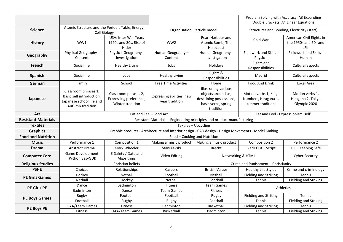|                            |                                                                                                  |                                                                    |                                                                                                    |                                                                                                           |                                                                    | Problem Solving with Accuracy, A3 Expanding<br>Double Brackets, A4 Linear Equations |
|----------------------------|--------------------------------------------------------------------------------------------------|--------------------------------------------------------------------|----------------------------------------------------------------------------------------------------|-----------------------------------------------------------------------------------------------------------|--------------------------------------------------------------------|-------------------------------------------------------------------------------------|
| <b>Science</b>             | Atomic Structure and the Periodic Table, Energy,<br>Cell Biology                                 |                                                                    | Organisation, Particle model                                                                       |                                                                                                           |                                                                    | Structures and Bonding, Electricity (start)                                         |
| <b>History</b>             | WW1                                                                                              | <b>USA: Inter War Years</b><br>1920s and 30s, Rise of<br>Hitler    | WW <sub>2</sub>                                                                                    | Pearl Harbour and<br>Atomic Bomb, The<br>Holocaust                                                        | Cold War                                                           | American Civil Rights in<br>the 1950s and 60s and<br><b>JFK</b>                     |
| Geography                  | Physical Geography -<br>Content                                                                  | Physical Geography -<br>Investigation                              | $\overline{H}$ uman Geography –<br>Content                                                         | Human Geography -<br>Investigation                                                                        | Fieldwork and Skills -<br>Physical                                 | Fieldwork and Skills -<br>Human                                                     |
| French                     | Social life                                                                                      | <b>Healthy Living</b>                                              | Jobs                                                                                               | Holidays                                                                                                  | Rights and<br>Responsibilities                                     | Cultural aspects                                                                    |
| Spanish                    | Social life                                                                                      | Jobs                                                               | <b>Healthy Living</b>                                                                              | Rights &<br>Responsibilities                                                                              | Madrid                                                             | Cultural aspects                                                                    |
| German                     | Family                                                                                           | School                                                             | <b>Free Time Activities</b>                                                                        | Home                                                                                                      | Food And Drink                                                     | Local Area                                                                          |
| Japanese                   | Classroom phrases 1,<br>Basic self introduction,<br>Japanese school life and<br>Autumn tradition | Classroom phrases 2,<br>Expressing preference,<br>Winter tradition | Expressing abilities, new<br>year tradition                                                        | Illustrating various<br>objects around us,<br>describing possessions,<br>basic verbs, spring<br>tradition | Motion verbs 1, Kanji<br>Numbers, Hiragana 1,<br>summer traditions | Motion verbs 1,<br>Hiragana 2, Tokyo<br>Olympic 2020                                |
| <b>Art</b>                 |                                                                                                  |                                                                    | Eat and Feel - Food Art                                                                            |                                                                                                           |                                                                    | Eat and Feel - Expressionism 'self'                                                 |
| <b>Resistant Materials</b> |                                                                                                  |                                                                    | Resistant Materials - Engineering principles and product manufacturing                             |                                                                                                           |                                                                    |                                                                                     |
| <b>Textiles</b>            |                                                                                                  |                                                                    | Textiles - Upcycling                                                                               |                                                                                                           |                                                                    |                                                                                     |
| <b>Graphics</b>            |                                                                                                  |                                                                    | Graphic products - Architecture and Interior design - CAD design - Design Movements - Model Making |                                                                                                           |                                                                    |                                                                                     |
| <b>Food and Nutrition</b>  |                                                                                                  |                                                                    | Food - Cooking and Nutrition                                                                       |                                                                                                           |                                                                    |                                                                                     |
| <b>Music</b>               | Performance 1                                                                                    | Composition 1                                                      | Making a music product                                                                             | Making a music product                                                                                    | Composition 2                                                      | Performance 2                                                                       |
| <b>Drama</b>               | <b>Abstract Drama</b>                                                                            | Mark Wheeler                                                       | Stanislavski                                                                                       | <b>Brecht</b>                                                                                             | Black Out - Script                                                 | TIE - Keeping Safe                                                                  |
| <b>Computer Core</b>       | Game Development<br>(Python EasyGUI)                                                             | E-Safety / Data and<br>Algorithms                                  | Video Editing                                                                                      | Networking & HTML                                                                                         |                                                                    | <b>Cyber Security</b>                                                               |
| <b>Religious Studies</b>   |                                                                                                  | Christian beliefs                                                  |                                                                                                    |                                                                                                           | Crime and Punishment - Christianity                                |                                                                                     |
| <b>PSHE</b>                | Choices                                                                                          | Relationships                                                      | Careers                                                                                            | <b>British Values</b>                                                                                     | <b>Healthy Life Styles</b>                                         | Crime and criminology                                                               |
| <b>PE Girls Games</b>      | Hockey                                                                                           | Netball                                                            | Football                                                                                           | Netball                                                                                                   | Fielding and Striking                                              | Tennis                                                                              |
|                            | Netball                                                                                          | Hockey                                                             | Netball                                                                                            | Football                                                                                                  | Tennis                                                             | <b>Fielding and Striking</b>                                                        |
| <b>PE Girls PE</b>         | Dance<br>Badminton                                                                               | Badminton<br>Dance                                                 | <b>Fitness</b><br><b>Team Games</b>                                                                | <b>Team Games</b><br><b>Athletics</b><br>Fitness                                                          |                                                                    |                                                                                     |
|                            | Rugby                                                                                            | Football                                                           | Football                                                                                           | Rugby                                                                                                     | <b>Fielding and Striking</b>                                       | Tennis                                                                              |
| <b>PE Boys Games</b>       | Football                                                                                         | Rugby                                                              | Rugby                                                                                              | Football                                                                                                  | Tennis                                                             | <b>Fielding and Striking</b>                                                        |
| PE Boys PE                 | <b>OAA/Team Games</b>                                                                            | <b>Fitness</b>                                                     | <b>Badminton</b>                                                                                   | Basketball                                                                                                | <b>Fielding and Striking</b>                                       | <b>Tennis</b>                                                                       |
|                            | <b>Fitness</b>                                                                                   | <b>OAA/Team Games</b>                                              | Basketball                                                                                         | <b>Badminton</b>                                                                                          | Tennis                                                             | <b>Fielding and Striking</b>                                                        |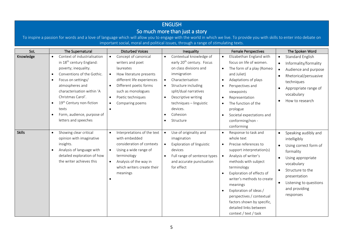## ENGLISH So much more than just a story

To inspire a passion for words and a love of language which will allow you to engage with the world in which we live. To provide you with skills to enter into debate on important social, moral and political issues, through a range of stimulating texts.

| SoL           | The Supernatural                          | <b>Disturbed Voices</b>              | Inequality                            | <b>Female Perspectives</b>             | The Spoken Word                    |
|---------------|-------------------------------------------|--------------------------------------|---------------------------------------|----------------------------------------|------------------------------------|
| Knowledge     | Context of industrialisation<br>$\bullet$ | Concept of canonical<br>$\bullet$    | Contextual knowledge of<br>$\bullet$  | Elizabethan England with               | Standard English<br>$\bullet$      |
|               | in 18 <sup>th</sup> century England:      | writers and poet                     | early 20 <sup>th</sup> century. Focus | focus on life of women.                | Informality/formality              |
|               | poverty; inequality.                      | laureates                            | on class divisions and                | The form of a play (Romeo<br>$\bullet$ | Audience and purpose               |
|               | Conventions of the Gothic.                | How literature presents<br>$\bullet$ | immigration                           | and Juliet)                            | Rhetorical/persuasive              |
|               | Focus on settings/<br>$\bullet$           | different life experiences           | Characterisation<br>$\bullet$         | Adaptations of plays<br>$\bullet$      | techniques                         |
|               | atmospheres and                           | Different poetic forms<br>$\bullet$  | Structure including                   | Perspectives and                       | Appropriate range of               |
|               | characterisation within 'A                | such as monologues                   | split/dual narratives                 | viewpoints                             | vocabulary                         |
|               | Christmas Carol'.                         | Poetic techniques<br>$\bullet$       | Descriptive writing<br>$\bullet$      | Representation<br>$\bullet$            |                                    |
|               | 19 <sup>th</sup> Century non-fiction      | Comparing poems<br>$\bullet$         | techniques - linguistic               | The function of the<br>$\bullet$       | How to research                    |
|               | texts                                     |                                      | devices.                              | prologue                               |                                    |
|               | Form, audience, purpose of                |                                      | Cohesion                              | Societal expectations and<br>$\bullet$ |                                    |
|               | letters and speeches                      |                                      | Structure<br>$\bullet$                | conforming/non -                       |                                    |
|               |                                           |                                      |                                       | conforming                             |                                    |
| <b>Skills</b> | Showing clear critical<br>$\bullet$       | Interpretations of the text          | Use of originality and<br>$\bullet$   | Response to task and<br>$\bullet$      | Speaking audibly and<br>$\bullet$  |
|               | opinion with imaginative                  | with embedded                        | imagination                           | whole text                             | intelligibly                       |
|               | insights.                                 | consideration of contexts            | Exploration of linguistic             | Precise references to                  | Using correct form of<br>$\bullet$ |
|               | Analysis of language with                 | Using a wide range of<br>$\bullet$   | devices                               | support interpretation(s)              | formality                          |
|               | detailed exploration of how               | terminology                          | Full range of sentence types          | Analysis of writer's                   | Using appropriate                  |
|               | the writer achieves this                  | Analysis of the way in<br>$\bullet$  | and accurate punctuation              | methods with subject                   | vocabulary                         |
|               |                                           | which writers create their           | for effect                            | terminology                            | Structure to the                   |
|               |                                           | meanings                             |                                       | Exploration of effects of              | presentation                       |
|               |                                           |                                      |                                       | writer's methods to create             |                                    |
|               |                                           |                                      |                                       | meanings                               | Listening to questions             |
|               |                                           |                                      |                                       | Exploration of ideas /<br>$\bullet$    | and providing                      |
|               |                                           |                                      |                                       | perspectives / contextual              | responses                          |
|               |                                           |                                      |                                       | factors shown by specific,             |                                    |
|               |                                           |                                      |                                       | detailed links between                 |                                    |
|               |                                           |                                      |                                       | context / text / task                  |                                    |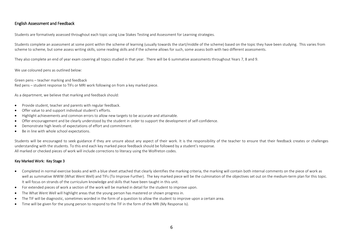#### English Assessment and Feedback

Students are formatively assessed throughout each topic using Low Stakes Testing and Assessment for Learning strategies.

Students complete an assessment at some point within the scheme of learning (usually towards the start/middle of the scheme) based on the topic they have been studying. This varies from scheme to scheme, but some assess writing skills, some reading skills and if the scheme allows for such, some assess both with two different assessments.

They also complete an end of year exam covering all topics studied in that year.  There will be 6 summative assessments throughout Years 7, 8 and 9.

We use coloured pens as outlined below:

Green pens – teacher marking and feedback Red pens – student response to TIFs or MRI work following on from a key marked piece.

As a department, we believe that marking and feedback should:

- Provide student, teacher and parents with regular feedback.
- Offer value to and support individual student's efforts.
- Highlight achievements and common errors to allow new targets to be accurate and attainable.
- Offer encouragement and be clearly understood by the student in order to support the development of self-confidence.
- Demonstrate high levels of expectations of effort and commitment.
- Be in line with whole school expectations.

Students will be encouraged to seek guidance if they are unsure about any aspect of their work. It is the responsibility of the teacher to ensure that their feedback creates or challenges understanding with the students. To this end each key marked piece feedback should be followed by a student's response. All marked or checked pieces of work will include corrections to literacy using the Wolfreton codes.

#### Key Marked Work: Key Stage 3

- Completed in normal exercise books and with a blue sheet attached that clearly identifies the marking criteria, the marking will contain both internal comments on the piece of work as well as summative WWW (What Went Well) and TIFs (To Improve Further). The key marked piece will be the culmination of the objectives set out on the medium-term plan for this topic. It will focus on strands of the curriculum knowledge and skills that have been taught in this unit.
- For extended pieces of work a section of the work will be marked in detail for the student to improve upon.
- The What Went Well will highlight areas that the young person has mastered or shown progress in.
- The TIF will be diagnostic, sometimes worded in the form of a question to allow the student to improve upon a certain area.
- Time will be given for the young person to respond to the TIF in the form of the MRI (My Response Is).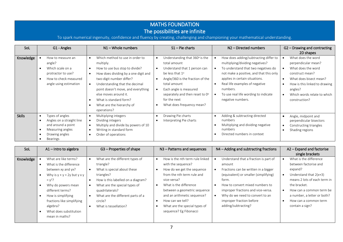# MATHS FOUNDATION

# The possibilities are infinite

To spark numerical ingenuity, confidence and fluency by creating, challenging and championing your mathematical understanding.

| SoL           | G1 - Angles                                                                                                              | $N1 -$ Whole numbers                                                                                                                                                                                                                                                                                                      | $S1$ – Pie charts                                                                                                                                                                                                                                               | N <sub>2</sub> - Directed numbers                                                                                                                                                                                                                                                                       | G2 - Drawing and contracting                                                                                                                                                                                                                                 |
|---------------|--------------------------------------------------------------------------------------------------------------------------|---------------------------------------------------------------------------------------------------------------------------------------------------------------------------------------------------------------------------------------------------------------------------------------------------------------------------|-----------------------------------------------------------------------------------------------------------------------------------------------------------------------------------------------------------------------------------------------------------------|---------------------------------------------------------------------------------------------------------------------------------------------------------------------------------------------------------------------------------------------------------------------------------------------------------|--------------------------------------------------------------------------------------------------------------------------------------------------------------------------------------------------------------------------------------------------------------|
|               |                                                                                                                          |                                                                                                                                                                                                                                                                                                                           |                                                                                                                                                                                                                                                                 |                                                                                                                                                                                                                                                                                                         | 2D shapes                                                                                                                                                                                                                                                    |
| Knowledge     | How to measure an<br>angle?<br>Which scale on a<br>protractor to use?<br>How to check measured<br>angle using estimation | Which method to use in order to<br>multiply.<br>How to use bus stop to divide?<br>How does dividing by a one digit and<br>two-digit number differ?<br>Understanding that the decimal<br>point doesn't move, and everything<br>else moves around it.<br>What is standard form?<br>What are the hierarchy of<br>operations? | Understanding that 360° is the<br>total amount<br>Understand that 1 person can<br>be less that 1°<br>Angle/360 is the fraction of the<br>total amount<br>Each angle is measured<br>separately and then reset to 0°<br>for the next<br>What does frequency mean? | How does adding/subtracting differ to<br>multiplying/dividing negatives?<br>To understand that two negatives do<br>not make a positive, and that this only<br>applies in certain situations.<br>Real life examples of negative<br>numbers.<br>To use real life wording to indicate<br>negative numbers. | What does the word<br>perpendicular mean?<br>What does the word<br>$\bullet$<br>construct mean?<br>What does bisect mean?<br>$\bullet$<br>How is this linked to drawing<br>$\bullet$<br>angles?<br>Which words relate to which<br>$\bullet$<br>construction? |
| <b>Skills</b> | Types of angles<br>Angles on a straight line<br>and around a point<br>Measuring angles<br>Drawing angles<br>Bearings     | Multiplying integers<br>Dividing integers<br>Multiply and divide by powers of 10<br>Writing in standard form<br>Order of operations<br>$\bullet$                                                                                                                                                                          | Drawing Pie charts<br>Interpreting Pie charts                                                                                                                                                                                                                   | Adding & subtracting directed<br>numbers<br>Multiplying and dividing negative<br>numbers<br>Directed numbers in context                                                                                                                                                                                 | Angle, midpoint and<br>$\bullet$<br>perpendicular bisectors<br>Constructing triangles<br>$\bullet$<br>Shading regions<br>$\bullet$                                                                                                                           |

| SoL       | $A1$ – Intro to algebra              | G3 - Properties of shape           | N3 - Patterns and sequences     | $N4$ – Adding and subtracting fractions | A2 - Expand and factorise             |
|-----------|--------------------------------------|------------------------------------|---------------------------------|-----------------------------------------|---------------------------------------|
|           |                                      |                                    |                                 |                                         | single brackets                       |
| Knowledge | What are like terms?                 | What are the different types of    | How is the nth term rule linked | Understand that a fraction is part of   | What is the difference                |
|           | What is the difference               | triangle?                          | with the sequence?              | amount                                  | between factorise and                 |
|           | between xy and yx?                   | What is special about these        | How do we get the sequence      | Fractions can be written in a bigger    | expand?                               |
|           | Why is $y + y = 2y$ but $y \times y$ | triangles?                         | from the nth term rule and      | (equivalent) or smaller (simplifying)   | Understand that $2(x+3)$<br>$\bullet$ |
|           | $= v2$ ?                             | How is this labelled on a diagram? | vice-versa?                     | form.                                   | means 2 lots of each term in          |
|           | Why do powers mean                   | What are the special types of      | What is the difference          | How to convert mixed numbers to         | the bracket.                          |
|           | different terms?                     | quadrilaterals?                    | between a geometric sequence    | improper fractions and vice-versa.      | How can a common term be<br>$\bullet$ |
|           | How is simplifying                   | What are the different parts of a  | and an arithmetic sequence?     | Why do we need to convert to an         | a number, a letter or both?           |
|           | fractions like simplifying           | circle?                            | How can we tell?                | improper fraction before                | How can a common term                 |
|           | algebra?                             | What is tessellation?              | What are the special types of   | adding/subtracting?                     | contain a sign?                       |
|           | What does substitution               |                                    | sequence? Eg Fibonacci          |                                         |                                       |
|           | mean in maths?                       |                                    |                                 |                                         |                                       |
|           |                                      |                                    |                                 |                                         |                                       |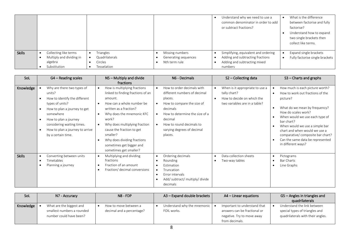|               |                                                                              |                                                       |                                                          | Understand why we need to use a<br>common denominator in order to add<br>or subtract fractions?                     | What is the difference<br>between factorise and fully<br>factorise?<br>Understand how to expand<br>two single brackets then<br>collect like terms. |
|---------------|------------------------------------------------------------------------------|-------------------------------------------------------|----------------------------------------------------------|---------------------------------------------------------------------------------------------------------------------|----------------------------------------------------------------------------------------------------------------------------------------------------|
| <b>Skills</b> | Collecting like terms<br>Multiply and dividing in<br>algebra<br>Substitution | Triangles<br>Quadrilaterals<br>Circles<br>Tesselation | Missing numbers<br>Generating sequences<br>Nth term rule | Simplifying, equivalent and ordering<br>Adding and subtracting fractions<br>Adding and subtracting mixed<br>numbers | Expand single brackets<br>Fully factorise single brackets                                                                                          |

| SoL           | G4 - Reading scales                                                                                                                                                                                                                                                | $NS -$ Multiply and divide<br>fractions                                                                                                                                                                                                                                                                                                                            | N6 - Decimals                                                                                                                                                                                                                     | $S2$ – Collecting data                                                                                                      | $S3$ – Charts and graphs                                                                                                                                                                                                                                                                                                                                  |
|---------------|--------------------------------------------------------------------------------------------------------------------------------------------------------------------------------------------------------------------------------------------------------------------|--------------------------------------------------------------------------------------------------------------------------------------------------------------------------------------------------------------------------------------------------------------------------------------------------------------------------------------------------------------------|-----------------------------------------------------------------------------------------------------------------------------------------------------------------------------------------------------------------------------------|-----------------------------------------------------------------------------------------------------------------------------|-----------------------------------------------------------------------------------------------------------------------------------------------------------------------------------------------------------------------------------------------------------------------------------------------------------------------------------------------------------|
| Knowledge     | Why are there two types of<br>units?<br>How to identify the different<br>types of units?<br>How to plan a journey to get<br>somewhere<br>How to plan a journey<br>$\bullet$<br>considering waiting times.<br>How to plan a journey to arrive<br>by a certain time. | How is multiplying fractions<br>linked to finding fractions of an<br>amount.<br>How can a whole number be<br>written as a fraction?<br>Why does the mnemonic KFC<br>$\bullet$<br>work?<br>Why does multiplying fraction<br>$\bullet$<br>cause the fraction to get<br>smaller?<br>Why does dividing fractions<br>sometimes get bigger and<br>sometimes get smaller? | How to order decimals with<br>different numbers of decimal<br>places.<br>How to compare the size of<br>decimals<br>How to determine the size of a<br>decimal<br>How to round decimals to<br>varying degrees of decimal<br>places. | When is it appropriate to use a<br>tally chart?<br>How to decide on which the<br>$\bullet$<br>two variables are in a table? | How much is each picture worth?<br>How to work out fractions of the<br>picture?<br>What do we mean by frequency?<br>How do scales work?<br>When would we use each type of<br>bar chart?<br>When would we use a simple bar<br>chart and when would we use a<br>comparative/ composite bar chart?<br>Can the same data be represented<br>in different ways? |
| <b>Skills</b> | Converting between units<br>Timetables<br>Planning a journey                                                                                                                                                                                                       | Multiplying and dividing<br>$\bullet$<br>fractions<br>Fraction of an amount<br>$\bullet$<br>Fraction/ decimal conversions<br>$\bullet$                                                                                                                                                                                                                             | Ordering decimals<br>$\bullet$<br>Rounding<br>Estimation<br>Truncation<br>$\bullet$<br>Error intervals<br>Add/ subtract/ multiply/ divide<br>decimals                                                                             | Data collection sheets<br>Two-way tables                                                                                    | Pictograms<br><b>Bar Charts</b><br>Line Graphs                                                                                                                                                                                                                                                                                                            |

| SoL       | N7 - Accuracy                                                                     | $NS - FDP$                                         | A3 - Expand double brackets                            | $AA$ – Linear equations                                                                                      | G5 – Angles in triangles and<br>quadrilaterals                                                     |
|-----------|-----------------------------------------------------------------------------------|----------------------------------------------------|--------------------------------------------------------|--------------------------------------------------------------------------------------------------------------|----------------------------------------------------------------------------------------------------|
| Knowledge | What are the biggest and<br>smallest numbers a rounded<br>number could have been? | How to move between a<br>decimal and a percentage? | Understand why the mnemonic   $\bullet$<br>FOIL works. | Important to understand that<br>answers can be fractional or<br>negative. Try to move away<br>from decimals. | Understand the link between<br>special types of triangles and<br>quadrilaterals with their angles. |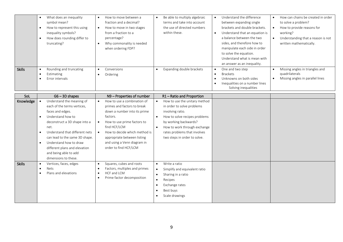|               | What does an inequality<br>symbol mean?<br>How to represent this using<br>inequality symbols?<br>How does rounding differ to<br>truncating? | How to move between a<br>fraction and a decimal?<br>How to move in two stages<br>from a fraction to a<br>percentage?<br>Why commonality is needed<br>when ordering FDP? | Be able to multiply algebraic<br>terms and take into account<br>the use of directed numbers<br>within these. | Understand the difference<br>between expanding single<br>brackets and double brackets.<br>Understand that an equation is<br>a balance between the two<br>sides, and therefore how to<br>manipulate each side in order<br>to solve the equation.<br>Understand what is mean with<br>an answer as an inequality. | How can chains be created in order<br>to solve a problem?<br>How to provide reasons for<br>working?<br>Understanding that a reason is not<br>written mathematically. |
|---------------|---------------------------------------------------------------------------------------------------------------------------------------------|-------------------------------------------------------------------------------------------------------------------------------------------------------------------------|--------------------------------------------------------------------------------------------------------------|----------------------------------------------------------------------------------------------------------------------------------------------------------------------------------------------------------------------------------------------------------------------------------------------------------------|----------------------------------------------------------------------------------------------------------------------------------------------------------------------|
| <b>Skills</b> | Rounding and truncating<br>Estimating<br>Error intervals                                                                                    | Conversions<br>Ordering                                                                                                                                                 | Expanding double brackets                                                                                    | One and two step<br><b>Brackets</b><br>Unknowns on both sides<br>Inequalities on a number lines<br>Solving inequalities                                                                                                                                                                                        | Missing angles in triangles and<br>quadrilaterals<br>Missing angles in parallel lines                                                                                |

| SoL           | $G6 - 3D$ shapes                                                                                                                                                                                                                                                                                                                                     | N9 - Properties of number                                                                                                                                                                                                                                                     | R1-Ratio and Proportion                                                                                                                                                                                                                                             |  |
|---------------|------------------------------------------------------------------------------------------------------------------------------------------------------------------------------------------------------------------------------------------------------------------------------------------------------------------------------------------------------|-------------------------------------------------------------------------------------------------------------------------------------------------------------------------------------------------------------------------------------------------------------------------------|---------------------------------------------------------------------------------------------------------------------------------------------------------------------------------------------------------------------------------------------------------------------|--|
| Knowledge     | Understand the meaning of<br>each of the terms vertices,<br>faces and edges.<br>Understand how to<br>$\bullet$<br>deconstruct a 3D shape into a<br>net.<br>Understand that different nets<br>can lead to the same 3D shape.<br>Understand how to draw<br>$\bullet$<br>different plans and elevation<br>and being able to add<br>dimensions to these. | How to use a combination of<br>primes and factors to break<br>down a number into its prime<br>factors.<br>How to use prime factors to<br>find HCF/LCM<br>How to decide which method is<br>appropriate between listing<br>and using a Venn diagram in<br>order to find HCF/LCM | How to use the unitary method<br>$\bullet$<br>in order to solve problems<br>involving ratio.<br>How to solve recipes problems<br>by working backwards?<br>How to work through exchange<br>$\bullet$<br>rates problems that involves<br>two steps in order to solve. |  |
| <b>Skills</b> | Vertices, faces, edges<br><b>Nets</b><br>Plans and elevations                                                                                                                                                                                                                                                                                        | Squares, cubes and roots<br>٠<br>Factors, multiples and primes<br>HCF and LCM<br>Prime factor decomposition                                                                                                                                                                   | Write a ratio<br>$\bullet$<br>Simplify and equivalent ratio<br>$\bullet$<br>Sharing in a ratio<br>$\bullet$<br>Recipes<br>$\bullet$<br>Exchange rates<br>Best buys<br>$\bullet$<br>Scale drawings                                                                   |  |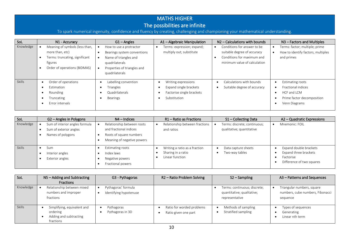## MATHS HIGHER The possibilities are infinite

To spark numerical ingenuity, confidence and fluency by creating, challenging and championing your mathematical understanding.

| SoL       | N1 - Accuracy                                                                                                                  | $G1 -$ Angles                                                                                                                                      | A1 - Algebraic Manipulation                                                                | N <sub>2</sub> – Calculations with bounds                                                                                | N <sub>3</sub> – Factors and Multiples                                                                      |
|-----------|--------------------------------------------------------------------------------------------------------------------------------|----------------------------------------------------------------------------------------------------------------------------------------------------|--------------------------------------------------------------------------------------------|--------------------------------------------------------------------------------------------------------------------------|-------------------------------------------------------------------------------------------------------------|
| Knowledge | Meaning of symbols (less than,<br>more than, etc)<br>Terms: truncating, significant<br>figures<br>Order of operations (BIDMAS) | How to use a protractor<br>Bearings system conventions<br>Name of triangles and<br>quadrilaterals<br>Properties of triangles and<br>quadrilaterals | Terms: expression; expand;<br>multiply out; substitute                                     | Conditions for answer to be<br>suitable degree of accuracy<br>Conditions for maximum and<br>minimum value of calculation | Terms: factor; multiple; prime<br>How to identify factors, multiples<br>and primes                          |
| Skills    | Order of operations<br>Estimation<br>Rounding<br>Truncating<br>Error intervals                                                 | Labelling convention<br>Triangles<br>Quadrilaterals<br>Bearings                                                                                    | Writing expressions<br>Expand single brackets<br>Factorise single brackets<br>Substitution | Calculations with bounds<br>Suitable degree of accuracy                                                                  | <b>Estimating roots</b><br>Fractional indices<br>HCF and LCM<br>Prime factor decomposition<br>Venn Diagrams |

| Sol       | G2 – Angles in Polygons        | $N4$ – Indices             | R1 – Ratio as Fractions        | S1 - Collecting Data         | A2 - Quadratic Expressions |
|-----------|--------------------------------|----------------------------|--------------------------------|------------------------------|----------------------------|
| Knowledge | Sum of interior angles formula | Relationship between roots | Relationship between fractions | Terms: discrete; continuous; | Mnemonic: FOIL             |
|           | Sum of exterior angles         | and fractional indices     | and ratios                     | qualitative; quantitative    |                            |
|           | Names of polygons              | Roots of square numbers    |                                |                              |                            |
|           |                                | Meaning of negative powers |                                |                              |                            |
| Skills    | Sum                            | Estimating roots           | Writing a ratio as a fraction  | Data capture sheets          | Expand double brackets     |
|           | Interior angles                | Index laws                 | Sharing in a ratio             | Two-way tables               | Expand three brackets      |
|           | Exterior angles                | Negative powers            | Linear function                |                              | Factorise                  |
|           |                                | Fractional powers          |                                |                              | Difference of two squares  |

| Sol       | N5 - Adding and Subtracting                                                    | G3 - Pythagoras                               | R <sub>2</sub> – Ratio Problem Solving            | $S2 -$ Sampling                                                              | A3 - Patterns and Sequences                                                |
|-----------|--------------------------------------------------------------------------------|-----------------------------------------------|---------------------------------------------------|------------------------------------------------------------------------------|----------------------------------------------------------------------------|
|           | Fractions                                                                      |                                               |                                                   |                                                                              |                                                                            |
| Knowledge | Relationship between mixed<br>numbers and improper<br>fractions                | Pythagoras' formula<br>Identifying hypotenuse |                                                   | Terms: continuous; discrete;<br>quantitative; qualitative;<br>representative | Triangular numbers, square<br>numbers, cube numbers, Fibonacci<br>sequence |
| Skills    | Simplifying, equivalent and<br>ordering<br>Adding and subtracting<br>fractions | Pythagoras<br>Pythagoras in 3D                | Ratio for worded problems<br>Ratio given one part | Methods of sampling<br>Stratified sampling                                   | Types of sequences<br>Generating<br>Linear nth term                        |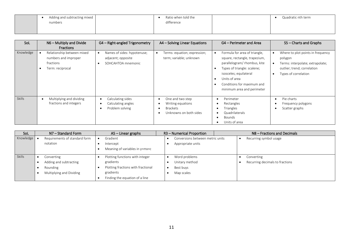| Adding and subtracting mixed | Ratio when told the | Quadratic nth term |
|------------------------------|---------------------|--------------------|
| numbers                      | difference          |                    |
|                              |                     |                    |
|                              |                     |                    |

| SoL           | N6 - Multiply and Divide<br><b>Fractions</b>                                        | G4 - Right-angled Trigonometry                                          | A4 - Solving Linear Equations                                                      | G4 – Perimeter and Area                                                                                                                                                                                                                          | S5 - Charts and Graphs                                                                                                                               |
|---------------|-------------------------------------------------------------------------------------|-------------------------------------------------------------------------|------------------------------------------------------------------------------------|--------------------------------------------------------------------------------------------------------------------------------------------------------------------------------------------------------------------------------------------------|------------------------------------------------------------------------------------------------------------------------------------------------------|
| Knowledge     | Relationship between mixed<br>numbers and improper<br>fractions<br>Term: reciprocal | Names of sides: hypotenuse;<br>adjacent; opposite<br>SOHCAHTOA mnemonic | Terms: equation; expression;<br>term; variable; unknown                            | Formula for area of triangle,<br>square, rectangle, trapezium,<br>parallelogram/rhombus, kite<br>Types of triangle: scalene;<br>$\bullet$<br>isosceles; equilateral<br>Units of area<br>Conditions for maximum and<br>minimum area and perimeter | Where to plot points in frequency<br>polygon<br>Terms: interpolate; extrapolate;<br>$\bullet$<br>outlier; trend; correlation<br>Types of correlation |
| <b>Skills</b> | Multiplying and dividing<br>fractions and integers                                  | Calculating sides<br>Calculating angles<br>Problem solving              | One and two step<br>Writing equations<br><b>Brackets</b><br>Unknowns on both sides | Perimeter<br>$\bullet$<br>Rectangles<br>Triangles<br>Quadrilaterals<br>$\bullet$<br><b>Bounds</b><br>Units of area                                                                                                                               | Pie charts<br>Frequency polygons<br>Scatter graphs                                                                                                   |

| SoL           | N7 – Standard Form            | $AS$ – Linear graphs               | R3 - Numerical Proportion        | N8 – Fractions and Decimals     |  |
|---------------|-------------------------------|------------------------------------|----------------------------------|---------------------------------|--|
| Knowledge     | Requirements of standard form | Gradient                           | Conversions between metric units | Recurring symbol usage          |  |
|               | notation                      | Intercept                          | Appropriate units                |                                 |  |
|               |                               | Meaning of variables in $y=mx+c$   |                                  |                                 |  |
| <b>Skills</b> | Converting                    | Plotting functions with integer    | Word problems                    | Converting                      |  |
|               | Adding and subtracting        | gradients                          | Unitary method                   | Recurring decimals to fractions |  |
|               | Rounding                      | Plotting fractions with fractional | Best buys                        |                                 |  |
|               | Multiplying and Dividing      | gradients                          | Map scales                       |                                 |  |
|               |                               | $E$ inding the equation of a line  |                                  |                                 |  |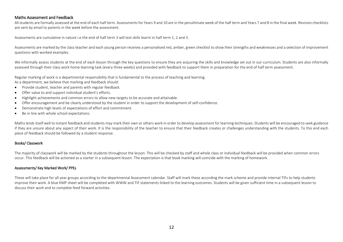#### Maths Assessment and Feedback

All students are formally assessed at the end of each half term. Assessments for Years 9 and 10 are in the penultimate week of the half term and Years 7 and 8 in the final week. Revision checklists are sent by email to parents in the week before the assessment.

Assessments are cumulative in nature i.e the end of half term 3 will test skills learnt in half term 1, 2 and 3.

Assessments are marked by the class teacher and each young person receives a personalised red, amber, green checklist to show their strengths and weaknesses and a selection of improvement questions with worked examples.

We informally assess students at the end of each lesson through the key questions to ensure they are acquiring the skills and knowledge set out in our curriculum. Students are also informally assessed through their class work home learning task (every three weeks) and provided with feedback to support them in preparation for the end of half term assessment.

Regular marking of work is a departmental responsibility that is fundamental to the process of teaching and learning.

As a department, we believe that marking and feedback should:

- Provide student, teacher and parents with regular feedback.
- Offer value to and support individual student's efforts.
- Highlight achievements and common errors to allow new targets to be accurate and attainable.
- Offer encouragement and be clearly understood by the student in order to support the development of self-confidence.
- Demonstrate high levels of expectations of effort and commitment.
- Be in line with whole school expectations.

Maths lends itself well to instant feedback and students may mark their own or others work in order to develop assessment for learning techniques. Students will be encouraged to seek guidance if they are unsure about any aspect of their work. It is the responsibility of the teacher to ensure that their feedback creates or challenges understanding with the students. To this end each piece of feedback should be followed by a student response.

#### Books/ Classwork

The majority of classwork will be marked by the students throughout the lesson. This will be checked by staff and whole class or individual feedback will be provided when common errors occur. This feedback will be actioned as a starter in a subsequent lesson. The expectation is that book marking will coincide with the marking of homework.

#### Assessments/ Key Marked Work/ PPEs

These will take place for all year groups according to the departmental Assessment calendar. Staff will mark these according the mark scheme and provide internal TIFs to help students improve their work. A blue KMP sheet will be completed with WWW and TIF statements linked to the learning outcomes. Students will be given sufficient time in a subsequent lesson to discuss their work and to complete feed forward activities.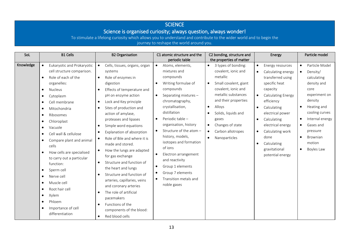## **SCIENCE**

# Science is organised curiosity; always question, always wonder!

To stimulate a lifelong curiosity which allows you to understand and contribute to the wider world and to begin the journey to reshape the world around you.

| SoL       | <b>B1 Cells</b>                                                                                                                                                                                                                                                                                                                                                                                                                                                                                                                                                                                                                                                                                                     | <b>B2 Organisation</b>                                                                                                                                                                                                                                                                                                                                                                                                                                                                                                                                                                                                                                                                                                                                                                 | C1 atomic structure and the<br>periodic table                                                                                                                                                                                                                                                                                                                                                                                                          | C2 bonding, structure and<br>the properties of matter                                                                                                                                                                                                                                                                                                | Energy                                                                                                                                                                                                                                                                                                                                                      | Particle model                                                                                                                                                                                                                                                                 |
|-----------|---------------------------------------------------------------------------------------------------------------------------------------------------------------------------------------------------------------------------------------------------------------------------------------------------------------------------------------------------------------------------------------------------------------------------------------------------------------------------------------------------------------------------------------------------------------------------------------------------------------------------------------------------------------------------------------------------------------------|----------------------------------------------------------------------------------------------------------------------------------------------------------------------------------------------------------------------------------------------------------------------------------------------------------------------------------------------------------------------------------------------------------------------------------------------------------------------------------------------------------------------------------------------------------------------------------------------------------------------------------------------------------------------------------------------------------------------------------------------------------------------------------------|--------------------------------------------------------------------------------------------------------------------------------------------------------------------------------------------------------------------------------------------------------------------------------------------------------------------------------------------------------------------------------------------------------------------------------------------------------|------------------------------------------------------------------------------------------------------------------------------------------------------------------------------------------------------------------------------------------------------------------------------------------------------------------------------------------------------|-------------------------------------------------------------------------------------------------------------------------------------------------------------------------------------------------------------------------------------------------------------------------------------------------------------------------------------------------------------|--------------------------------------------------------------------------------------------------------------------------------------------------------------------------------------------------------------------------------------------------------------------------------|
| Knowledge | Eukaryotic and Prokaryotic<br>$\bullet$<br>cell structure comparison.<br>Role of each of the<br>$\bullet$<br>organelles:<br>Nucleus<br>$\bullet$<br>Cytoplasm<br>$\bullet$<br>Cell membrane<br>$\bullet$<br>Mitochondria<br>$\bullet$<br>Ribosomes<br>$\bullet$<br>Chloroplast<br>$\bullet$<br>Vacuole<br>$\bullet$<br>Cell wall & cellulose<br>$\bullet$<br>Compare plant and animal<br>$\bullet$<br>cells<br>How cells are specialised<br>$\bullet$<br>to carry out a particular<br>function:<br>Sperm cell<br>$\bullet$<br>Nerve cell<br>$\bullet$<br>Muscle cell<br>$\bullet$<br>Root hair cell<br>$\bullet$<br>Xylem<br>$\bullet$<br>Phloem<br>$\bullet$<br>Importance of cell<br>$\bullet$<br>differentiation | Cells, tissues, organs, organ<br>systems<br>Role of enzymes in<br>$\bullet$<br>digestion<br>Effects of temperature and<br>pH on enzyme action<br>Lock and Key principle<br>$\bullet$<br>Sites of production and<br>$\bullet$<br>action of amylase,<br>proteases and lipases<br>Simple word equations<br>$\bullet$<br>Explanation of absorption<br>$\bullet$<br>Role of Bile and where it is<br>made and stored.<br>How the lungs are adapted<br>$\bullet$<br>for gas exchange<br>Structure and function of<br>$\bullet$<br>the heart and lungs<br>Structure and function of<br>$\bullet$<br>arteries, capillaries, veins<br>and coronary arteries<br>The role of artificial<br>pacemakers<br>Functions of the<br>$\bullet$<br>components of the blood:<br>Red blood cells<br>$\bullet$ | Atoms, elements,<br>$\bullet$<br>mixtures and<br>compounds<br>Writing formulae of<br>compounds<br>Separating mixtures -<br>$\bullet$<br>chromatography,<br>crystallisation,<br>distillation<br>Periodic table -<br>organisation, history<br>Structure of the atom -<br>history, models,<br>isotopes and formation<br>of ions<br>Electron arrangement<br>and reactivity<br>Group 1 elements<br>Group 7 elements<br>Transition metals and<br>noble gases | 3 types of bonding:<br>$\bullet$<br>covalent, ionic and<br>metallic<br>Small covalent, giant<br>$\bullet$<br>covalent, ionic and<br>metallic substances<br>and their properties<br>Alloys<br>$\bullet$<br>Solids, liquids and<br>$\bullet$<br>gases<br>Changes of state<br>$\bullet$<br>Carbon allotropes<br>$\bullet$<br>Nanoparticles<br>$\bullet$ | Energy resources<br>$\bullet$<br>Calculating energy<br>transferred using<br>specific heat<br>capacity<br><b>Calculating Energy</b><br>$\bullet$<br>efficiency<br>Calculating<br>$\bullet$<br>electrical power<br>Calculating<br>$\bullet$<br>electrical energy<br>Calculating work<br>$\bullet$<br>done<br>Calculating<br>gravitational<br>potential energy | Particle Model<br>$\bullet$<br>Density/<br>$\bullet$<br>calculating<br>density and<br>core<br>experiment on<br>density<br>Heating and<br>$\bullet$<br>cooling curves<br>Internal energy<br>Gases and<br>pressure<br>Brownian<br>$\bullet$<br>motion<br>Boyles Law<br>$\bullet$ |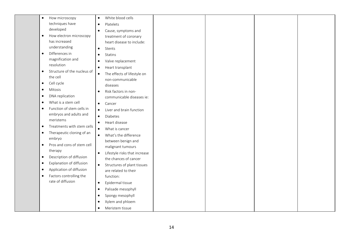| $\bullet$ | How microscopy              | $\bullet$ | White blood cells             |  |  |
|-----------|-----------------------------|-----------|-------------------------------|--|--|
|           | techniques have             | $\bullet$ | Platelets                     |  |  |
|           | developed                   | $\bullet$ | Cause, symptoms and           |  |  |
| $\bullet$ | How electron microscopy     |           | treatment of coronary         |  |  |
|           | has increased               |           | heart disease to include:     |  |  |
|           | understanding               | $\bullet$ | Stents                        |  |  |
| $\bullet$ | Differences in              | $\bullet$ | Statins                       |  |  |
|           | magnification and           | $\bullet$ | Valve replacement             |  |  |
|           | resolution                  | $\bullet$ | Heart transplant              |  |  |
| $\bullet$ | Structure of the nucleus of | $\bullet$ | The effects of lifestyle on   |  |  |
|           | the cell                    |           | non-communicable              |  |  |
| $\bullet$ | Cell cycle                  |           | diseases                      |  |  |
| $\bullet$ | Mitosis                     | $\bullet$ | Risk factors in non-          |  |  |
| $\bullet$ | DNA replication             |           | communicable diseases ie:     |  |  |
| $\bullet$ | What is a stem cell         | $\bullet$ | Cancer                        |  |  |
| $\bullet$ | Function of stem cells in   | $\bullet$ | Liver and brain function      |  |  |
|           | embryos and adults and      | $\bullet$ | Diabetes                      |  |  |
|           | meristems                   | $\bullet$ | Heart disease                 |  |  |
| $\bullet$ | Treatments with stem cells  | $\bullet$ | What is cancer                |  |  |
| $\bullet$ | Therapeutic cloning of an   | $\bullet$ | What's the difference         |  |  |
|           | embryo                      |           | between benign and            |  |  |
| $\bullet$ | Pros and cons of stem cell  |           | malignant tumours             |  |  |
|           | therapy                     | $\bullet$ | Lifestyle risks that increase |  |  |
| $\bullet$ | Description of diffusion    |           | the chances of cancer         |  |  |
| $\bullet$ | Explanation of diffusion    | $\bullet$ | Structures of plant tissues   |  |  |
| $\bullet$ | Application of diffusion    |           | are related to their          |  |  |
| $\bullet$ | Factors controlling the     |           | function:                     |  |  |
|           | rate of diffusion           | $\bullet$ | Epidermal tissue              |  |  |
|           |                             | $\bullet$ | Palisade mesophyll            |  |  |
|           |                             | $\bullet$ | Spongy mesophyll              |  |  |
|           |                             | $\bullet$ | Xylem and phloem              |  |  |
|           |                             |           | Meristem tissue               |  |  |
|           |                             |           |                               |  |  |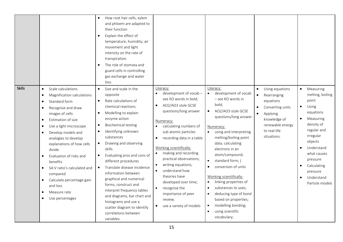|               |                                                                                                                                                                                                                                                                                                                                                                                                                                                                                                                                                                             | How root hair cells, xylem<br>$\bullet$<br>and phloem are adapted to<br>their function<br>Explain the effect of<br>$\bullet$<br>temperature, humidity, air<br>movement and light<br>intensity on the rate of<br>transpiration.<br>The role of stomata and<br>$\bullet$<br>guard cells in controlling<br>gas exchange and water<br>loss.                                                                                                                                                                                                                                                                                                                           |                                                                                                                                                                                                                                                                                                                                                                                                                                                                                                                      |                                                                                                                                                                                                                                                                                                                                                                                                                                                                                                                                                                     |                                                                                                                                                                                       |                                                                                                                                                                                                                                                                                         |
|---------------|-----------------------------------------------------------------------------------------------------------------------------------------------------------------------------------------------------------------------------------------------------------------------------------------------------------------------------------------------------------------------------------------------------------------------------------------------------------------------------------------------------------------------------------------------------------------------------|-------------------------------------------------------------------------------------------------------------------------------------------------------------------------------------------------------------------------------------------------------------------------------------------------------------------------------------------------------------------------------------------------------------------------------------------------------------------------------------------------------------------------------------------------------------------------------------------------------------------------------------------------------------------|----------------------------------------------------------------------------------------------------------------------------------------------------------------------------------------------------------------------------------------------------------------------------------------------------------------------------------------------------------------------------------------------------------------------------------------------------------------------------------------------------------------------|---------------------------------------------------------------------------------------------------------------------------------------------------------------------------------------------------------------------------------------------------------------------------------------------------------------------------------------------------------------------------------------------------------------------------------------------------------------------------------------------------------------------------------------------------------------------|---------------------------------------------------------------------------------------------------------------------------------------------------------------------------------------|-----------------------------------------------------------------------------------------------------------------------------------------------------------------------------------------------------------------------------------------------------------------------------------------|
| <b>Skills</b> | Scale calculations<br>$\bullet$<br>Magnification calculations<br>$\bullet$<br>Standard form<br>$\bullet$<br>Recognise and draw<br>$\bullet$<br>images of cells<br>Estimation of size<br>$\bullet$<br>Use a light microscope<br>$\bullet$<br>Develop models and<br>$\bullet$<br>analogies to develop<br>explanations of how cells<br>divide.<br>Evaluation of risks and<br>$\bullet$<br>benefits<br>SA: V ratio's calculated and<br>$\bullet$<br>compared<br>Calculate percentage gain<br>$\bullet$<br>and loss<br>Measure rate<br>$\bullet$<br>Use percentages<br>$\bullet$ | Size and scale in the<br>$\bullet$<br>opposite<br>Rate calculations of<br>$\bullet$<br>chemical reactions.<br>Modelling to explain<br>$\bullet$<br>enzyme action<br><b>Biochemical testing</b><br>$\bullet$<br>Identifying unknown<br>$\bullet$<br>substances<br>Drawing and observing<br>$\bullet$<br>skills<br>Evaluating pros and cons of<br>$\bullet$<br>different procedures<br>Translate disease incidence<br>$\bullet$<br>information between<br>graphical and numerical<br>forms, construct and<br>interpret frequency tables<br>and diagrams, bar chart and<br>histograms and use a<br>scatter diagram to identify<br>correlations between<br>variables. | Literacy:<br>development of vocab -<br>$\bullet$<br>see KO words in bold;<br>AO2/AO3 style GCSE<br>$\bullet$<br>questions/long answer<br>Numeracy:<br>calculating numbers of<br>sub atomic particles<br>recording data in a table<br>$\bullet$<br>Working scientifically:<br>making and recording<br>practical observations;<br>writing equations;<br>understand how<br>$\bullet$<br>theories have<br>developed over time;<br>recognise the<br>$\bullet$<br>importance of peer<br>review;<br>use a variety of models | Literacy:<br>development of vocab<br>$\bullet$<br>– see KO words in<br>bold;<br>AO2/AO3 style GCSE<br>$\bullet$<br>questions/long answer<br>Numeracy:<br>using and interpreting<br>melting/boiling point<br>data; calculating<br>electrons in an<br>atom/compound;<br>standard form; (<br>$\bullet$<br>conversion of units<br>Working scientifically:<br>linking properties of<br>$\bullet$<br>substances to uses;<br>$\bullet$<br>deducing type of bond<br>$\bullet$<br>based on properties;<br>modelling bonding;<br>$\bullet$<br>using scientific<br>vocabulary; | Using equations<br>Rearranging<br>$\bullet$<br>equations<br>Converting units<br>$\bullet$<br>Applying<br>$\bullet$<br>knowledge of<br>renewable energy<br>to real-life<br>situations. | Measuring<br>$\bullet$<br>melting, boiling<br>point<br>Using<br>$\bullet$<br>equations<br>Measuring<br>$\bullet$<br>density of<br>regular and<br>irregular<br>objects<br>Understand<br>what causes<br>pressure<br>Calculating<br>$\bullet$<br>pressure<br>Understand<br>Particle models |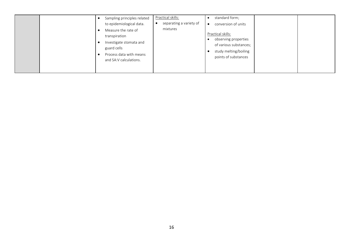| Sampling principles related<br>to epidemiological data.<br>Measure the rate of<br>transpiration<br>Investigate stomata and<br>guard cells<br>Process data with means<br>and SA:V calculations. | Practical skills:<br>separating a variety of<br>mixtures | standard form;<br>conversion of units<br>Practical skills:<br>observing properties<br>of various substances;<br>study melting/boiling<br>points of substances |
|------------------------------------------------------------------------------------------------------------------------------------------------------------------------------------------------|----------------------------------------------------------|---------------------------------------------------------------------------------------------------------------------------------------------------------------|
|------------------------------------------------------------------------------------------------------------------------------------------------------------------------------------------------|----------------------------------------------------------|---------------------------------------------------------------------------------------------------------------------------------------------------------------|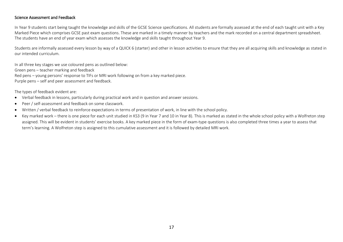## Science Assessment and Feedback

In Year 9 students start being taught the knowledge and skills of the GCSE Science specifications. All students are formally assessed at the end of each taught unit with a Key Marked Piece which comprises GCSE past exam questions. These are marked in a timely manner by teachers and the mark recorded on a central department spreadsheet. The students have an end of year exam which assesses the knowledge and skills taught throughout Year 9.

Students are informally assessed every lesson by way of a QUICK 6 (starter) and other in lesson activities to ensure that they are all acquiring skills and knowledge as stated in our intended curriculum.

In all three key stages we use coloured pens as outlined below: Green pens – teacher marking and feedback Red pens – young persons' response to TIFs or MRI work following on from a key marked piece. Purple pens – self and peer assessment and feedback.

The types of feedback evident are:

- Verbal feedback in lessons, particularly during practical work and in question and answer sessions.
- Peer / self-assessment and feedback on some classwork.
- Written / verbal feedback to reinforce expectations in terms of presentation of work, in line with the school policy.
- Key marked work there is one piece for each unit studied in KS3 (9 in Year 7 and 10 in Year 8). This is marked as stated in the whole school policy with a Wolfreton step assigned. This will be evident in students' exercise books. A key marked piece in the form of exam-type questions is also completed three times a year to assess that term's learning. A Wolfreton step is assigned to this cumulative assessment and it is followed by detailed MRI work.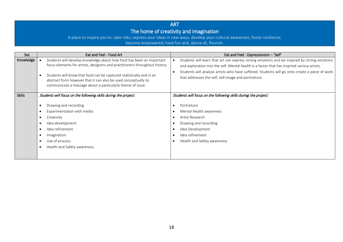## ART The home of creativity and imagination

A place to inspire you to: take risks; express your ideas in new ways; develop your cultural awareness; foster resilience; become empowered; have fun and, above all, flourish.

| SoL           | Eat and Feel - Food Art                                                                                                                                                                                                                                                                                                                                     | Eat and Feel - Expressionism - 'Self'                                                                                                                                                                                                                                                                                                               |  |  |  |
|---------------|-------------------------------------------------------------------------------------------------------------------------------------------------------------------------------------------------------------------------------------------------------------------------------------------------------------------------------------------------------------|-----------------------------------------------------------------------------------------------------------------------------------------------------------------------------------------------------------------------------------------------------------------------------------------------------------------------------------------------------|--|--|--|
| Knowledge     | Students will develop knowledge about how food has been an important<br>focus elements for artists, designers and practitioners throughout history.<br>Students will know that food can be captured realistically and in an<br>abstract form however that it can also be used conceptually to<br>communicate a message about a particularly theme of issue. | Students will learn that art can express strong emotions and be inspired by strong emotions<br>and exploration into the self. Mental health is a factor that has inspired various artists.<br>Students will analyse artists who have suffered. Students will go onto create a piece of work<br>that addresses the self, self image and portraiture. |  |  |  |
| <b>Skills</b> | Students will focus on the following skills during the project:                                                                                                                                                                                                                                                                                             | Students will focus on the following skills during the project:                                                                                                                                                                                                                                                                                     |  |  |  |
|               | Drawing and recording<br>Experimentation with media<br>Creativity<br>$\bullet$<br>Idea development<br>Idea refinement<br>Imagination<br>Use of process<br>Health and Safety awareness                                                                                                                                                                       | Portraiture<br>Mental Health awareness<br>Artist Research<br>Drawing and recording<br>Idea Development<br>Idea refinement<br>Health and Safety awareness                                                                                                                                                                                            |  |  |  |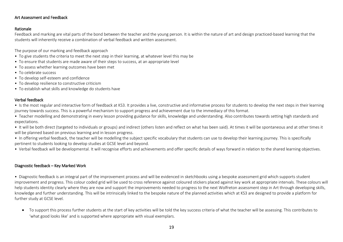## Art Assessment and Feedback

## Rationale

Feedback and marking are vital parts of the bond between the teacher and the young person. It is within the nature of art and design practiced-based learning that the students will inherently receive a combination of verbal feedback and written assessment.

The purpose of our marking and feedback approach

- To give students the criteria to meet the next step in their learning, at whatever level this may be
- To ensure that students are made aware of their steps to success, at an appropriate level
- To assess whether learning outcomes have been met
- To celebrate success
- To develop self-esteem and confidence
- To develop resilience to constructive criticism
- To establish what skills and knowledge do students have

## Verbal feedback

• Is the most regular and interactive form of feedback at KS3. It provides a live, constructive and informative process for students to develop the next steps in their learning journey towards success. This is a powerful mechanism to support progress and achievement due to the immediacy of this format.

- Teacher modelling and demonstrating in every lesson providing guidance for skills, knowledge and understanding. Also contributes towards setting high standards and expectations.
- It will be both direct (targeted to individuals or groups) and indirect (others listen and reflect on what has been said). At times it will be spontaneous and at other times it will be planned based on previous learning and in lesson progress.
- In offering verbal feedback, the teacher will be modelling the subject specific vocabulary that students can use to develop their learning journey. This is specifically pertinent to students looking to develop studies at GCSE level and beyond.
- Verbal feedback will be developmental. It will recognise efforts and achievements and offer specific details of ways forward in relation to the shared learning objectives.

## Diagnostic feedback – Key Marked Work

• Diagnostic feedback is an integral part of the improvement process and will be evidenced in sketchbooks using a bespoke assessment grid which supports student improvement and progress. This colour coded grid will be used to cross reference against coloured stickers placed against key work at appropriate intervals. These colours will help students identity clearly where they are now and support the improvements needed to progress to the next Wolfreton assessment step in Art through developing skills, knowledge and further understanding. This will be intrinsically linked to the bespoke nature of the planned activities which at KS3 are designed to provide a platform for further study at GCSE level.

• To support this process further students at the start of key activities will be told the key success criteria of what the teacher will be assessing. This contributes to 'what good looks like' and is supported where appropriate with visual exemplars.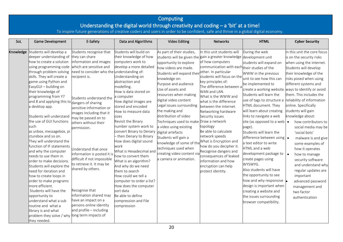|           |                                                                                                                                                                                                                                                                                                                                                                                                                                                                                                                                                                                                                                                                                                                                                                                                                                                                                         |                                                                                                                                                                                                                                                                                                                                                                                                                                                                                                                                                                                                        |                                                                                                                                                                                                                                                                                                                                                                                                                                                                                                                                                                                                                                                                                              | Computing<br>Understanding the digital world through creativity and coding $-$ a 'bit' at a time!                                                                                                                                                                                                                                                                                                                                                                                                                                                             |                                                                                                                                                                                                                                                                                                                                                                                                                                                                                                                                                                                                                             |                                                                                                                                                                                                                                                                                                                                                                                                                                                                                                                                                                                                                                                                                                                                                                 |                                                                                                                                                                                                                                                                                                                                                                                                                                                                                                                                                                                                  |
|-----------|-----------------------------------------------------------------------------------------------------------------------------------------------------------------------------------------------------------------------------------------------------------------------------------------------------------------------------------------------------------------------------------------------------------------------------------------------------------------------------------------------------------------------------------------------------------------------------------------------------------------------------------------------------------------------------------------------------------------------------------------------------------------------------------------------------------------------------------------------------------------------------------------|--------------------------------------------------------------------------------------------------------------------------------------------------------------------------------------------------------------------------------------------------------------------------------------------------------------------------------------------------------------------------------------------------------------------------------------------------------------------------------------------------------------------------------------------------------------------------------------------------------|----------------------------------------------------------------------------------------------------------------------------------------------------------------------------------------------------------------------------------------------------------------------------------------------------------------------------------------------------------------------------------------------------------------------------------------------------------------------------------------------------------------------------------------------------------------------------------------------------------------------------------------------------------------------------------------------|---------------------------------------------------------------------------------------------------------------------------------------------------------------------------------------------------------------------------------------------------------------------------------------------------------------------------------------------------------------------------------------------------------------------------------------------------------------------------------------------------------------------------------------------------------------|-----------------------------------------------------------------------------------------------------------------------------------------------------------------------------------------------------------------------------------------------------------------------------------------------------------------------------------------------------------------------------------------------------------------------------------------------------------------------------------------------------------------------------------------------------------------------------------------------------------------------------|-----------------------------------------------------------------------------------------------------------------------------------------------------------------------------------------------------------------------------------------------------------------------------------------------------------------------------------------------------------------------------------------------------------------------------------------------------------------------------------------------------------------------------------------------------------------------------------------------------------------------------------------------------------------------------------------------------------------------------------------------------------------|--------------------------------------------------------------------------------------------------------------------------------------------------------------------------------------------------------------------------------------------------------------------------------------------------------------------------------------------------------------------------------------------------------------------------------------------------------------------------------------------------------------------------------------------------------------------------------------------------|
|           |                                                                                                                                                                                                                                                                                                                                                                                                                                                                                                                                                                                                                                                                                                                                                                                                                                                                                         |                                                                                                                                                                                                                                                                                                                                                                                                                                                                                                                                                                                                        |                                                                                                                                                                                                                                                                                                                                                                                                                                                                                                                                                                                                                                                                                              | To inspire future generations of creative coders and users in order to be confident, safe and thrive in a global digital economy.                                                                                                                                                                                                                                                                                                                                                                                                                             |                                                                                                                                                                                                                                                                                                                                                                                                                                                                                                                                                                                                                             |                                                                                                                                                                                                                                                                                                                                                                                                                                                                                                                                                                                                                                                                                                                                                                 |                                                                                                                                                                                                                                                                                                                                                                                                                                                                                                                                                                                                  |
| SoL       | Game Development                                                                                                                                                                                                                                                                                                                                                                                                                                                                                                                                                                                                                                                                                                                                                                                                                                                                        | E-Safety                                                                                                                                                                                                                                                                                                                                                                                                                                                                                                                                                                                               | Data and Algorithms                                                                                                                                                                                                                                                                                                                                                                                                                                                                                                                                                                                                                                                                          | <b>Video Editing</b>                                                                                                                                                                                                                                                                                                                                                                                                                                                                                                                                          | <b>Networks</b>                                                                                                                                                                                                                                                                                                                                                                                                                                                                                                                                                                                                             | <b>HTML</b>                                                                                                                                                                                                                                                                                                                                                                                                                                                                                                                                                                                                                                                                                                                                                     | <b>Cyber Security</b>                                                                                                                                                                                                                                                                                                                                                                                                                                                                                                                                                                            |
| Knowledge | Students will develop a<br>deeper understanding of<br>how to create a solution<br>using programming code<br>through problem solving<br>skills. They will create a<br>game using Python and<br>EasyGUI - building on<br>their knowledge of<br>programming from Y7<br>and 8 and applying this to dangers of sharing<br>a desktop app.<br>Students will understand<br>the use of GUI functions<br>such<br>as ynbox, messagebox, pi<br>cturebox and so on.<br>They will understand the<br>function of IF statements<br>and why the computer<br>needs to use them in<br>order to make decisions.<br>Students will explore the<br>need for iteration and<br>how to create loops in<br>order to make programs<br>more efficient.<br>Students will have the<br>opportunity to<br>understand what a sub<br>routine and what a<br>library is and what<br>problem they solve / why<br>they needed. | Students recognise that<br>they can share<br>information and images<br>which are sensitive and<br>need to consider who the understanding of:<br>ecipient is.<br>Students understand the<br>sensitive information or<br>images including that it<br>may be passed on to<br>others without their<br>permission.<br>Understand that once<br>information is posted it is<br>difficult if not impossible<br>to retrieve it. It may be<br>shared by others.<br>Recognise that<br>information shared may<br>have an impact on a<br>persons online identity<br>and profile - including<br>long term impacts of | Students will build on<br>their knowledge of how<br>computers work to<br>develop a more detailed<br>Understanding on<br>abstraction and<br>modelling.<br>How is data stored on<br>a computer<br>How digital images are<br>stored and encoded<br>How to measure data<br>sizes<br>Revisit the Binary<br>number system work to<br>convert Binary to Denary<br>- then Denary to Binary<br>How does digital sound<br>work<br>What is Hexadecimal and<br>ow to convert them<br>What is an algorithm?<br>And why do we need<br>them to search<br>How could we tell a<br>computer to order a list?<br>How does the computer<br>sort data<br>Be able to define<br>compression and File<br>compression | As part of their studies,<br>opportunity to explore<br>how videos are made.<br>Students will expand their <sup>other.</sup> In particular<br>knowledge on:<br>Purpose and audience<br>Use of assets and<br>resources when making<br>digital video content<br>Legal issues surrounding<br>the making and<br>distribution of video<br>Techniques used to make Draw a network<br>a video using existing<br>digital artefacts<br>Students will gain a<br>knowledge of some of the<br>techniques used when<br>creating video content via<br>a camera or animation. | In this unit students will<br>students will be given the gain a greater knowledge development unit<br>of how computers<br>communication with each their studies of the<br>students will focus on the<br>key principles of:<br>The difference between a<br>WAN and LAN.<br>What is the WWW and<br>what is the difference<br>between the internet.<br>Networking hardware<br>Security issues<br>topology<br>Be able to calculate<br>network speeds<br>What is Encryption and<br>how do you decipher it.<br>Recognise dangers and<br>consequences of leaked<br>information and how<br>encryption can help<br>protect identity. | During the web<br>students will expand on<br>WWW in the previous<br>unit to see how this can<br>be implemented to<br>create a working website. ways to identify or avoid<br>Students will learn the<br>use of tags to structure a reliability of information<br>HTML document. They<br>will learn about creating<br>links to navigate a web<br>site (as opposed to a web $\bullet$<br>page).<br>Students will learn the<br>difference between using   .<br>a text editor to write<br>HTML and a web<br>development package to<br>create pages using<br>WYSWYG.<br>Also students will have<br>the opportunity to see<br>how and why responsive $\vert$<br>design is important when<br>creating a website and<br>the issues surrounding<br>browser compatibility. | in this unit the core focus<br>is on the security risks<br>when using the internet.<br>Students will develop<br>their knowledge of the<br>risks posed when using<br>different systems and<br>them. This includes the<br>online. Specifically<br>students will gain<br>knowledge about:<br>how contributors to<br>social media may be<br>'social bots'<br>malware is and give<br>some examples of<br>how it operates<br>how to manage<br>۱۰<br>security software<br>and understand why<br>regular updates are<br>important<br>advanced password<br>management and<br>two factor<br>authentication |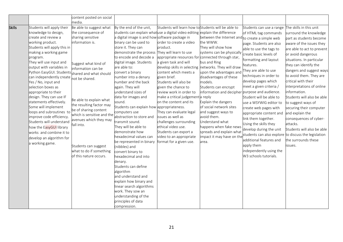| media.<br>Students will apply their<br>Be able to suggest what<br>By the end of the unit,<br>Students will learn how to Students will be able to<br>The skills in this unit<br>Students can use a range<br>students can explain what use a digital video editing explain the difference<br>knowledge to design,<br>the consequence of<br>surround the knowledge<br>of HTML tag commands<br>create and review a<br>a digital image is and how software package in<br>sharing sensitive<br>between the Internet and to create a simple web<br>part as students become<br>working product.<br>information is.<br>binary can be used to<br>order to create a video<br>the WWW.<br>aware of the issues they<br>page. Students are also<br>Students will apply this in<br>store it. They can<br>product.<br>They will show how<br>able to use the tags to<br>are able to act to prevent<br>making a working game<br>demonstrate the process<br>They will learn to use<br>systems can be physically<br>create basic levels of<br>or avoid dangerous<br>to encode and decode a<br>appropriate resources for connected through star,<br>program.<br>formatting and layout<br>situations. In particular<br>They will use input and<br>bus and Ring<br>digital image. Students<br>a given task and will<br>Suggest what kind of<br>they can identify the<br>features.<br>networks. They will draw<br>output with variables in<br>are able to:<br>develop skills in selecting<br>information can be<br>They are able to use<br>dangers and suggest ways<br>Python EasyGUI. Students<br>convert a binary<br>content which meets a<br>upon the advantages and<br>shared and what should<br>to avoid them. They are<br>techniques in order to<br>disadvantages of these<br>can independently create<br>number into a denary<br>given brief.<br>not be shared.<br>develop pages which<br>critical with their<br>Yes / No, input and<br>number and the back<br>models.<br>Students will also be<br>meet a given criteria /<br>interpretations of online<br>selection boxes as<br>again. They will<br>given the chance to<br>Students can encrypt<br>understand sizes of<br>information and decipher purpose and audience.<br>information.<br>appropriate to their<br>review work in order to<br>design. They can use IF<br>data for images and<br>Student will be able to<br>Students will also be able<br>make a critical judgement a reply<br>Be able to explain what<br>sound.<br>statements effectively.<br>on the content and its<br>Explain the dangers<br>use a WSYWIG editor to<br>to suggest ways of<br>the resulting factor may<br>Some will implement<br>Students can explain how appropriateness.<br>of social network sites<br>create web pages with<br>securing their computer<br>be of sharing content<br>loops and subroutines to<br>computers use<br>They can evaluate legal<br>and suggest ways to<br>and explain the<br>appropriate content and<br>which is sensitive and the<br>abstraction to store and<br>improve code efficiency.<br>issues as well as<br>avoid them.<br>link them together.<br>consequences of cyber-<br>avenues which they may<br>Students will understand<br>challenges surrounding<br>Understand what<br>transmit sound.<br>attacks.<br>Using the skills they<br>fall into.<br>ethical video use.<br>They will be able to<br>happens when fake news<br>how the EasyGUI library<br>develop during the unit<br>Students will also be able<br>spreads and explain what<br>demonstrate how<br>Students can export a<br>works and combine it to<br>students can also explore to discuss the legislation<br>hexadecimal values can<br>impact it may have on the<br>video to an appropriate<br>develop an algorithm for<br>additional features and<br>the surrounds these<br>be represented in binary<br>format for a given use.<br>area.<br>a working game.<br>apply them<br>issues.<br>Students can suggest<br>(nibbles) and<br>independently using the<br>what to do if something<br>convert binary to<br>of this nature occurs.<br>W3 schools tutorials.<br>hexadecimal and into<br>denary.<br>Students can define<br>algorithm<br>and understand and<br>explain how binary and<br>inear search algorithms<br>work. They sow an<br>understanding of the<br>principles of data |               | content posted on social |              |  |  |
|------------------------------------------------------------------------------------------------------------------------------------------------------------------------------------------------------------------------------------------------------------------------------------------------------------------------------------------------------------------------------------------------------------------------------------------------------------------------------------------------------------------------------------------------------------------------------------------------------------------------------------------------------------------------------------------------------------------------------------------------------------------------------------------------------------------------------------------------------------------------------------------------------------------------------------------------------------------------------------------------------------------------------------------------------------------------------------------------------------------------------------------------------------------------------------------------------------------------------------------------------------------------------------------------------------------------------------------------------------------------------------------------------------------------------------------------------------------------------------------------------------------------------------------------------------------------------------------------------------------------------------------------------------------------------------------------------------------------------------------------------------------------------------------------------------------------------------------------------------------------------------------------------------------------------------------------------------------------------------------------------------------------------------------------------------------------------------------------------------------------------------------------------------------------------------------------------------------------------------------------------------------------------------------------------------------------------------------------------------------------------------------------------------------------------------------------------------------------------------------------------------------------------------------------------------------------------------------------------------------------------------------------------------------------------------------------------------------------------------------------------------------------------------------------------------------------------------------------------------------------------------------------------------------------------------------------------------------------------------------------------------------------------------------------------------------------------------------------------------------------------------------------------------------------------------------------------------------------------------------------------------------------------------------------------------------------------------------------------------------------------------------------------------------------------------------------------------------------------------------------------------------------------------------------------------------------------------------------------------------------------------------------------------------------------------------------------------------------------------------------------------------------------------------------------------------------------------------------------------------------------------------------------------------------------------------------------------------------------------------------------------------------------------------------------------------------------------------------------------------------------------------------------------------------------------------------------------------------------------------------------------------------------------------------------|---------------|--------------------------|--------------|--|--|
|                                                                                                                                                                                                                                                                                                                                                                                                                                                                                                                                                                                                                                                                                                                                                                                                                                                                                                                                                                                                                                                                                                                                                                                                                                                                                                                                                                                                                                                                                                                                                                                                                                                                                                                                                                                                                                                                                                                                                                                                                                                                                                                                                                                                                                                                                                                                                                                                                                                                                                                                                                                                                                                                                                                                                                                                                                                                                                                                                                                                                                                                                                                                                                                                                                                                                                                                                                                                                                                                                                                                                                                                                                                                                                                                                                                                                                                                                                                                                                                                                                                                                                                                                                                                                                                                                                      |               |                          |              |  |  |
|                                                                                                                                                                                                                                                                                                                                                                                                                                                                                                                                                                                                                                                                                                                                                                                                                                                                                                                                                                                                                                                                                                                                                                                                                                                                                                                                                                                                                                                                                                                                                                                                                                                                                                                                                                                                                                                                                                                                                                                                                                                                                                                                                                                                                                                                                                                                                                                                                                                                                                                                                                                                                                                                                                                                                                                                                                                                                                                                                                                                                                                                                                                                                                                                                                                                                                                                                                                                                                                                                                                                                                                                                                                                                                                                                                                                                                                                                                                                                                                                                                                                                                                                                                                                                                                                                                      | <b>Skills</b> |                          |              |  |  |
|                                                                                                                                                                                                                                                                                                                                                                                                                                                                                                                                                                                                                                                                                                                                                                                                                                                                                                                                                                                                                                                                                                                                                                                                                                                                                                                                                                                                                                                                                                                                                                                                                                                                                                                                                                                                                                                                                                                                                                                                                                                                                                                                                                                                                                                                                                                                                                                                                                                                                                                                                                                                                                                                                                                                                                                                                                                                                                                                                                                                                                                                                                                                                                                                                                                                                                                                                                                                                                                                                                                                                                                                                                                                                                                                                                                                                                                                                                                                                                                                                                                                                                                                                                                                                                                                                                      |               |                          |              |  |  |
|                                                                                                                                                                                                                                                                                                                                                                                                                                                                                                                                                                                                                                                                                                                                                                                                                                                                                                                                                                                                                                                                                                                                                                                                                                                                                                                                                                                                                                                                                                                                                                                                                                                                                                                                                                                                                                                                                                                                                                                                                                                                                                                                                                                                                                                                                                                                                                                                                                                                                                                                                                                                                                                                                                                                                                                                                                                                                                                                                                                                                                                                                                                                                                                                                                                                                                                                                                                                                                                                                                                                                                                                                                                                                                                                                                                                                                                                                                                                                                                                                                                                                                                                                                                                                                                                                                      |               |                          |              |  |  |
|                                                                                                                                                                                                                                                                                                                                                                                                                                                                                                                                                                                                                                                                                                                                                                                                                                                                                                                                                                                                                                                                                                                                                                                                                                                                                                                                                                                                                                                                                                                                                                                                                                                                                                                                                                                                                                                                                                                                                                                                                                                                                                                                                                                                                                                                                                                                                                                                                                                                                                                                                                                                                                                                                                                                                                                                                                                                                                                                                                                                                                                                                                                                                                                                                                                                                                                                                                                                                                                                                                                                                                                                                                                                                                                                                                                                                                                                                                                                                                                                                                                                                                                                                                                                                                                                                                      |               |                          |              |  |  |
|                                                                                                                                                                                                                                                                                                                                                                                                                                                                                                                                                                                                                                                                                                                                                                                                                                                                                                                                                                                                                                                                                                                                                                                                                                                                                                                                                                                                                                                                                                                                                                                                                                                                                                                                                                                                                                                                                                                                                                                                                                                                                                                                                                                                                                                                                                                                                                                                                                                                                                                                                                                                                                                                                                                                                                                                                                                                                                                                                                                                                                                                                                                                                                                                                                                                                                                                                                                                                                                                                                                                                                                                                                                                                                                                                                                                                                                                                                                                                                                                                                                                                                                                                                                                                                                                                                      |               |                          |              |  |  |
|                                                                                                                                                                                                                                                                                                                                                                                                                                                                                                                                                                                                                                                                                                                                                                                                                                                                                                                                                                                                                                                                                                                                                                                                                                                                                                                                                                                                                                                                                                                                                                                                                                                                                                                                                                                                                                                                                                                                                                                                                                                                                                                                                                                                                                                                                                                                                                                                                                                                                                                                                                                                                                                                                                                                                                                                                                                                                                                                                                                                                                                                                                                                                                                                                                                                                                                                                                                                                                                                                                                                                                                                                                                                                                                                                                                                                                                                                                                                                                                                                                                                                                                                                                                                                                                                                                      |               |                          |              |  |  |
|                                                                                                                                                                                                                                                                                                                                                                                                                                                                                                                                                                                                                                                                                                                                                                                                                                                                                                                                                                                                                                                                                                                                                                                                                                                                                                                                                                                                                                                                                                                                                                                                                                                                                                                                                                                                                                                                                                                                                                                                                                                                                                                                                                                                                                                                                                                                                                                                                                                                                                                                                                                                                                                                                                                                                                                                                                                                                                                                                                                                                                                                                                                                                                                                                                                                                                                                                                                                                                                                                                                                                                                                                                                                                                                                                                                                                                                                                                                                                                                                                                                                                                                                                                                                                                                                                                      |               |                          |              |  |  |
|                                                                                                                                                                                                                                                                                                                                                                                                                                                                                                                                                                                                                                                                                                                                                                                                                                                                                                                                                                                                                                                                                                                                                                                                                                                                                                                                                                                                                                                                                                                                                                                                                                                                                                                                                                                                                                                                                                                                                                                                                                                                                                                                                                                                                                                                                                                                                                                                                                                                                                                                                                                                                                                                                                                                                                                                                                                                                                                                                                                                                                                                                                                                                                                                                                                                                                                                                                                                                                                                                                                                                                                                                                                                                                                                                                                                                                                                                                                                                                                                                                                                                                                                                                                                                                                                                                      |               |                          |              |  |  |
|                                                                                                                                                                                                                                                                                                                                                                                                                                                                                                                                                                                                                                                                                                                                                                                                                                                                                                                                                                                                                                                                                                                                                                                                                                                                                                                                                                                                                                                                                                                                                                                                                                                                                                                                                                                                                                                                                                                                                                                                                                                                                                                                                                                                                                                                                                                                                                                                                                                                                                                                                                                                                                                                                                                                                                                                                                                                                                                                                                                                                                                                                                                                                                                                                                                                                                                                                                                                                                                                                                                                                                                                                                                                                                                                                                                                                                                                                                                                                                                                                                                                                                                                                                                                                                                                                                      |               |                          |              |  |  |
|                                                                                                                                                                                                                                                                                                                                                                                                                                                                                                                                                                                                                                                                                                                                                                                                                                                                                                                                                                                                                                                                                                                                                                                                                                                                                                                                                                                                                                                                                                                                                                                                                                                                                                                                                                                                                                                                                                                                                                                                                                                                                                                                                                                                                                                                                                                                                                                                                                                                                                                                                                                                                                                                                                                                                                                                                                                                                                                                                                                                                                                                                                                                                                                                                                                                                                                                                                                                                                                                                                                                                                                                                                                                                                                                                                                                                                                                                                                                                                                                                                                                                                                                                                                                                                                                                                      |               |                          |              |  |  |
|                                                                                                                                                                                                                                                                                                                                                                                                                                                                                                                                                                                                                                                                                                                                                                                                                                                                                                                                                                                                                                                                                                                                                                                                                                                                                                                                                                                                                                                                                                                                                                                                                                                                                                                                                                                                                                                                                                                                                                                                                                                                                                                                                                                                                                                                                                                                                                                                                                                                                                                                                                                                                                                                                                                                                                                                                                                                                                                                                                                                                                                                                                                                                                                                                                                                                                                                                                                                                                                                                                                                                                                                                                                                                                                                                                                                                                                                                                                                                                                                                                                                                                                                                                                                                                                                                                      |               |                          |              |  |  |
|                                                                                                                                                                                                                                                                                                                                                                                                                                                                                                                                                                                                                                                                                                                                                                                                                                                                                                                                                                                                                                                                                                                                                                                                                                                                                                                                                                                                                                                                                                                                                                                                                                                                                                                                                                                                                                                                                                                                                                                                                                                                                                                                                                                                                                                                                                                                                                                                                                                                                                                                                                                                                                                                                                                                                                                                                                                                                                                                                                                                                                                                                                                                                                                                                                                                                                                                                                                                                                                                                                                                                                                                                                                                                                                                                                                                                                                                                                                                                                                                                                                                                                                                                                                                                                                                                                      |               |                          |              |  |  |
|                                                                                                                                                                                                                                                                                                                                                                                                                                                                                                                                                                                                                                                                                                                                                                                                                                                                                                                                                                                                                                                                                                                                                                                                                                                                                                                                                                                                                                                                                                                                                                                                                                                                                                                                                                                                                                                                                                                                                                                                                                                                                                                                                                                                                                                                                                                                                                                                                                                                                                                                                                                                                                                                                                                                                                                                                                                                                                                                                                                                                                                                                                                                                                                                                                                                                                                                                                                                                                                                                                                                                                                                                                                                                                                                                                                                                                                                                                                                                                                                                                                                                                                                                                                                                                                                                                      |               |                          |              |  |  |
|                                                                                                                                                                                                                                                                                                                                                                                                                                                                                                                                                                                                                                                                                                                                                                                                                                                                                                                                                                                                                                                                                                                                                                                                                                                                                                                                                                                                                                                                                                                                                                                                                                                                                                                                                                                                                                                                                                                                                                                                                                                                                                                                                                                                                                                                                                                                                                                                                                                                                                                                                                                                                                                                                                                                                                                                                                                                                                                                                                                                                                                                                                                                                                                                                                                                                                                                                                                                                                                                                                                                                                                                                                                                                                                                                                                                                                                                                                                                                                                                                                                                                                                                                                                                                                                                                                      |               |                          |              |  |  |
|                                                                                                                                                                                                                                                                                                                                                                                                                                                                                                                                                                                                                                                                                                                                                                                                                                                                                                                                                                                                                                                                                                                                                                                                                                                                                                                                                                                                                                                                                                                                                                                                                                                                                                                                                                                                                                                                                                                                                                                                                                                                                                                                                                                                                                                                                                                                                                                                                                                                                                                                                                                                                                                                                                                                                                                                                                                                                                                                                                                                                                                                                                                                                                                                                                                                                                                                                                                                                                                                                                                                                                                                                                                                                                                                                                                                                                                                                                                                                                                                                                                                                                                                                                                                                                                                                                      |               |                          |              |  |  |
|                                                                                                                                                                                                                                                                                                                                                                                                                                                                                                                                                                                                                                                                                                                                                                                                                                                                                                                                                                                                                                                                                                                                                                                                                                                                                                                                                                                                                                                                                                                                                                                                                                                                                                                                                                                                                                                                                                                                                                                                                                                                                                                                                                                                                                                                                                                                                                                                                                                                                                                                                                                                                                                                                                                                                                                                                                                                                                                                                                                                                                                                                                                                                                                                                                                                                                                                                                                                                                                                                                                                                                                                                                                                                                                                                                                                                                                                                                                                                                                                                                                                                                                                                                                                                                                                                                      |               |                          |              |  |  |
|                                                                                                                                                                                                                                                                                                                                                                                                                                                                                                                                                                                                                                                                                                                                                                                                                                                                                                                                                                                                                                                                                                                                                                                                                                                                                                                                                                                                                                                                                                                                                                                                                                                                                                                                                                                                                                                                                                                                                                                                                                                                                                                                                                                                                                                                                                                                                                                                                                                                                                                                                                                                                                                                                                                                                                                                                                                                                                                                                                                                                                                                                                                                                                                                                                                                                                                                                                                                                                                                                                                                                                                                                                                                                                                                                                                                                                                                                                                                                                                                                                                                                                                                                                                                                                                                                                      |               |                          |              |  |  |
|                                                                                                                                                                                                                                                                                                                                                                                                                                                                                                                                                                                                                                                                                                                                                                                                                                                                                                                                                                                                                                                                                                                                                                                                                                                                                                                                                                                                                                                                                                                                                                                                                                                                                                                                                                                                                                                                                                                                                                                                                                                                                                                                                                                                                                                                                                                                                                                                                                                                                                                                                                                                                                                                                                                                                                                                                                                                                                                                                                                                                                                                                                                                                                                                                                                                                                                                                                                                                                                                                                                                                                                                                                                                                                                                                                                                                                                                                                                                                                                                                                                                                                                                                                                                                                                                                                      |               |                          |              |  |  |
|                                                                                                                                                                                                                                                                                                                                                                                                                                                                                                                                                                                                                                                                                                                                                                                                                                                                                                                                                                                                                                                                                                                                                                                                                                                                                                                                                                                                                                                                                                                                                                                                                                                                                                                                                                                                                                                                                                                                                                                                                                                                                                                                                                                                                                                                                                                                                                                                                                                                                                                                                                                                                                                                                                                                                                                                                                                                                                                                                                                                                                                                                                                                                                                                                                                                                                                                                                                                                                                                                                                                                                                                                                                                                                                                                                                                                                                                                                                                                                                                                                                                                                                                                                                                                                                                                                      |               |                          |              |  |  |
|                                                                                                                                                                                                                                                                                                                                                                                                                                                                                                                                                                                                                                                                                                                                                                                                                                                                                                                                                                                                                                                                                                                                                                                                                                                                                                                                                                                                                                                                                                                                                                                                                                                                                                                                                                                                                                                                                                                                                                                                                                                                                                                                                                                                                                                                                                                                                                                                                                                                                                                                                                                                                                                                                                                                                                                                                                                                                                                                                                                                                                                                                                                                                                                                                                                                                                                                                                                                                                                                                                                                                                                                                                                                                                                                                                                                                                                                                                                                                                                                                                                                                                                                                                                                                                                                                                      |               |                          |              |  |  |
|                                                                                                                                                                                                                                                                                                                                                                                                                                                                                                                                                                                                                                                                                                                                                                                                                                                                                                                                                                                                                                                                                                                                                                                                                                                                                                                                                                                                                                                                                                                                                                                                                                                                                                                                                                                                                                                                                                                                                                                                                                                                                                                                                                                                                                                                                                                                                                                                                                                                                                                                                                                                                                                                                                                                                                                                                                                                                                                                                                                                                                                                                                                                                                                                                                                                                                                                                                                                                                                                                                                                                                                                                                                                                                                                                                                                                                                                                                                                                                                                                                                                                                                                                                                                                                                                                                      |               |                          |              |  |  |
|                                                                                                                                                                                                                                                                                                                                                                                                                                                                                                                                                                                                                                                                                                                                                                                                                                                                                                                                                                                                                                                                                                                                                                                                                                                                                                                                                                                                                                                                                                                                                                                                                                                                                                                                                                                                                                                                                                                                                                                                                                                                                                                                                                                                                                                                                                                                                                                                                                                                                                                                                                                                                                                                                                                                                                                                                                                                                                                                                                                                                                                                                                                                                                                                                                                                                                                                                                                                                                                                                                                                                                                                                                                                                                                                                                                                                                                                                                                                                                                                                                                                                                                                                                                                                                                                                                      |               |                          |              |  |  |
|                                                                                                                                                                                                                                                                                                                                                                                                                                                                                                                                                                                                                                                                                                                                                                                                                                                                                                                                                                                                                                                                                                                                                                                                                                                                                                                                                                                                                                                                                                                                                                                                                                                                                                                                                                                                                                                                                                                                                                                                                                                                                                                                                                                                                                                                                                                                                                                                                                                                                                                                                                                                                                                                                                                                                                                                                                                                                                                                                                                                                                                                                                                                                                                                                                                                                                                                                                                                                                                                                                                                                                                                                                                                                                                                                                                                                                                                                                                                                                                                                                                                                                                                                                                                                                                                                                      |               |                          |              |  |  |
|                                                                                                                                                                                                                                                                                                                                                                                                                                                                                                                                                                                                                                                                                                                                                                                                                                                                                                                                                                                                                                                                                                                                                                                                                                                                                                                                                                                                                                                                                                                                                                                                                                                                                                                                                                                                                                                                                                                                                                                                                                                                                                                                                                                                                                                                                                                                                                                                                                                                                                                                                                                                                                                                                                                                                                                                                                                                                                                                                                                                                                                                                                                                                                                                                                                                                                                                                                                                                                                                                                                                                                                                                                                                                                                                                                                                                                                                                                                                                                                                                                                                                                                                                                                                                                                                                                      |               |                          |              |  |  |
|                                                                                                                                                                                                                                                                                                                                                                                                                                                                                                                                                                                                                                                                                                                                                                                                                                                                                                                                                                                                                                                                                                                                                                                                                                                                                                                                                                                                                                                                                                                                                                                                                                                                                                                                                                                                                                                                                                                                                                                                                                                                                                                                                                                                                                                                                                                                                                                                                                                                                                                                                                                                                                                                                                                                                                                                                                                                                                                                                                                                                                                                                                                                                                                                                                                                                                                                                                                                                                                                                                                                                                                                                                                                                                                                                                                                                                                                                                                                                                                                                                                                                                                                                                                                                                                                                                      |               |                          |              |  |  |
|                                                                                                                                                                                                                                                                                                                                                                                                                                                                                                                                                                                                                                                                                                                                                                                                                                                                                                                                                                                                                                                                                                                                                                                                                                                                                                                                                                                                                                                                                                                                                                                                                                                                                                                                                                                                                                                                                                                                                                                                                                                                                                                                                                                                                                                                                                                                                                                                                                                                                                                                                                                                                                                                                                                                                                                                                                                                                                                                                                                                                                                                                                                                                                                                                                                                                                                                                                                                                                                                                                                                                                                                                                                                                                                                                                                                                                                                                                                                                                                                                                                                                                                                                                                                                                                                                                      |               |                          |              |  |  |
|                                                                                                                                                                                                                                                                                                                                                                                                                                                                                                                                                                                                                                                                                                                                                                                                                                                                                                                                                                                                                                                                                                                                                                                                                                                                                                                                                                                                                                                                                                                                                                                                                                                                                                                                                                                                                                                                                                                                                                                                                                                                                                                                                                                                                                                                                                                                                                                                                                                                                                                                                                                                                                                                                                                                                                                                                                                                                                                                                                                                                                                                                                                                                                                                                                                                                                                                                                                                                                                                                                                                                                                                                                                                                                                                                                                                                                                                                                                                                                                                                                                                                                                                                                                                                                                                                                      |               |                          |              |  |  |
|                                                                                                                                                                                                                                                                                                                                                                                                                                                                                                                                                                                                                                                                                                                                                                                                                                                                                                                                                                                                                                                                                                                                                                                                                                                                                                                                                                                                                                                                                                                                                                                                                                                                                                                                                                                                                                                                                                                                                                                                                                                                                                                                                                                                                                                                                                                                                                                                                                                                                                                                                                                                                                                                                                                                                                                                                                                                                                                                                                                                                                                                                                                                                                                                                                                                                                                                                                                                                                                                                                                                                                                                                                                                                                                                                                                                                                                                                                                                                                                                                                                                                                                                                                                                                                                                                                      |               |                          |              |  |  |
|                                                                                                                                                                                                                                                                                                                                                                                                                                                                                                                                                                                                                                                                                                                                                                                                                                                                                                                                                                                                                                                                                                                                                                                                                                                                                                                                                                                                                                                                                                                                                                                                                                                                                                                                                                                                                                                                                                                                                                                                                                                                                                                                                                                                                                                                                                                                                                                                                                                                                                                                                                                                                                                                                                                                                                                                                                                                                                                                                                                                                                                                                                                                                                                                                                                                                                                                                                                                                                                                                                                                                                                                                                                                                                                                                                                                                                                                                                                                                                                                                                                                                                                                                                                                                                                                                                      |               |                          |              |  |  |
|                                                                                                                                                                                                                                                                                                                                                                                                                                                                                                                                                                                                                                                                                                                                                                                                                                                                                                                                                                                                                                                                                                                                                                                                                                                                                                                                                                                                                                                                                                                                                                                                                                                                                                                                                                                                                                                                                                                                                                                                                                                                                                                                                                                                                                                                                                                                                                                                                                                                                                                                                                                                                                                                                                                                                                                                                                                                                                                                                                                                                                                                                                                                                                                                                                                                                                                                                                                                                                                                                                                                                                                                                                                                                                                                                                                                                                                                                                                                                                                                                                                                                                                                                                                                                                                                                                      |               |                          |              |  |  |
|                                                                                                                                                                                                                                                                                                                                                                                                                                                                                                                                                                                                                                                                                                                                                                                                                                                                                                                                                                                                                                                                                                                                                                                                                                                                                                                                                                                                                                                                                                                                                                                                                                                                                                                                                                                                                                                                                                                                                                                                                                                                                                                                                                                                                                                                                                                                                                                                                                                                                                                                                                                                                                                                                                                                                                                                                                                                                                                                                                                                                                                                                                                                                                                                                                                                                                                                                                                                                                                                                                                                                                                                                                                                                                                                                                                                                                                                                                                                                                                                                                                                                                                                                                                                                                                                                                      |               |                          |              |  |  |
|                                                                                                                                                                                                                                                                                                                                                                                                                                                                                                                                                                                                                                                                                                                                                                                                                                                                                                                                                                                                                                                                                                                                                                                                                                                                                                                                                                                                                                                                                                                                                                                                                                                                                                                                                                                                                                                                                                                                                                                                                                                                                                                                                                                                                                                                                                                                                                                                                                                                                                                                                                                                                                                                                                                                                                                                                                                                                                                                                                                                                                                                                                                                                                                                                                                                                                                                                                                                                                                                                                                                                                                                                                                                                                                                                                                                                                                                                                                                                                                                                                                                                                                                                                                                                                                                                                      |               |                          |              |  |  |
|                                                                                                                                                                                                                                                                                                                                                                                                                                                                                                                                                                                                                                                                                                                                                                                                                                                                                                                                                                                                                                                                                                                                                                                                                                                                                                                                                                                                                                                                                                                                                                                                                                                                                                                                                                                                                                                                                                                                                                                                                                                                                                                                                                                                                                                                                                                                                                                                                                                                                                                                                                                                                                                                                                                                                                                                                                                                                                                                                                                                                                                                                                                                                                                                                                                                                                                                                                                                                                                                                                                                                                                                                                                                                                                                                                                                                                                                                                                                                                                                                                                                                                                                                                                                                                                                                                      |               |                          |              |  |  |
|                                                                                                                                                                                                                                                                                                                                                                                                                                                                                                                                                                                                                                                                                                                                                                                                                                                                                                                                                                                                                                                                                                                                                                                                                                                                                                                                                                                                                                                                                                                                                                                                                                                                                                                                                                                                                                                                                                                                                                                                                                                                                                                                                                                                                                                                                                                                                                                                                                                                                                                                                                                                                                                                                                                                                                                                                                                                                                                                                                                                                                                                                                                                                                                                                                                                                                                                                                                                                                                                                                                                                                                                                                                                                                                                                                                                                                                                                                                                                                                                                                                                                                                                                                                                                                                                                                      |               |                          |              |  |  |
|                                                                                                                                                                                                                                                                                                                                                                                                                                                                                                                                                                                                                                                                                                                                                                                                                                                                                                                                                                                                                                                                                                                                                                                                                                                                                                                                                                                                                                                                                                                                                                                                                                                                                                                                                                                                                                                                                                                                                                                                                                                                                                                                                                                                                                                                                                                                                                                                                                                                                                                                                                                                                                                                                                                                                                                                                                                                                                                                                                                                                                                                                                                                                                                                                                                                                                                                                                                                                                                                                                                                                                                                                                                                                                                                                                                                                                                                                                                                                                                                                                                                                                                                                                                                                                                                                                      |               |                          |              |  |  |
|                                                                                                                                                                                                                                                                                                                                                                                                                                                                                                                                                                                                                                                                                                                                                                                                                                                                                                                                                                                                                                                                                                                                                                                                                                                                                                                                                                                                                                                                                                                                                                                                                                                                                                                                                                                                                                                                                                                                                                                                                                                                                                                                                                                                                                                                                                                                                                                                                                                                                                                                                                                                                                                                                                                                                                                                                                                                                                                                                                                                                                                                                                                                                                                                                                                                                                                                                                                                                                                                                                                                                                                                                                                                                                                                                                                                                                                                                                                                                                                                                                                                                                                                                                                                                                                                                                      |               |                          | compression. |  |  |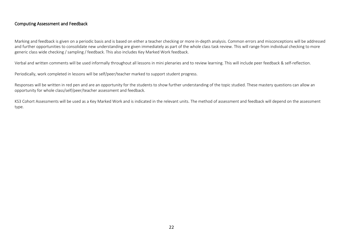## Computing Assessment and Feedback

Marking and feedback is given on a periodic basis and is based on either a teacher checking or more in-depth analysis. Common errors and misconceptions will be addressed and further opportunities to consolidate new understanding are given immediately as part of the whole class task review. This will range from individual checking to more generic class wide checking / sampling / feedback. This also includes Key Marked Work feedback.

Verbal and written comments will be used informally throughout all lessons in mini plenaries and to review learning. This will include peer feedback & self-reflection.

Periodically, work completed in lessons will be self/peer/teacher marked to support student progress.

Responses will be written in red pen and are an opportunity for the students to show further understanding of the topic studied. These mastery questions can allow an opportunity for whole class/self/peer/teacher assessment and feedback.

KS3 Cohort Assessments will be used as a Key Marked Work and is indicated in the relevant units. The method of assessment and feedback will depend on the assessment type.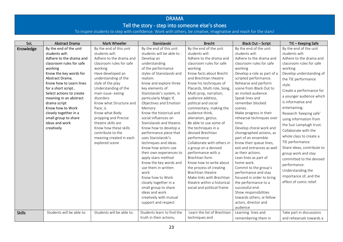## DRAMA Tell the story - step into someone else's shoes

To inspire students to step with confidence. Work with others, be creative, imaginative and reach for the stars!

| SoL           | <b>Abstract Drama</b>     | Mark Wheeller             | Stanislavski                                 | <b>Brecht</b>                              | <b>Black Out - Script</b>           | TIE - Keeping Safe         |
|---------------|---------------------------|---------------------------|----------------------------------------------|--------------------------------------------|-------------------------------------|----------------------------|
| Knowledge     | By the end of the unit    | By the end of this unit   | By the end of this unit                      | By the end of the unit                     | By the end of the unit              | By the end of the unit     |
|               | students will:            | students will:            | students will be able to:                    | students will:                             | students will:                      | students will:             |
|               | Adhere to the drama and   | Adhere to the drama and   | Develop an                                   | Adhere to the drama and                    | Adhere to the drama and             | Adhere to the drama and    |
|               | classroom rules for safe  | classroom rules for safe  | understanding                                | classroom rules for safe                   | classroom rules for safe            | classroom rules for safe   |
|               | working                   | working                   | of the performance                           | working                                    | working                             | working                    |
|               | Know the key words for    | Have developed an         | styles of Stanislavski and                   | Know facts about Brecht                    | Develop a role as part of a         | Develop understanding of   |
|               | Abstract Drama.           | understanding of the      | realism.                                     | and Brechtian theatre                      | scripted performance.               | the TIE performance        |
|               | Know how to Learn lines   | style of the play         | know and explore three                       | Know his techniques of                     | Rehearse and perform                | style.                     |
|               | for a short script        | Understanding of the      | key elements of                              | Placards, Multi role, Song,                | scene from Black Out to             | Create a performance for   |
|               | Select actions to create  | main issue-eating         | Stanislavski's system, in                    | Multi prop, narration,                     | an invited audience                 | a younger audience which   |
|               | meaning in an abstract    | disorders                 | particularly Magic If,                       | audience address,                          | Speak lines and                     | is informative and         |
|               | drama script              | Know what Structure and   | Objectives and Emotion                       | political and social                       | remember blocked                    |                            |
|               | Know how to Work          | Pace, is                  | Memory                                       | commentary, making the                     | scenes.                             | entertaining.              |
|               | closely together in a     | Know what Body            | Know the historical and                      | audience think,                            | Make progress in their              | Research 'keeping safe'    |
|               | small group to share      | propping and Precise      | social influences on                         | alienation, gestus.                        | rehearsal techniques over           | using information from     |
|               | ideas and work            | theatre skills are        | Stanislavski and theatre.                    | Be able to use some of                     | time.                               | the Suzi Lamplugh trust.   |
|               | creatively                | Know how these skills     | Know how to develop a                        | the techniques in a                        | Develop choral work and             | Collaborate with the       |
|               |                           | contribute to the         | performance piece that                       | devised Brechtian                          | choregraphed actions, as            | whole class to create a    |
|               |                           | meaning created in each   | uses Stanislavski's                          | performance                                | part of an ensemble.                | TIE performance.           |
|               |                           | explored scene            | techniques and ideas.                        | Collaborate with others in                 | Know their queue lines,             |                            |
|               |                           |                           | Know how actors use                          | a group on a devised<br>performance with a | exit and entrances as well          | Share ideas, contribute to |
|               |                           |                           | their own experiences to                     | Brechtian form                             | as their actions.                   | group work and stay        |
|               |                           |                           | apply stans method<br>Know the key words and | Know how to write about                    | Lean lines as part of<br>home work. | committed to the devised   |
|               |                           |                           | use them in written                          | the process of creating                    | Commit to the group's               | performance.               |
|               |                           |                           | work                                         | Brechtian theatre                          | performance and stay                | Understanding the          |
|               |                           |                           | Know how to Work                             | Make links with Brechtian                  | focused in order to bring           | importance of, and the     |
|               |                           |                           | closely together in a                        | theatre within a historical.               | the performance to a                | effect of comic relief.    |
|               |                           |                           | small group to share                         | social and political frame                 | successful end.                     |                            |
|               |                           |                           | ideas and work                               |                                            | Show responsibilities               |                            |
|               |                           |                           | creatively with mutual                       |                                            | towards others, ie fellow           |                            |
|               |                           |                           | support and respect                          |                                            | actors, director and                |                            |
|               |                           |                           |                                              |                                            | audience                            |                            |
| <b>Skills</b> | Students will be able to: | Students will be able to: | Students learn to find the                   | Learn the list of Brechtian                | Learning lines and                  | Take part in discussions   |
|               |                           |                           | truth in their actions,                      | techniques and                             | remembering them in                 | and rehearsals towards a   |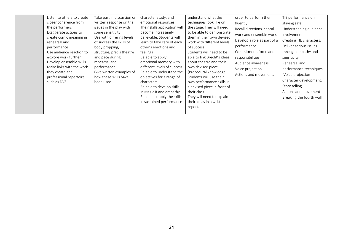|  | Listen to others to create<br>closer coherence from<br>the performers<br>Exaggerate actions to<br>create comic meaning in<br>rehearsal and<br>performance<br>Use audience reaction to<br>explore work further<br>Develop ensemble skills<br>Make links with the work<br>they create and<br>professional repertoire<br>such as DV8 | Take part in discussion or<br>written response on the<br>issues in the play with<br>some sensitivity<br>Use with differing levels<br>of success the skills of<br>body propping,<br>structure, precis theatre<br>and pace during<br>rehearsal and<br>performance<br>Give written examples of<br>how these skills have<br>been used | character study, and<br>emotional responses.<br>Their skills application will<br>become increasingly<br>believable. Students will<br>learn to take care of each<br>other's emotions and<br>feelings<br>Be able to apply<br>emotional memory with<br>different levels of success<br>Be able to understand the<br>objectives for a range of<br>characters<br>Be able to develop skills<br>in Magic If and empathy<br>Be able to apply the skills<br>in sustained performance | understand what the<br>techniques look like on<br>the stage. They will need<br>to be able to demonstrate<br>them in their own devised<br>work with different levels<br>of success<br>Students will need to be<br>able to link Brecht's ideas<br>about theatre and their<br>own devised piece.<br>(Procedural knowledge)<br>Students will use their<br>own performance skills in<br>a devised piece in front of<br>their class.<br>They will need to explain<br>their ideas in a written<br>report. | order to perform them<br>fluently.<br>Recall directions, choral<br>work and ensemble work.<br>Develop a role as part of a<br>performance.<br>Commitment, focus and<br>responsibilities<br>Audience awareness<br>Voice projection<br>Actions and movement. | TIE performance on<br>staying safe.<br>Understanding audience<br>involvement<br>Creating TIE characters.<br>Deliver serious issues<br>through empathy and<br>sensitivity<br>Rehearsal and<br>performance techniques<br>:Voice projection<br>Character development.<br>Story telling.<br>Actions and movement<br>Breaking the fourth wall |
|--|-----------------------------------------------------------------------------------------------------------------------------------------------------------------------------------------------------------------------------------------------------------------------------------------------------------------------------------|-----------------------------------------------------------------------------------------------------------------------------------------------------------------------------------------------------------------------------------------------------------------------------------------------------------------------------------|----------------------------------------------------------------------------------------------------------------------------------------------------------------------------------------------------------------------------------------------------------------------------------------------------------------------------------------------------------------------------------------------------------------------------------------------------------------------------|----------------------------------------------------------------------------------------------------------------------------------------------------------------------------------------------------------------------------------------------------------------------------------------------------------------------------------------------------------------------------------------------------------------------------------------------------------------------------------------------------|-----------------------------------------------------------------------------------------------------------------------------------------------------------------------------------------------------------------------------------------------------------|------------------------------------------------------------------------------------------------------------------------------------------------------------------------------------------------------------------------------------------------------------------------------------------------------------------------------------------|
|--|-----------------------------------------------------------------------------------------------------------------------------------------------------------------------------------------------------------------------------------------------------------------------------------------------------------------------------------|-----------------------------------------------------------------------------------------------------------------------------------------------------------------------------------------------------------------------------------------------------------------------------------------------------------------------------------|----------------------------------------------------------------------------------------------------------------------------------------------------------------------------------------------------------------------------------------------------------------------------------------------------------------------------------------------------------------------------------------------------------------------------------------------------------------------------|----------------------------------------------------------------------------------------------------------------------------------------------------------------------------------------------------------------------------------------------------------------------------------------------------------------------------------------------------------------------------------------------------------------------------------------------------------------------------------------------------|-----------------------------------------------------------------------------------------------------------------------------------------------------------------------------------------------------------------------------------------------------------|------------------------------------------------------------------------------------------------------------------------------------------------------------------------------------------------------------------------------------------------------------------------------------------------------------------------------------------|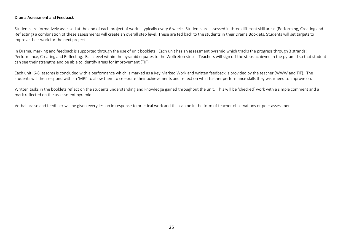#### Drama Assessment and Feedback

Students are formatively assessed at the end of each project of work – typically every 6 weeks. Students are assessed in three different skill areas (Performing, Creating and Reflecting) a combination of these assessments will create an overall step level. These are fed back to the students in their Drama Booklets. Students will set targets to improve their work for the next project.

In Drama, marking and feedback is supported through the use of unit booklets. Each unit has an assessment pyramid which tracks the progress through 3 strands: Performance, Creating and Reflecting. Each level within the pyramid equates to the Wolfreton steps. Teachers will sign off the steps achieved in the pyramid so that student can see their strengths and be able to identify areas for improvement (TIF).

Each unit (6-8 lessons) is concluded with a performance which is marked as a Key Marked Work and written feedback is provided by the teacher (WWW and TIF). The students will then respond with an 'MRI' to allow them to celebrate their achievements and reflect on what further performance skills they wish/need to improve on.

Written tasks in the booklets reflect on the students understanding and knowledge gained throughout the unit. This will be 'checked' work with a simple comment and a mark reflected on the assessment pyramid.

Verbal praise and feedback will be given every lesson in response to practical work and this can be in the form of teacher observations or peer assessment.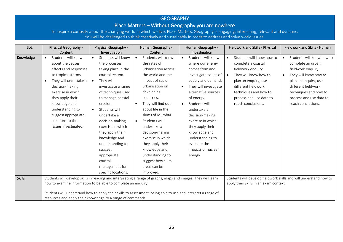## **GEOGRAPHY**

## Place Matters – Without Geography you are nowhere

To inspire a curiosity about the changing world in which we live. Place Matters. Geography is engaging, interesting, relevant and dynamic. You will be challenged to think creatively and sustainably in order to address and solve world issues.

| SoL           | Physical Geography -<br>Content                                                                                                                                                                                                                                                                                | Physical Geography -<br>Investigation                                                                                                                                                                                                                                                                                                                                                                                          | Human Geography -<br>Content                                                                                                                                                                                                                                                                                                                                                                                                             | Human Geography -<br>Investigation                                                                                                                                                                                                                                                                                                                                                             | Fieldwork and Skills - Physical                                                                                                                                                                                                      | Fieldwork and Skills - Human                                                                                                                                                                                                        |
|---------------|----------------------------------------------------------------------------------------------------------------------------------------------------------------------------------------------------------------------------------------------------------------------------------------------------------------|--------------------------------------------------------------------------------------------------------------------------------------------------------------------------------------------------------------------------------------------------------------------------------------------------------------------------------------------------------------------------------------------------------------------------------|------------------------------------------------------------------------------------------------------------------------------------------------------------------------------------------------------------------------------------------------------------------------------------------------------------------------------------------------------------------------------------------------------------------------------------------|------------------------------------------------------------------------------------------------------------------------------------------------------------------------------------------------------------------------------------------------------------------------------------------------------------------------------------------------------------------------------------------------|--------------------------------------------------------------------------------------------------------------------------------------------------------------------------------------------------------------------------------------|-------------------------------------------------------------------------------------------------------------------------------------------------------------------------------------------------------------------------------------|
| Knowledge     | Students will know<br>$\bullet$<br>about the causes,<br>effects and responses<br>to tropical storms.<br>They will undertake a<br>$\bullet$<br>decision-making<br>exercise in which<br>they apply their<br>knowledge and<br>understanding to<br>suggest appropriate<br>solutions to the<br>issues investigated. | Students will know<br>$\bullet$<br>the processes<br>taking place in the<br>coastal system.<br>They will<br>$\bullet$<br>investigate a range<br>of techniques used<br>to manage coastal<br>erosion.<br>Students will<br>$\bullet$<br>undertake a<br>decision-making<br>exercise in which<br>they apply their<br>knowledge and<br>understanding to<br>suggest<br>appropriate<br>coastal<br>management for<br>specific locations. | Students will know<br>$\bullet$<br>the rates of<br>urbanisation across<br>the world and the<br>impact of rapid<br>urbanisation on<br>developing<br>countries.<br>They will find out<br>$\bullet$<br>about life in the<br>slums of Mumbai.<br>Students will<br>$\bullet$<br>undertake a<br>decision-making<br>exercise in which<br>they apply their<br>knowledge and<br>understanding to<br>suggest how slum<br>areas can be<br>improved. | Students will know<br>$\bullet$<br>where our energy<br>comes from and<br>investigate issues of<br>supply and demand.<br>They will investigate<br>$\bullet$<br>alternative sources<br>of energy.<br>Students will<br>$\bullet$<br>undertake a<br>decision-making<br>exercise in which<br>they apply their<br>knowledge and<br>understanding to<br>evaluate the<br>impacts of nuclear<br>energy. | Students will know how to<br>$\bullet$<br>complete a coastal<br>fieldwork enquiry.<br>They will know how to<br>plan an enquiry, use<br>different fieldwork<br>techniques and how to<br>process and use data to<br>reach conclusions. | Students will know how to<br>complete an urban<br>fieldwork enquiry.<br>They will know how to<br>$\bullet$<br>plan an enquiry, use<br>different fieldwork<br>techniques and how to<br>process and use data to<br>reach conclusions. |
| <b>Skills</b> | how to examine information to be able to complete an enquiry.                                                                                                                                                                                                                                                  |                                                                                                                                                                                                                                                                                                                                                                                                                                | Students will develop skills in reading and interpreting a range of graphs, maps and images. They will learn                                                                                                                                                                                                                                                                                                                             |                                                                                                                                                                                                                                                                                                                                                                                                | Students will develop fieldwork skills and will understand how to<br>apply their skills in an exam context.                                                                                                                          |                                                                                                                                                                                                                                     |
|               | resources and apply their knowledge to a range of commands.                                                                                                                                                                                                                                                    |                                                                                                                                                                                                                                                                                                                                                                                                                                | Students will understand how to apply their skills to assessment, being able to use and interpret a range of                                                                                                                                                                                                                                                                                                                             |                                                                                                                                                                                                                                                                                                                                                                                                |                                                                                                                                                                                                                                      |                                                                                                                                                                                                                                     |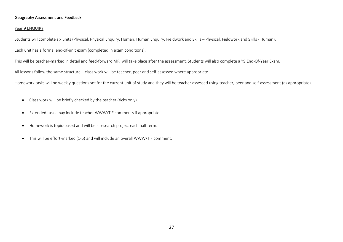## Geography Assessment and Feedback

#### Year 9 ENQUIRY

Students will complete six units (Physical, Physical Enquiry, Human, Human Enquiry, Fieldwork and Skills – Physical, Fieldwork and Skills - Human).

Each unit has a formal end-of-unit exam (completed in exam conditions).

This will be teacher-marked in detail and feed-forward MRI will take place after the assessment. Students will also complete a Y9 End-Of-Year Exam.

All lessons follow the same structure – class work will be teacher, peer and self-assessed where appropriate.

Homework tasks will be weekly questions set for the current unit of study and they will be teacher assessed using teacher, peer and self-assessment (as appropriate).

- Class work will be briefly checked by the teacher (ticks only).
- Extended tasks may include teacher WWW/TIF comments if appropriate.
- Homework is topic-based and will be a research project each half term.
- This will be effort-marked (1-5) and will include an overall WWW/TIF comment.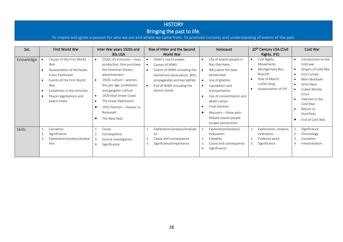#### **HISTORY** Bringing the past to life. To inspire and ignite a passion for who we are and where we came from. To promote curiosity and understanding of events of the past. SoL First World War Inter War years 1920s and 30s USA Rise of Hitler and the Second World War Holocaust 20<sup>th</sup> Century USA (Civil Rights, JFK) Cold War Knowledge • Causes of the First World War • 1920s US economy – mass production, hire purchase, • Hitler's rise to power.  $\int$   $\int$  Causes of WWII. • Life of Jewish people in Nazi Germany • Civil Rights Movements • Montgomery Bus • Introduction to the Cold war • Origins of Cold War

|        | Assassination of Archduke<br>$\bullet$<br>Franz Ferdinand<br>Events of the First World<br>$\bullet$<br>War<br>Conditions in the trenches<br>$\bullet$<br>Peace negotiations and<br>$\bullet$<br>peace treaty | the American dream,<br>advertisement<br>1920s culture - women,<br>the jazz age, prohibition<br>and gangster culture<br>1929 Wall Street Crash<br>The Great Depression<br>1932 Election - Hoover vs<br>Roosevelt<br>The New Deal | Events of WWII including the<br>Homefront (evacuation, Blitz,<br>propaganda) and key battles.<br>End of WWII including the<br>atomic bomb. | Montgomery Bus<br>Why were the Jews<br>$\bullet$<br>Boycott<br>persecuted<br>Role of Martin<br>$\bullet$<br>Use of ghettos<br>Luther King<br>Liquidation and<br>Assassination of JFK<br>transportation<br>Use of concentration and<br>death camps<br>Final Solution<br>Rescuers – those who<br>helped Jewish people<br>escape persecution | Origins of Cold War<br>Iron Curtain<br>Belin Blockade<br>Arms Race<br>Cuban Missile<br>Crisis<br>Vietnam in the<br>Cold War<br>Return to<br>Hostilities<br>End of Cold War |
|--------|--------------------------------------------------------------------------------------------------------------------------------------------------------------------------------------------------------------|---------------------------------------------------------------------------------------------------------------------------------------------------------------------------------------------------------------------------------|--------------------------------------------------------------------------------------------------------------------------------------------|-------------------------------------------------------------------------------------------------------------------------------------------------------------------------------------------------------------------------------------------------------------------------------------------------------------------------------------------|----------------------------------------------------------------------------------------------------------------------------------------------------------------------------|
| Skills | Causation<br>Significance<br>2.<br>Explanation/analysis/evalua<br>tion                                                                                                                                       | Cause<br>Consequence<br>Source Investigation<br>3.<br>Significance<br>4.                                                                                                                                                        | Explanation/analysis/evaluati<br>on<br>Cause and consequence<br>z.<br>Significance/importance                                              | Explanation/analysis/<br>Explanation, analysis,<br>T.<br>evaluation.<br>evaluation<br>Evidence work<br>2.<br>Empathy.<br>2.<br>Cause and consequence<br>3.<br>Significance<br>3.<br>Significance<br>4.                                                                                                                                    | Significance<br>Chronology<br>Causation<br>Interpretation                                                                                                                  |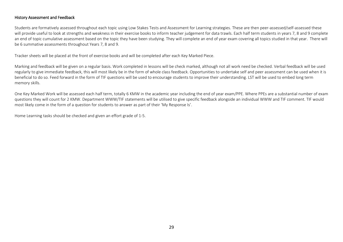## History Assessment and Feedback

Students are formatively assessed throughout each topic using Low Stakes Tests and Assessment for Learning strategies. These are then peer-assessed/self-assessed these will provide useful to look at strengths and weakness in their exercise books to inform teacher judgement for data trawls. Each half term students in years 7, 8 and 9 complete an end of topic cumulative assessment based on the topic they have been studying. They will complete an end of year exam covering all topics studied in that year. There will be 6 summative assessments throughout Years 7, 8 and 9.

Tracker sheets will be placed at the front of exercise books and will be completed after each Key Marked Piece.

Marking and feedback will be given on a regular basis. Work completed in lessons will be check marked, although not all work need be checked. Verbal feedback will be used regularly to give immediate feedback, this will most likely be in the form of whole class feedback. Opportunities to undertake self and peer assessment can be used when it is beneficial to do so. Feed forward in the form of TIF questions will be used to encourage students to improve their understanding. LST will be used to embed long term memory skills.

One Key Marked Work will be assessed each half term, totally 6 KMW in the academic year including the end of year exam/PPE. Where PPEs are a substantial number of exam questions they will count for 2 KMW. Department WWW/TIF statements will be utilised to give specific feedback alongside an individual WWW and TIF comment. TIF would most likely come in the form of a question for students to answer as part of their 'My Response Is'.

Home Learning tasks should be checked and given an effort grade of 1-5.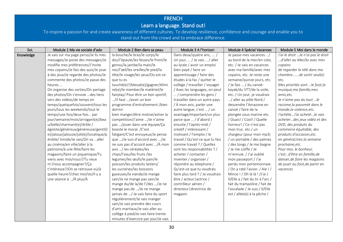# FRENCH

## Learn a language. Stand out!

| SoL       | Module 1 Ma vie sociale d'ado          | Module 2 Bien dans sa peau          | Module 3 A l'horizon            | Module 4 Spécial Vacances         | Module 5 Moi dans le monde          |
|-----------|----------------------------------------|-------------------------------------|---------------------------------|-----------------------------------|-------------------------------------|
| Knowledge | Je vais sur ma page perso/Je lis mes   | la bouche/le bras/le corps/le       | Dans deux/quatre ans,  /        | Je passe mes vacances /           | J'ai le droit  Je n'ai pas le droit |
|           | messages/Je poste des messages/Je      | dos/l'épaule/les fesses/le front/le | Un jour,  / Je vais  / aller    | au bord de la mer/en colo,        | d'aller au MacDo avec mes           |
|           | modifie mes préférences/J'invite       | genou/la jambe/la main/le           | au lycée / avoir un emploi      | etc. / Je vais en vacances        | copains                             |
|           | mes copains/Je fais des quiz/Je joue   | nez/l'œil/les oreilles/le pied/la   | bien payé / faire un            | avec ma famille/avec mes          | de regarder la télé dans ma         |
|           | à des jeux/Je regarde des photos/Je    | tête/le visage/les yeux/Où est-ce   | apprentissage / faire des       | copains, etc. Je reste une        | chambrede sortir seul(e)            |
|           | commente des photos/Je passe des       | que tu es                           | études à la fac / quitter le    | semaine/quinze jours, etc.        | etc.                                |
|           | heures                                 | touché(e)?/blessé(e)/gagner/élimi   | collège / travailler / voyager  | / Je fais  / du canoë-            | Mes priorités sont  le foot, la     |
|           | On organise des sorties/On partage     | né(e)/le member/le matériel/le      | / Avec les languages, on peut   | kayak/du VTT/de la voile,         | musique, ma famille, mes            |
|           | des photos/On s'envoie des liens       | fairplay/ Pour être un bon sportif, | / comprendre les gens /         | etc. / Un jour, je voudrais       | amis, etc.                          |
|           | vers des vidéos/de temps en            | /il faut /avoir un bon              | travailler dans un autre pays   | / aller au pôle Nord /            | Je n'aime pas du tout  le           |
|           | temps/quelquefois/souvent/tous les     | programme d'entraînement /bien      | / À mon avis, parler une        | descendre l'Amazone en            | racisme, la pauvreté dans le        |
|           | jours/tous les weekends/tout le        | dormir                              | autre langue, c'est  / un       | canoë / faire de la               | monde, la violence, etc.            |
|           | temps/une fois/deux fois par           | bien manger/être motive/aimer la    | avantage/important/un plus      | plongée sous-marine etc.          | J'achèteJ'ai achetéJe vais          |
|           | jour/semaine/mois/arrogant(e)/bea      | competition/J'aime /Je n'aime       | parce que  / d'abord /          | / Ouais! / Cool! / Quelle         | acheterdes jeux vidéo et des        |
|           | u/belle/charmant(e)/drôle /            | pas /jouer dans une équipe/Ça       | ensuite / l'après-midi /        | horreur! / Ce n'est pas           | DVD, des produits du                |
|           | égoïste/généreux/généreuse/gentil(l    | booste le moral. / C'est            | créatif / intéressant /         | mon truc. etc./ un                | commerce équitable, des             |
|           | e)/jaloux/jalousie/joli(e)/lunatique/p | fatigant/C'est ennuyeux/Je pense    | motivant / l'emploi / le        | chargeur (pour mon mp3)           | produits d'occasion, etc.           |
|           | énible/ timide/Je vais/On va aller     | que /Je suis d'accord avec /Je      | travail / Qu'est-ce que tu fais | / un portable / des palmes        | en général, hier, la semaine        |
|           | au cinéma/en ville/aller à la          | ne suis pas d'accord avec /À mon    | comme travail ? / Quelles       | / des tongs / Je me baigne        | prochaine, etc.                     |
|           | patinoire/à une fête/faire les         | avis / les céréales/les             | sont tes responsabilités ? /    | / Je me coiffe / Je               | Pour moi, le bonheur,               |
|           | magasins/faire un piquenique/Tu        | chips/l'eau/les fruits /les         | acheter / contacter /           | m'ennuie. / J'ai oublié           | c'estd'être en famille, de          |
|           | viens avec moi/nous?/Tu veux           | legumes/les œufs/le pain/le         | inventer / organiser /          | mon passeport / J'ai              | danser, de faire les magasins       |
|           | m'/nous accompagner?/Ça                | poisson/les produits laitiers/      | répondre au telephone /         | perdu mon portemonnaie.           | de jouer au foot, de partir en      |
|           | t'intéresse?/On se retrouve où/à       | les sucreries/les boissons          | Qu'est-ce que tu voudrais       | / On a raté l'avion. / Aïe ! /    | vacances                            |
|           | quelle heure?/chez moi/toi/Il y a      | gazeuses/la viande/Je mange         | faire plus tard ? / Je voudrais | Mince ! / Oh là là ! /J'ai /      |                                     |
|           | une séance à /À plus/À                 | sain/Je ne mange pas sain/Je        | être / acteur   actrice /       | Il/Elle a / fait du tir à l'arc / |                                     |
|           |                                        | mange du/de la/de l'/des /Je ne     | contrôleur aérien /             | fait du trampoline / fait de      |                                     |
|           |                                        | mange pas de /Je ne mange           | directeur directrice de         | l'escalade / Je suis / Il/Elle    |                                     |
|           |                                        | jamais de / Je vais faire du sport  | magasin                         | est / allée(e) à la pêche /       |                                     |
|           |                                        | régulièrement/Je vais manger        |                                 |                                   |                                     |
|           |                                        | sain/Je vais prendre des cours      |                                 |                                   |                                     |
|           |                                        | d'arts martiaux/Je vais aller au    |                                 |                                   |                                     |
|           |                                        | collège à pied/Je vais faire trente |                                 |                                   |                                     |
|           |                                        | minutes d'exercice par jour/Je vais |                                 |                                   |                                     |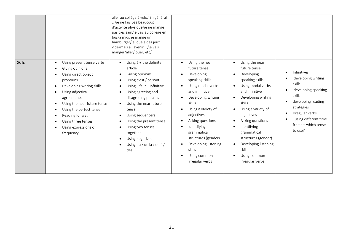|               |                                                                                                                                                                                                                                                                                                                                                                                                                           | aller au collège à vélo/ En général<br>/je ne fais pas beaucoup<br>d'activité physique/je ne mange<br>pas très sain/je vais au collège en<br>bus/à midi, je mange un<br>hamburger/je joue à des jeux<br>vidé/mais à l'avenir /je vais<br>manger/aller/jouer, etc/                                                                                                                                                                                                             |                                                                                                                                                                                                                                                                                                                                       |                                                                                                                                                                                                                                                                                                                                       |                                                                                                                                                                                                                                                   |
|---------------|---------------------------------------------------------------------------------------------------------------------------------------------------------------------------------------------------------------------------------------------------------------------------------------------------------------------------------------------------------------------------------------------------------------------------|-------------------------------------------------------------------------------------------------------------------------------------------------------------------------------------------------------------------------------------------------------------------------------------------------------------------------------------------------------------------------------------------------------------------------------------------------------------------------------|---------------------------------------------------------------------------------------------------------------------------------------------------------------------------------------------------------------------------------------------------------------------------------------------------------------------------------------|---------------------------------------------------------------------------------------------------------------------------------------------------------------------------------------------------------------------------------------------------------------------------------------------------------------------------------------|---------------------------------------------------------------------------------------------------------------------------------------------------------------------------------------------------------------------------------------------------|
| <b>Skills</b> | Using present tense verbs<br>$\bullet$<br>Giving opinions<br>$\bullet$<br>Using direct object<br>$\bullet$<br>pronouns<br>Developing writing skills<br>$\bullet$<br>Using adjectival<br>$\bullet$<br>agreements<br>Using the near future tense<br>$\bullet$<br>Using the perfect tense<br>$\bullet$<br>Reading for gist<br>$\bullet$<br>Using three tenses<br>$\bullet$<br>Using expressions of<br>$\bullet$<br>frequency | Using $\grave{a}$ + the definite<br>$\bullet$<br>article<br>Giving opinions<br>$\bullet$<br>Using c'est / ce sont<br>Using il faut + infinitive<br>$\bullet$<br>Using agreeing and<br>$\bullet$<br>disagreeing phrases<br>Using the near future<br>$\bullet$<br>tense<br>Using sequencers<br>$\bullet$<br>Using the present tense<br>$\bullet$<br>Using two tenses<br>$\bullet$<br>together<br>Using negatives<br>$\bullet$<br>Using du / de la / de l' /<br>$\bullet$<br>des | Using the near<br>$\bullet$<br>future tense<br>Developing<br>speaking skills<br>Using modal verbs<br>and infinitive<br>Developing writing<br>skills<br>Using a variety of<br>adjectives<br>Asking questions<br>Identifying<br>grammatical<br>structures (gender)<br>Developing listening<br>skills<br>Using common<br>irregular verbs | Using the near<br>$\bullet$<br>future tense<br>Developing<br>speaking skills<br>Using modal verbs<br>and infinitive<br>Developing writing<br>skills<br>Using a variety of<br>adjectives<br>Asking questions<br>Identifying<br>grammatical<br>structures (gender)<br>Developing listening<br>skills<br>Using common<br>irregular verbs | Infinitives<br>$\bullet$<br>developing writing<br>skills<br>developing speaking<br>$\bullet$<br>skills<br>developing reading<br>$\bullet$<br>strategies<br>Irregular verbs<br>$\bullet$<br>using different time<br>frames: which tense<br>to use? |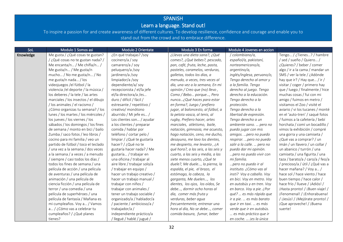## SPANISH

## Learn a language. Stand out!

| SoL       | Modulo 1 Somos asi                   | Modulo 2 Orientate           | Modulo 3 En forma                   | Modulo 4 Jovenes en accion |                                  |
|-----------|--------------------------------------|------------------------------|-------------------------------------|----------------------------|----------------------------------|
| Knowledge | Me gusta / ¿Qué cosas te gustan?     | ¿En qué trabajas? /soy       | ¿Llevas una dieta sana?, ¿Qué       | / colombiano/a,            | Tengo / ¿Tienes? / hambre        |
|           | /¿Qué cosas no te gustan nada?/      | cocinero/a / soy             | comes?, ¿Qué bebes?, pescado,       | español/a, pakistaní,      | / sed / sueño / Quiero /         |
|           | Me encanta/n / Me chifla/n /         | camarero/a / soy             | pan, café, fruta, leche, pasta,     | norteamericano/a,          | ¿Quieres? / beber / comer        |
|           | Me gusta/n / Me gusta/n              | peluquero/a /soy             | pasteles, caramelos, verduras,      | argentino/a,               | algo / ir a la cama / mandar un  |
|           | mucho / No me gusta/n / No           | jardinero/a/soy              | galletas, todos los días, a         | inglés/inglesa, peruano/o, | SMS / ver la tele / ¿Adónde      |
|           | me gusta/n nada / los                | limpiador/a/soy              | menudo, a veces, tres veces al      | Tengo derecho al amor y    | hay que ir? / Hay que / ir /     |
|           | videojuegos /el fútbol / la          | dependiente/a/ soy           | día, una vez a la semana, En mi     | a la familia. Tengo        | visitar / coger / primero hay    |
|           | violencia / el deporte / la música / | recepcionista / el/la jefe   | opinión / Creo que (no) llevo,      | derecho al juego. Tengo    | que / luego / finalmente / hice  |
|           | los deberes / la tele / las artes    | el/la directora/a /es        | Como / Bebo porque, Pero            | derecho a la educación.    | muchas cosas / fui con mi        |
|           | marciales / los insectos / el dibujo | duro / difícil / fácil /     | nunca¿Qué haces para estar          | Tengo derecho a la         | amigo / fuimos en metro /        |
|           | / los animales / el racismo /        | estresante / repetitivo /    | en forma?, Juego / prefiero         | protección.                | visitamos el Zoo / visité el     |
|           | ¿Cómo organizas tu semana? / los     | creativo/ monótono           | jugar, al baloncesto, al fútbol, a  | Tengo derecho a la         | aviario / vi los tucanes / monté |
|           | lunes / los martes / los miércoles / | aburrido / Mi jefe es /      | la pelota vasca, al tenis, al       | libertad de expresión.     | en el 'auto-tren' / saqué fotos  |
|           | los jueves / los viernes / los       | Los clientes son / ayudar    | rugby, Prefiero hacer, artes        | Tengo derecho a un         | / fuimos a la cafetería / bebí   |
|           | sábados / los domingos / los fines   | a los clientes / preparar    | marciales, atletismo, baile,        | ambiente sano.  pero no    | horchata / comí un bocadillo /   |
|           | de semana / monto en bici / bailo    | comida / hablar por          | natación, gimnasia, me acuesto,     | puedo jugar con mis        | vimos la exhibición / compré     |
|           | Zumba / saco fotos / leo libros /    | teléfono / cortar pelo /     | hago natación, ceno, me ducho,      | amigos.  pero no puedo     | una gorra y una camiseta /       |
|           | cocino para mi familia / veo un      | limpiar / ¿Qué te gustaría   | desayuno, me lavo los dientes,      | respirar. pero no puedo    | ¿Qué vas a comprar? / un         |
|           | partido de fútbol / toco el teclado  | hacer? / ¿Qué no te          | me despierto, me levanto, ¿A        | salir a la calle.  pero no | imán / un llavero / un collar /  |
|           | una vez a la semana / dos veces      | gustaría hacer nada? / Me    | qué hora?, a las seis, a las seis y | puedo dar mi opinión.      | un abanico / turrón / una        |
|           | a la semana / a veces / a menudo     | gustaría / trabajar en       | cuarto, a las seis y media, a las   | pero no puedo vivir con    | camiseta / una figurita / una    |
|           | / siempre / casi todos los días /    | una oficina / trabajar al    | siete menos cuarto, ¿Qué te         | mi familia.                | taza / barato/a / caro/a / feo/a |
|           | todos los fines de semana / una      | aire libre / trabajar solo/a | duele?, Me duele, la pierna, la     | pero no puedo ir al        | / precioso/a / útil / ¿Qué vas a |
|           | película de acción / una película    | / trabajar en equipo /       | espalda, el pie, el brazo, el       | instituto. ¿Cómo vas al    | hacer mañana? / Voy a /          |
|           | de aventuras / una película de       | hacer un trabajo creativo /  | estómago, la cabeza, la             | insti? Voy a caballo. Voy  | hace sol / hace viento / hace    |
|           | animación / una película de          | hacer un trabajo manual /    | garganta, Me duelen, los            | en bici. Voy en metro. Voy | buen tiempo / hace calor /       |
|           | ciencia ficción / una película de    | trabajar con niños /         | dientes, los ojos, los oídos, Se    | en autobús y en tren. Voy  | hace frío / llueve / jAdiós! /   |
|           | terror / una comedia / una           | trabajar con animales /      | debe, dormir ocho horas al          | en barco. Voy a pie. ¿Por  | ¡Hasta pronto! / ¡Buen viaje! /  |
|           | película de superhéroes / una        | tener un trabajo sociable /  | día, comer más fruta y              | qué?  es más rápido que    | ¡Fenomenal! / ¡Enhorabuena!      |
|           | película de fantasía / Mañana es     | organizado/a / hablador/a    | verduras, beber agua                | ir a pie.  es más barato   | / ¡Jesús! / ¡Mejórate pronto! /  |
|           | mi cumpleaños. Voy a / Vamos         | / paciente / ambicioso/a /   | frecuentemente, entrenar una        | que ir en taxi.  es más    | ¡Que aproveche! / ¡Buena         |
|           | a / ¿Cómo vas a celebrar tu          | trabajador/a /               | hora al día, No se debe, comer      | verde que ir en autobús.   | suerte!                          |
|           | cumpleaños? / ¿Qué planes            | independiente práctico/a     | comida basura, fumar, beber         | es más práctico que ir     |                                  |
|           | tienes?                              | / llegué / hablé / jugué /   |                                     | en coche.  jes la única    |                                  |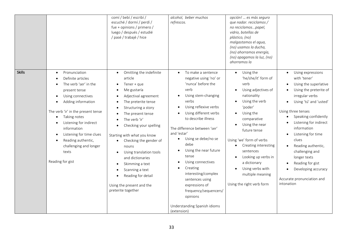|               |                                                                                                                                                                                                                                                                                                                                 | comí / bebí / escribí /<br>escuché / dormí / perdí /<br>fue + opinions / primero /<br>luego / después / estudié<br>/ pasé / trabajé / hice                                                                                                                                                                                                                                                                                                                       | alcohol, beber muchos<br>refrescos.                                                                                                                                                                                                                                                                                                                                                                                                                                                                    | opción!  es más seguro<br>que nadar. reciclamos /<br>no reciclamospapel,<br>vidrio, botellas de<br>plástico, (no)<br>malgastamos el agua,<br>(no) usamos la ducha,<br>(no) ahorramos energía,<br>(no) apagamos la luz, (no)<br>ahorramos la                                                                                                                         |                                                                                                                                                                                                                                                                                                                                                                                                         |
|---------------|---------------------------------------------------------------------------------------------------------------------------------------------------------------------------------------------------------------------------------------------------------------------------------------------------------------------------------|------------------------------------------------------------------------------------------------------------------------------------------------------------------------------------------------------------------------------------------------------------------------------------------------------------------------------------------------------------------------------------------------------------------------------------------------------------------|--------------------------------------------------------------------------------------------------------------------------------------------------------------------------------------------------------------------------------------------------------------------------------------------------------------------------------------------------------------------------------------------------------------------------------------------------------------------------------------------------------|---------------------------------------------------------------------------------------------------------------------------------------------------------------------------------------------------------------------------------------------------------------------------------------------------------------------------------------------------------------------|---------------------------------------------------------------------------------------------------------------------------------------------------------------------------------------------------------------------------------------------------------------------------------------------------------------------------------------------------------------------------------------------------------|
| <b>Skills</b> | Pronunciation<br>Definite articles<br>The verb 'ser' in the<br>present tense<br>Using connectives<br>Adding information<br>The verb 'ir' in the present tense<br>Taking notes<br>Listening for indirect<br>information<br>Listening for time clues<br>Reading authentic,<br>challenging and longer<br>texts<br>Reading for gist | Omitting the indefinite<br>$\bullet$<br>article<br>Tener + que<br>Me gustaría<br>Adjectival agreement<br>The preterite tense<br>Structuring a story<br>The present tense<br>The verb 'ir'<br>Checking your spelling<br>Starting with what you know<br>Checking the gender of<br>nouns<br>Using translation tools<br>$\bullet$<br>and dictionaries<br>Skimming a text<br>Scanning a text<br>Reading for detail<br>Using the present and the<br>preterite together | To make a sentence<br>negative using 'no' or<br>'nunca' before the<br>verb<br>Using stem-changing<br>verbs<br>Using reflexive verbs<br>$\bullet$<br>Using different verbs<br>to describe illness<br>The difference between 'ser'<br>and 'estar'<br>Using se debe/no se<br>٠<br>debe<br>Using the near future<br>tense<br>Using connectives<br>Creating<br>interesting/complex<br>sentences using<br>expressions of<br>frequency/sequencers/<br>opinions<br>Understanding Spanish idioms<br>(extension) | Using the<br>$\bullet$<br>'he/she/it' form of<br>verb<br>Using adjectives of<br>nationality<br>Using the verb<br>'poder'<br>Using the<br>comparative<br>Using the near<br>future tense<br>Using 'we' form of verbs<br>Creating interesting<br>sentences<br>Looking up verbs in<br>a dictionary<br>Using verbs with<br>multiple meaning<br>Using the right verb form | Using expressions<br>with 'tener'<br>Using the superlative<br>Using the preterite of<br>irregular verbs<br>Using 'tú' and 'usted'<br>Using three tenses<br>Speaking confidently<br>Listening for indirect<br>information<br>Listening for time<br>clues<br>Reading authentic,<br>challenging and<br>longer texts<br>Reading for gist<br>Developing accuracy<br>Accurate pronunciation and<br>intonation |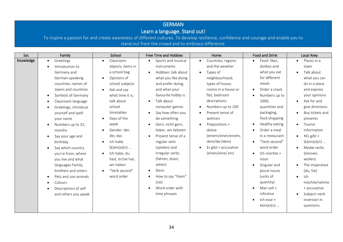# GERMAN

## Learn a language. Stand out!

| SoL       | Family                          | School                     | Free Time and Hobbies            | Home                            | <b>Food and Drink</b> | Local Area               |
|-----------|---------------------------------|----------------------------|----------------------------------|---------------------------------|-----------------------|--------------------------|
| Knowledge | Greetings                       | Classroom<br>$\bullet$     | Sports and musical<br>$\bullet$  | Countries, regions<br>$\bullet$ | Food: likes,          | Places in a<br>$\bullet$ |
|           | Introduction to                 | objects; items in          | instruments                      | and the weather                 | dislikes and          | town                     |
|           | Germany and                     | a school bag               | Hobbies: talk about<br>$\bullet$ | Types of<br>$\bullet$           | what you eat          | Talk about               |
|           | German-speaking                 | Opinions of<br>$\bullet$   | what you like doing              | neighbourhood;                  | for different         | what you can             |
|           | countries; names of             | school subjects            | and prefer doing,                | types of house;                 | meals                 | do in a place            |
|           | towns and countries             | Ask and say<br>$\bullet$   | and what your                    | rooms in a house or             | Order a snack         | and express              |
|           | Symbols of Germany<br>$\bullet$ | what time it is;           | favourite hobby is               | flat; bedroom                   | Numbers up to         | your opinions            |
|           | Classroom language              | talk about                 | Talk about<br>$\bullet$          | descriptions                    | 1000;                 | Ask for and<br>$\bullet$ |
|           | Greetings; introduce            | school                     | computer games                   | Numbers up to 100               | quantities and        | give directions          |
|           | yourself and spell              | timetables                 | Say how often you<br>$\bullet$   | Present tense of                | packaging;            | Buy tickets and          |
|           | your name                       | Days of the<br>$\bullet$   | do something                     | wohnen                          | food shopping         | presents                 |
|           | Numbers up to 31;<br>$\bullet$  | week                       | Gern, nicht gern,<br>$\bullet$   | Prepositions +                  | Healthy eating        | Tourist<br>$\bullet$     |
|           | months                          | Gender: der,<br>$\bullet$  | lieber, am liebsten              | dative                          | Order a meal          | information              |
|           | Say your age and                | die, das                   | Present tense of a               | (einem/einer/einem,             | in a restaurant       | $\bullet$ Es gibt +      |
|           | birthday                        | Ich habe<br>$\bullet$      | regular verb                     | dem/der/dem)                    | "Verb second"         | $(k)$ ein $(e)$ (n)      |
|           | Say which country               | $(k)$ ein $(e)$ (n)        | (spielen) and                    | Es gibt + accusative            | word order            | Modal verbs              |
|           | you're from, where              | Ich habe, du<br>$\bullet$  | irregular verbs                  | (einen/eine/ein)                | Ich möchte +          | (können,                 |
|           | you live and what               | hast, er/sie hat,          | (fahren, lesen,                  |                                 | noun                  | wollen)                  |
|           | languages Family,               | wir haben                  | sehen)                           |                                 | Singular and          | The imperative           |
|           | brothers and sisters            | "Verb second"<br>$\bullet$ | Denn                             |                                 | plural nouns          | (du, Sie)                |
|           | Pets and zoo animals            | word order                 | How to say "them"                |                                 | (units of             | Ich                      |
|           | Colours                         |                            | (sie)                            |                                 | quantity)             | möchte/nehme             |
|           | Descriptions of self            |                            | Word order with                  |                                 | Man soll +            | + accusative             |
|           | and others you speak            |                            | time phrases                     |                                 | infinitive            | Subject-verb             |
|           |                                 |                            |                                  |                                 | Ich esse +            | inversion in             |
|           |                                 |                            |                                  |                                 | kein(e)(n)            | questions                |
|           |                                 |                            |                                  |                                 |                       |                          |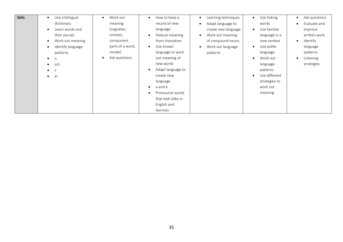| <b>Skills</b> | Use a bilingual<br>dictionary<br>Learn words and<br>their plurals<br>Work out meaning<br>Identify language<br>patterns<br>ü<br>$\bullet$<br>sch<br>$\bullet$<br>$\mathsf{V}$<br>ei<br>$\bullet$ | Work out<br>$\bullet$<br>meaning<br>(cognates,<br>context,<br>component<br>parts of a word,<br>visuals)<br>Ask questions<br>$\bullet$ | How to keep a<br>$\bullet$<br>record of new<br>language<br>Deduce meaning<br>$\bullet$<br>from intonation<br>Use known<br>$\bullet$<br>language to work<br>out meaning of<br>new words<br>Adapt language to<br>$\bullet$<br>create new<br>language<br>a and ä<br>$\bullet$<br>Pronounce words<br>$\bullet$<br>that look alike in<br>English and<br>German | Learning techniques<br>Adapt language to<br>create new language<br>Work out meaning<br>of compound nouns<br>Work out language<br>patterns | Use linking<br>$\bullet$<br>words<br>Use familiar<br>$\bullet$<br>language in a<br>new context<br>Use polite<br>$\bullet$<br>language<br>Work out<br>$\bullet$<br>language<br>patterns<br>Use different<br>strategies to<br>work out<br>meaning | Ask questions<br>$\bullet$<br>Evaluate and<br>$\bullet$<br>improve<br>written work<br>Identify<br>$\bullet$<br>language<br>patterns<br>Listening<br>$\bullet$<br>strategies |
|---------------|-------------------------------------------------------------------------------------------------------------------------------------------------------------------------------------------------|---------------------------------------------------------------------------------------------------------------------------------------|-----------------------------------------------------------------------------------------------------------------------------------------------------------------------------------------------------------------------------------------------------------------------------------------------------------------------------------------------------------|-------------------------------------------------------------------------------------------------------------------------------------------|-------------------------------------------------------------------------------------------------------------------------------------------------------------------------------------------------------------------------------------------------|-----------------------------------------------------------------------------------------------------------------------------------------------------------------------------|
|---------------|-------------------------------------------------------------------------------------------------------------------------------------------------------------------------------------------------|---------------------------------------------------------------------------------------------------------------------------------------|-----------------------------------------------------------------------------------------------------------------------------------------------------------------------------------------------------------------------------------------------------------------------------------------------------------------------------------------------------------|-------------------------------------------------------------------------------------------------------------------------------------------|-------------------------------------------------------------------------------------------------------------------------------------------------------------------------------------------------------------------------------------------------|-----------------------------------------------------------------------------------------------------------------------------------------------------------------------------|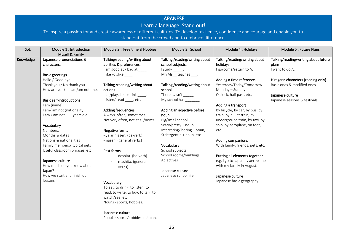## JAPANESE

## Learn a language. Stand out!

| SoL       | Module 1 : Introduction<br>Myself & Family                                                                                                                                                                                                                                                                                                                                                                                                                                                                            | Module 2 : Free time & Hobbies                                                                                                                                                                                                                                                                                                                                                                                                                                                                                                                                                                                        | Module 3 : School                                                                                                                                                                                                                                                                                                                                                                                                                                                    | Module 4 : Holidays                                                                                                                                                                                                                                                                                                                                                                                                                                                                                                                                   | Module 5 : Future Plans                                                                                                                                                                     |
|-----------|-----------------------------------------------------------------------------------------------------------------------------------------------------------------------------------------------------------------------------------------------------------------------------------------------------------------------------------------------------------------------------------------------------------------------------------------------------------------------------------------------------------------------|-----------------------------------------------------------------------------------------------------------------------------------------------------------------------------------------------------------------------------------------------------------------------------------------------------------------------------------------------------------------------------------------------------------------------------------------------------------------------------------------------------------------------------------------------------------------------------------------------------------------------|----------------------------------------------------------------------------------------------------------------------------------------------------------------------------------------------------------------------------------------------------------------------------------------------------------------------------------------------------------------------------------------------------------------------------------------------------------------------|-------------------------------------------------------------------------------------------------------------------------------------------------------------------------------------------------------------------------------------------------------------------------------------------------------------------------------------------------------------------------------------------------------------------------------------------------------------------------------------------------------------------------------------------------------|---------------------------------------------------------------------------------------------------------------------------------------------------------------------------------------------|
| Knowledge | Japanese pronunciations &<br>characters.<br><b>Basic greetings</b><br>Hello / Good bye<br>Thank you / No thank you.<br>How are you? - I am/am not fine.<br><b>Basic self-introductions</b><br>I am (name).<br>I am/ am not (nationality).<br>I am / am not years old.<br>Vocabulary<br>Numbers,<br>Months & dates<br>Nations & nationalities<br>Family members/ typical pets<br>Useful classroom phrases, etc.<br>Japanese culture<br>How much do you know about<br>Japan?<br>How we start and finish our<br>lessons. | Talking/reading/writing about<br>abilities & preferences.<br>am good at / bad at _____.<br>I like /dislike _______<br>Talking/reading/writing about<br>actions.<br>do/play, I eat/drink _____,<br>listen/read ___, etc.<br>Adding frequencies.<br>Always, often, sometimes<br>Not very often, not at all/never<br>Negative forms<br>-jya arimasen. (be-verb)<br>-masen. (general verbs)<br>Past forms<br>deshita. (be-verb)<br>mashita. (general<br>verbs)<br>Vocabulary<br>To eat, to drink, to listen, to<br>read, to write, to buy, to talk, to<br>watch/see, etc.<br>Nouns - sports, hobbies.<br>Japanese culture | Talking /reading/writing about<br>school subjects.<br>$1$ study ______.<br>Mr/Ms_teaches ____.<br>Talking /reading/writing about<br>school.<br>There is/isn't ______.<br>My school has ________.<br>Adding an adjective before<br>noun.<br>Big/small school,<br>Scary/pretty + noun<br>Interesting/boring + noun,<br>Strict/gentle + noun, etc.<br>Vocabulary<br>School subjects<br>School rooms/buildings<br>Adjectives<br>Japanese culture<br>Japanese school life | Talking/reading/writing about<br>holidays<br>I go/come/return to A.<br>Adding a time reference.<br>Yesterday/Today/Tomorrow<br>Monday - Sunday<br>O'clock, half past, etc.<br>Adding a transport<br>By bicycle, by car, by bus, by<br>train, by bullet train, by<br>underground train, by taxi, by<br>ship, by aeroplane, on foot,<br>etc.<br>Adding companions<br>With family, friends, pets, etc.<br>Putting all elements together.<br>e.g. I go to Japan by aeroplane<br>with my family in August.<br>Japanese culture<br>Japanese basic geography | Talking/reading/writing about future<br>plans.<br>I want to do A.<br>Hiragana characters (reading only)<br>Basic ones & modified ones.<br>Japanese culture<br>Japanese seasons & festivals. |
|           |                                                                                                                                                                                                                                                                                                                                                                                                                                                                                                                       | Popular sports/hobbies in Japan.                                                                                                                                                                                                                                                                                                                                                                                                                                                                                                                                                                                      |                                                                                                                                                                                                                                                                                                                                                                                                                                                                      |                                                                                                                                                                                                                                                                                                                                                                                                                                                                                                                                                       |                                                                                                                                                                                             |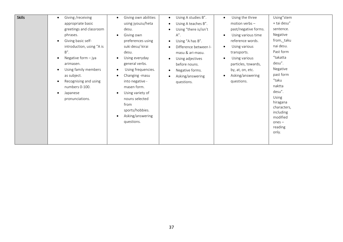| as subject.<br>Asking/answering<br>Changing - masu<br>Asking/answering<br>$\bullet$<br>"taku<br>Recognising and using<br>questions.<br>into negative -<br>questions. | <b>Skills</b><br>Giving /receiving<br>$\bullet$<br>appropriate basic<br>greetings and classroom<br>phrases.<br>Giving basic self-<br>introduction, using "A is<br>$B''$ .<br>Negative form $-$ jya<br>arimasen.<br>Using family members | Giving own abilities<br>using jyouzu/heta<br>desu.<br>Giving own<br>preferences using<br>suki desu/ kirai<br>desu.<br>Using everyday<br>general verbs.<br>Using frequencies. | Using A studies B".<br>$\bullet$<br>Using A teaches B".<br>$\bullet$<br>Using "there is/isn't<br>$\bullet$<br>$A''$ .<br>Using "A has B".<br>$\bullet$<br>Difference between I-<br>$\bullet$<br>masu & ari-masu.<br>Using adjectives<br>$\bullet$<br>before nouns.<br>Negative forms.<br>$\bullet$ | Using the three<br>motion verbs $-$<br>past/negative forms.<br>Using various time<br>$\bullet$<br>reference words.<br>Using various<br>transports.<br>Using various<br>particles, towards,<br>by, at, on, etc. | Using"stem<br>+ tai desu"<br>sentence.<br>Negative<br>from,_taku<br>nai desu.<br>Past form<br>"takatta<br>desu".<br>Negative<br>past form |
|----------------------------------------------------------------------------------------------------------------------------------------------------------------------|-----------------------------------------------------------------------------------------------------------------------------------------------------------------------------------------------------------------------------------------|------------------------------------------------------------------------------------------------------------------------------------------------------------------------------|----------------------------------------------------------------------------------------------------------------------------------------------------------------------------------------------------------------------------------------------------------------------------------------------------|----------------------------------------------------------------------------------------------------------------------------------------------------------------------------------------------------------------|-------------------------------------------------------------------------------------------------------------------------------------------|
|----------------------------------------------------------------------------------------------------------------------------------------------------------------------|-----------------------------------------------------------------------------------------------------------------------------------------------------------------------------------------------------------------------------------------|------------------------------------------------------------------------------------------------------------------------------------------------------------------------------|----------------------------------------------------------------------------------------------------------------------------------------------------------------------------------------------------------------------------------------------------------------------------------------------------|----------------------------------------------------------------------------------------------------------------------------------------------------------------------------------------------------------------|-------------------------------------------------------------------------------------------------------------------------------------------|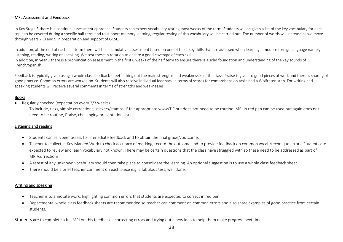## MFL Assessment and Feedback

In Key Stage 3 there is a continual assessment approach. Students can expect vocabulary testing most weeks of the term. Students will be given a list of the key vocabulary for each topic to be covered during a specific half term and to support memory learning, regular testing of this vocabulary will be carried out. The number of words will increase as we move through years 7, 8 and 9 in preparation and support of GCSE.

In addition, at the end of each half term there will be a cumulative assessment based on one of the 4 key skills that are assessed when learning a modern foreign language namely: listening, reading, writing or speaking. We test these in rotation to ensure a good coverage of each skill.

In addition, in year 7 there is a pronunciation assessment in the first 6 weeks of the half term to ensure there is a solid foundation and understanding of the key sounds of French/Spanish.

Feedback is typically given using a whole class feedback sheet picking out the main strengths and weaknesses of the class. Praise is given to good pieces of work and there is sharing of good practice. Common errors are worked on. Students will also receive individual feedback in terms of scores for comprehension tasks and a Wolfreton step. For writing and speaking students will receive several comments in terms of strengths and weaknesses

## Books

• Regularly checked (expectation every 2/3 weeks)

To include, ticks, simple corrections, stickers/stamps, if felt appropriate www/TIF but does not need to be routine. MRI in red pen can be used but again does not need to be routine, Praise, challenging presentation issues.

#### Listening and reading

- Students can self/peer assess for immediate feedback and to obtain the final grade//outcome.
- Teacher to collect in Key Marked Work to check accuracy of marking, record the outcome and to provide feedback on common vocab/technique errors. Students are expected to review and learn vocabulary not known. There may be certain questions that the class have struggled with so these need to be addressed as part of MRI/corrections.
- A retest of any unknown vocabulary should then take place to consolidate the learning. An optional suggestion is to use a whole class feedback sheet.
- There should be a brief teacher comment on each piece e.g. a fabulous test, well done.

#### Writing and speaking

- Teacher is to annotate work, highlighting common errors that students are expected to correct in red pen.
- Departmental whole class feedback sheets are recommended so teacher can comment on common errors and also share examples of good practice from certain students.

Students are to complete a full MRI on this feedback – correcting errors and trying out a new idea to help them make progress next time.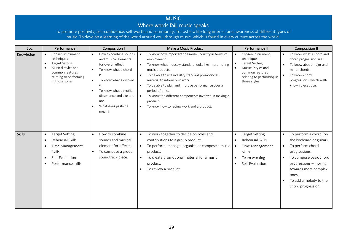## MUSIC Where words fail, music speaks

To promote positivity, self-confidence, self-worth and community. To foster a life-long interest and awareness of different types of music. To develop a learning of the world around you, through music, which is found in every culture across the world.

| SoL           | Performance I                                                                                                                                               | Composition I                                                                                                                                                                                                                                                          | Performance II<br>Make a Music Product                                                                                                                                                                                                                                                                                                                                                                                                                  |                                                                                                                                                                                   | <b>Composition II</b>                                                                                                                                                                                                                                              |
|---------------|-------------------------------------------------------------------------------------------------------------------------------------------------------------|------------------------------------------------------------------------------------------------------------------------------------------------------------------------------------------------------------------------------------------------------------------------|---------------------------------------------------------------------------------------------------------------------------------------------------------------------------------------------------------------------------------------------------------------------------------------------------------------------------------------------------------------------------------------------------------------------------------------------------------|-----------------------------------------------------------------------------------------------------------------------------------------------------------------------------------|--------------------------------------------------------------------------------------------------------------------------------------------------------------------------------------------------------------------------------------------------------------------|
| Knowledge     | Chosen instrument<br>$\bullet$<br>techniques<br><b>Target Setting</b><br>Musical styles and<br>common features<br>relating to performing<br>in those styles | How to combine sounds<br>and musical elements<br>for overall effect.<br>To know what a chord<br>$\bullet$<br>is.<br>To know what a discord<br>$\bullet$<br>is.<br>To know what a motif,<br>dissonance and clusters<br>are.<br>What does pastiche<br>$\bullet$<br>mean? | To know how important the music industry in terms of<br>employment.<br>To know what industry standard looks like in promoting<br>music products.<br>To be able to use industry standard promotional<br>material to inform own work.<br>To be able to plan and improve performance over a<br>period of time.<br>To know the different components involved in making a<br>$\bullet$<br>product.<br>To know how to review work and a product.<br>$\bullet$ | Chosen instrument<br>techniques<br><b>Target Setting</b><br>Musical styles and<br>$\bullet$<br>common features<br>relating to performing in<br>those styles                       | To know what a chord and<br>$\bullet$<br>chord progression are.<br>To know about major and<br>minor chords.<br>To know chord<br>$\bullet$<br>progressions, which well-<br>known pieces use.                                                                        |
| <b>Skills</b> | <b>Target Setting</b><br>$\bullet$<br>Rehearsal Skills<br>$\bullet$<br>Time Management<br>Skills<br>Self-Evaluation<br>$\bullet$<br>Performance skills      | How to combine<br>$\bullet$<br>sounds and musical<br>element for effects.<br>To compose a group<br>$\bullet$<br>soundtrack piece.                                                                                                                                      | To work together to decide on roles and<br>contributions to a group product.<br>To perform, manage, organise or compose a music<br>$\bullet$<br>product.<br>To create promotional material for a music<br>$\bullet$<br>product.<br>To review a product                                                                                                                                                                                                  | <b>Target Setting</b><br>$\bullet$<br>Rehearsal Skills<br>$\bullet$<br>Time Management<br>$\bullet$<br><b>Skills</b><br>Team working<br>$\bullet$<br>Self-Evaluation<br>$\bullet$ | To perform a chord (on<br>$\bullet$<br>the keyboard or guitar).<br>To perform chord<br>$\bullet$<br>progressions.<br>To compose basic chord<br>$\bullet$<br>progressions – moving<br>towards more complex<br>ones.<br>To add a melody to the<br>chord progression. |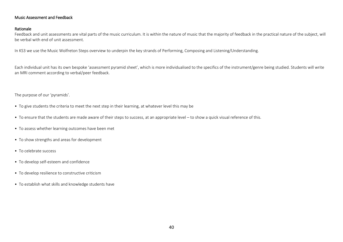## Music Assessment and Feedback

#### Rationale

Feedback and unit assessments are vital parts of the music curriculum. It is within the nature of music that the majority of feedback in the practical nature of the subject, will be verbal with end of unit assessment.

In KS3 we use the Music Wolfreton Steps overview to underpin the key strands of Performing, Composing and Listening/Understanding.

Each individual unit has its own bespoke 'assessment pyramid sheet', which is more individualised to the specifics of the instrument/genre being studied. Students will write an MRI comment according to verbal/peer feedback.

The purpose of our 'pyramids'.

- To give students the criteria to meet the next step in their learning, at whatever level this may be
- To ensure that the students are made aware of their steps to success, at an appropriate level to show a quick visual reference of this.
- To assess whether learning outcomes have been met
- To show strengths and areas for development
- To celebrate success
- To develop self-esteem and confidence
- To develop resilience to constructive criticism
- To establish what skills and knowledge students have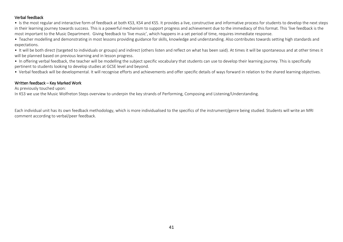## Verbal feedback

• Is the most regular and interactive form of feedback at both KS3, KS4 and KS5. It provides a live, constructive and informative process for students to develop the next steps in their learning journey towards success. This is a powerful mechanism to support progress and achievement due to the immediacy of this format. This 'live feedback is the most important to the Music Department. Giving feedback to 'live music', which happens in a set period of time, requires immediate response.

•  Teacher modelling and demonstrating in most lessons providing guidance for skills, knowledge and understanding. Also contributes towards setting high standards and expectations. 

•  It will be both direct (targeted to individuals or groups) and indirect (others listen and reflect on what has been said). At times it will be spontaneous and at other times it will be planned based on previous learning and in lesson progress.

•  In offering verbal feedback, the teacher will be modelling the subject specific vocabulary that students can use to develop their learning journey. This is specifically pertinent to students looking to develop studies at GCSE level and beyond. 

•  Verbal feedback will be developmental. It will recognise efforts and achievements and offer specific details of ways forward in relation to the shared learning objectives. 

#### Written feedback – Key Marked Work

As previously touched upon:

In KS3 we use the Music Wolfreton Steps overview to underpin the key strands of Performing, Composing and Listening/Understanding.

Each individual unit has its own feedback methodology, which is more individualised to the specifics of the instrument/genre being studied. Students will write an MRI comment according to verbal/peer feedback.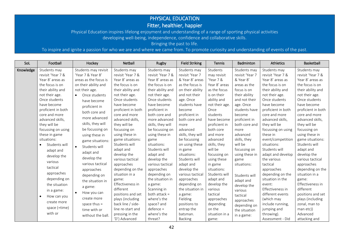# PHYSICAL EDUCATION

## Fitter, healthier, happier

Physical Education inspires lifelong enjoyment and understanding of a range of sporting physical activities developing well-being, independence, confidence and collaborative skills.

Bringing the past to life.

To inspire and ignite a passion for who we are and where we came from. To promote curiosity and understanding of events of the past.

| SoL       | Football                   | Hockey                     | Netball                   | Rugby                            | <b>Field Striking</b>      | Tennis                   | Badminton       | Athletics                            | Basketball                |
|-----------|----------------------------|----------------------------|---------------------------|----------------------------------|----------------------------|--------------------------|-----------------|--------------------------------------|---------------------------|
| Knowledge | Students may               | Students may revisit       | Students may              | Students may                     | Students may               | Students                 | Students may    | Students may                         | Students may              |
|           | revisit 'Year 7 &          | 'Year 7 & Year 8'          | revisit 'Year 7 &         | revisit 'Year 7 &                | revisit 'Year 7            | may revisit              | revisit 'Year 7 | revisit 'Year 7 &                    | revisit 'Year 7 &         |
|           | Year 8' areas as           | areas as the focus is      | Year 8' areas as          | Year 8' areas as                 | & Year 8' areas            | 'Year 7 &                | & Year 8'       | Year 8' areas as                     | Year 8' areas as          |
|           | the focus is on            | on their ability and       | the focus is on           | the focus is on                  | as the focus is            | Year 8' areas            | areas as the    | the focus is on                      | the focus is on           |
|           | their ability and          | not their age.             | their ability and         | their ability and                | on their ability           | as the focus             | focus is on     | their ability and                    | their ability and         |
|           | not their age.             | Once students<br>$\bullet$ | not their age.            | not their age.                   | and not their              | is on their              | their ability   | not their age.                       | not their age.            |
|           | Once students              | have become                | Once students             | Once students                    | age. Once                  | ability and              | and not their   | Once students                        | Once students             |
|           | have become                | proficient in              | have become               | have become                      | students have              | not their age.           | age. Once       | have become                          | have become               |
|           | proficient in both         | both core and              | proficient in both        | proficient in                    | become                     | Once                     | students have   | proficient in both                   | proficient in both        |
|           | core and more              | more advanced              | core and more             | both core and                    | proficient in              | students                 | become          | core and more                        | core and more             |
|           | advanced skills,           |                            | advanced skills,          | more advanced                    | both core and              | have become              | proficient in   | advanced skills,                     | advanced skills,          |
|           | they will be               | skills, they will          | they will be              | skills, they will                | more                       | proficient in            | both core and   | they will be                         | they will be              |
|           | focussing on using         | be focussing on            | focussing on              | be focussing on                  | advanced                   | both core                | more            | focussing on using                   | focussing on              |
|           | these in game              | using these in             | using these in            | using these in                   | skills, they will          | and more                 | advanced        | these in                             | using these in            |
|           | situations:                | game situations:           | game situations:          | game                             | be focussing               | advanced                 | skills, they    | event/competition                    | game situations:          |
|           | Students will<br>$\bullet$ | Students will<br>$\bullet$ | Students will             | situations:                      | on using these             | skills, they             | will be         | situations:                          | Students will             |
|           | adapt and                  | adapt and                  | adapt and                 | Students will                    | in game                    | will be                  | focussing on    | Students will                        | adapt and                 |
|           | develop the                | develop the                | develop the               | adapt and                        | situations:                | focussing on             | using these in  | adapt and develop                    | develop the               |
|           | various                    | various tactical           | various tactical          | develop the                      | Students will              | using these              | game            | the various                          | various tactical          |
|           | tactical                   |                            | approaches                | various tactical                 | adapt and                  | in game                  | situations:     | tactical                             | approaches                |
|           | approaches                 | approaches                 | depending on the          | approaches                       | develop the                | situations:              |                 | approaches                           | depending on the          |
|           | depending on               | depending on               | situation in a            | depending on<br>the situation in | various tactical           | Students will            | Students will   | depending on the<br>situation in the | situation in a            |
|           |                            | the situation in           | game:<br>Effectiveness in |                                  | approaches<br>depending on | adapt and<br>develop the | adapt and       | event:                               | game:<br>Effectiveness in |
|           | the situation              | a game:                    | different                 | a game:<br>Scanning in           | the situation in           | various                  | develop the     | Effectiveness in                     | different                 |
|           | in a game:                 | $\bullet$<br>How you can   | positions and set         | both attack $=$                  | a game:                    | tactical                 | various         | different events                     | positions and set         |
|           | How can you<br>$\bullet$   | create more                | plays (including          | where's the                      | Fielding                   | approaches               | tactical        | (which may                           | plays (including          |
|           | create more                | space thus $=$             | back line / side-         | space? and                       | positions to               | depending                | approaches      | include running,                     | zonal, man to             |
|           | space (=time)              | time with or               | line re-start and         | $defence =$                      | entrap the                 | on the                   | depending on    | jumping and                          | man etc))                 |
|           | with or                    |                            | pressing in the           | where's the                      | batsman.                   | situation in a           | the situation   | throwing).                           | Advanced                  |
|           |                            | without the ball.          | 'D') Advanced             | threat?                          | <b>Backing</b>             | game:                    | in a game:      | Assessment - Did                     | attacking and             |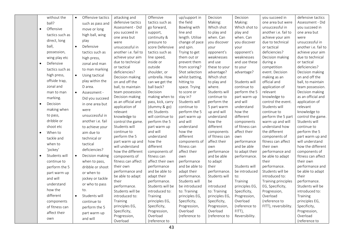|           | without the     | $\bullet$ | Offensive tactics        | attacking and            | Offensive                        | up/support in            | Decision                  | Decision              | you succeed in                      | defensive tactics                 |
|-----------|-----------------|-----------|--------------------------|--------------------------|----------------------------------|--------------------------|---------------------------|-----------------------|-------------------------------------|-----------------------------------|
|           | ball?           |           | such as pass and         | defensive tactics        | tactics such as                  | the field                | Making:                   | Making:               | one area but were                   | Assessment - Did                  |
| $\bullet$ | Offensive       |           | move or long             | Assessment - Did         | go forward,                      | Bowling with             | Which shot                | Which shot to         | unsuccessful in                     | you succeed in                    |
|           | tactics such as |           | high ball, wing          | you succeed in           | support,                         | line and                 | to play and               | play and              | another i.e. fail to                | one area but                      |
|           | direct, long    |           | play                     | one area but             | continuity &                     | length. Utilise          | when. Can                 | when. Can             | achieve your aim                    | were                              |
|           |                 |           |                          | were                     | pressure to                      | change of pace           | you discover              | you discover          | due to technical                    | unsuccessful in                   |
|           | ball,           | $\bullet$ | Defensive                | unsuccessful in          | score Defensive                  | and spin.                | your                      | your                  | or tactical                         | another i.e. fail to              |
|           | possession,     |           | tactics such as          | another i.e. fail to     | tactics such as                  | Trying to get            | opponent's                | opponent's            | deficiencies?                       | achieve your aim                  |
|           | wing play etc   |           | high press,              | achieve your aim         | line speed,                      | them out or              | weaknesses                | weaknesses            | Decision making                     | due to technical                  |
| $\bullet$ | Defensive       |           | zonal and man            | due to technical         | inside or                        | prevent them             | and use                   | and use these         | during a                            | or tactical                       |
|           | tactics such as |           | to man marking           | or tactical              | outside                          | from scoring?            | these to your             | to your               | competition                         | deficiencies?                     |
|           | high press,     | $\bullet$ | Using tactical           | deficiencies?            | shoulder, or                     | Shot selection           | advantage?                | advantage?            | event. Decision                     | Decision making                   |
|           | offside trap,   |           | play within the          | Decision making          | umbrella. How                    | whilst batting,          | Which shot                |                       | making as an                        | on and off the                    |
|           |                 |           |                          | on and off the           | can we get the                   | hitting to               | to play and               | Students will         | official and                        | ball, to maintain                 |
|           | zonal and       |           | D area.                  | ball, to maintain        | ball back?                       | space. Trying            | where.                    | continue to           | application of                      | team possession.                  |
|           | man to man      | $\bullet$ | Assessment -             | team possession.         | Decision                         | to score or              | Students will             | perform the 5         | relevant                            | Decision making                   |
|           | marking.        |           | Did you succeed          | Decision making          | making when to                   | stay in?                 | continue to               | part warm up          | knowledge to                        | as an official and                |
| $\bullet$ | Decision        |           | in one area but          | as an official and       | pass, kick, carry                | Students will            | perform the               | and will              | control the event.<br>Students will | application of                    |
|           | making when     |           | were                     | application of           | (dummy & go)                     | continue to              | 5 part warm               | understand<br>how the |                                     | relevant                          |
|           | to pass,        |           | unsuccessful in          | relevant<br>knowledge to | etc Students<br>will continue to | perform the 5            | up and will<br>understand | different             | continue to<br>perform the 5 part   | knowledge to<br>control the game. |
|           | dribble or      |           | another <i>i.e.</i> fail | control the game.        | perform the 5                    | part warm up<br>and will | how the                   | components            | warm up and will                    | Students will                     |
|           | shoot etc       |           | to achieve your          | Students will            | part warm up                     | understand               | different                 | of fitness can        | understand how                      | continue to                       |
|           |                 |           |                          | continue to              | and will                         | how the                  | components                | affect their          | the different                       | perform the 5                     |
| $\bullet$ | When to         |           | aim due to               | perform the 5            | understand                       | different                | of fitness can            | own                   | components of                       | part warm up and                  |
|           | tackle and      |           | technical or             | part warm up and         | how the                          | components of            | affect their              | performance           | fitness can affect                  | will understand                   |
|           | when to         |           | tactical                 | will understand          | different                        | fitness can              | own                       | and be able           | their own                           | how the different                 |
|           | 'jockey'        |           | deficiencies?            | how the different        | components of                    | affect their             | performance               | to adapt their        | performance and                     | components of                     |
| $\bullet$ | Students will   | $\bullet$ | Decision making          | components of            | fitness can                      | own                      | and be able               | performance.          | be able to adapt                    | fitness can affect                |
|           | continue to     |           | when to pass,            | fitness can affect       | affect their own                 | performance              | to adapt                  |                       | their                               | their own                         |
|           | perform the 5   |           | dribble or shoot         | their own                | performance                      | and be able to           | their                     | Students will         | performance.                        | performance and                   |
|           | part warm up    |           | or when to               | performance and          | and be able to                   | adapt their              | performance.              | be introduced         | Students will be                    | be able to adapt                  |
|           |                 |           |                          | be able to adapt         | adapt their                      | performance.             | Students will             | to:                   | introduced to:                      | their                             |
|           | and will        |           | jockey or tackle         | their                    | performance.                     | Students will            | be                        | Training              | Training principles                 | performance.                      |
|           | understand      |           | or who to pass           | performance.             | Students will be                 | be introduced            | introduced                | principles EG,        | EG, Specificity,                    | Students will be                  |
|           | how the         |           | to.                      | Students will be         | introduced to:                   | to: Training             | to: Training              | Specificity,          | Progression,                        | introduced to:                    |
|           | different       |           | Students will            | introduced to:           | Training                         | principles EG,           | principles EG,            | Progression,          | Overload                            | Training                          |
|           | components      |           | continue to              | Training                 | principles EG,                   | Specificity,             | Specificity,              | Overload              | (reference to                       | principles EG,                    |
|           | of fitness can  |           | perform the 5            | principles EG,           | Specificity,                     | Progression,             | Progression,              | (reference to         | FITT), reversibility.               | Specificity,                      |
|           | affect their    |           | part warm up             | Specificity,             | Progression,                     | Overload                 | Overload                  | FITT),                |                                     | Progression,                      |
|           | own             |           | and will                 | Progression,             | Overload                         | (reference to            | (reference to             | Reversibility.        |                                     | Overload                          |
|           |                 |           |                          | Overload                 | (reference to                    |                          |                           |                       |                                     | (reference to                     |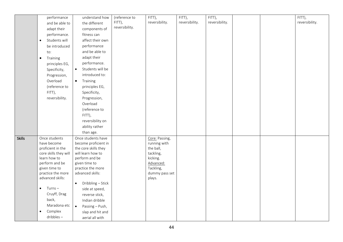|               | performance                     | understand how                     | (reference to  | FITT),                 | FITT),         | FITT),         |  | FITT),         |
|---------------|---------------------------------|------------------------------------|----------------|------------------------|----------------|----------------|--|----------------|
|               | and be able to                  | the different                      | FITT),         | reversibility.         | reversibility. | reversibility. |  | reversibility. |
|               | adapt their                     | components of                      | reversibility. |                        |                |                |  |                |
|               | performance.                    | fitness can                        |                |                        |                |                |  |                |
|               |                                 |                                    |                |                        |                |                |  |                |
|               | Students will<br>$\bullet$      | affect their own                   |                |                        |                |                |  |                |
|               | be introduced                   | performance                        |                |                        |                |                |  |                |
|               | to:                             | and be able to                     |                |                        |                |                |  |                |
|               | Training<br>$\bullet$           | adapt their                        |                |                        |                |                |  |                |
|               | principles EG,                  | performance.                       |                |                        |                |                |  |                |
|               | Specificity,                    | Students will be<br>$\bullet$      |                |                        |                |                |  |                |
|               | Progression,                    | introduced to:                     |                |                        |                |                |  |                |
|               | Overload                        | Training<br>$\bullet$              |                |                        |                |                |  |                |
|               | (reference to                   | principles EG,                     |                |                        |                |                |  |                |
|               | FITT),                          | Specificity,                       |                |                        |                |                |  |                |
|               | reversibility.                  | Progression,                       |                |                        |                |                |  |                |
|               |                                 | Overload                           |                |                        |                |                |  |                |
|               |                                 | (reference to                      |                |                        |                |                |  |                |
|               |                                 |                                    |                |                        |                |                |  |                |
|               |                                 | FITT),                             |                |                        |                |                |  |                |
|               |                                 | reversibility on                   |                |                        |                |                |  |                |
|               |                                 | ability rather                     |                |                        |                |                |  |                |
|               |                                 | than age.                          |                |                        |                |                |  |                |
| <b>Skills</b> | Once students                   | Once students have                 |                | Core: Passing,         |                |                |  |                |
|               | have become                     | become proficient in               |                | running with           |                |                |  |                |
|               | proficient in the               | the core skills they               |                | the ball,              |                |                |  |                |
|               | core skills they will           | will learn how to                  |                | tackling,              |                |                |  |                |
|               | learn how to                    | perform and be                     |                | kicking.               |                |                |  |                |
|               | perform and be<br>given time to | given time to<br>practice the more |                | Advanced:<br>Tackling, |                |                |  |                |
|               | practice the more               | advanced skills:                   |                | dummy pass set         |                |                |  |                |
|               | advanced skills:                |                                    |                | plays.                 |                |                |  |                |
|               |                                 | Dribbling - Stick<br>$\bullet$     |                |                        |                |                |  |                |
|               | $Turns -$                       | side at speed,                     |                |                        |                |                |  |                |
|               | Cruyff, Drag                    | reverse stick,                     |                |                        |                |                |  |                |
|               | back,                           | Indian dribble                     |                |                        |                |                |  |                |
|               | Maradona etc                    |                                    |                |                        |                |                |  |                |
|               | Complex<br>$\bullet$            | Passing - Push,<br>$\bullet$       |                |                        |                |                |  |                |
|               |                                 | slap and hit and                   |                |                        |                |                |  |                |
|               | dribbles-                       | aerial all with                    |                |                        |                |                |  |                |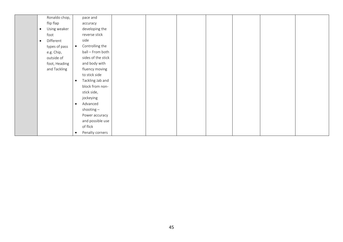| Ronaldo chop,          |           | pace and           |  |  |  |  |
|------------------------|-----------|--------------------|--|--|--|--|
| flip flap              |           | accuracy           |  |  |  |  |
| Using weaker           |           | developing the     |  |  |  |  |
| foot                   |           | reverse stick      |  |  |  |  |
| Different<br>$\bullet$ |           | side               |  |  |  |  |
| types of pass          | $\bullet$ | Controlling the    |  |  |  |  |
| e.g. Chip,             |           | ball - From both   |  |  |  |  |
| outside of             |           | sides of the stick |  |  |  |  |
| foot, Heading          |           | and body with      |  |  |  |  |
| and Tackling           |           | fluency moving     |  |  |  |  |
|                        |           | to stick side      |  |  |  |  |
|                        | $\bullet$ | Tackling Jab and   |  |  |  |  |
|                        |           | block from non-    |  |  |  |  |
|                        |           | stick side,        |  |  |  |  |
|                        |           | jockeying          |  |  |  |  |
|                        | $\bullet$ | Advanced           |  |  |  |  |
|                        |           | shooting $-$       |  |  |  |  |
|                        |           | Power accuracy     |  |  |  |  |
|                        |           | and possible use   |  |  |  |  |
|                        |           | of flick           |  |  |  |  |
|                        | $\bullet$ | Penalty corners    |  |  |  |  |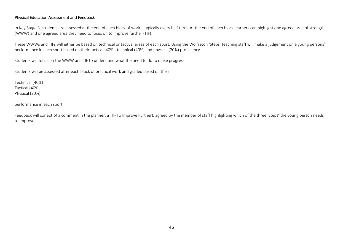### Physical Education Assessment and Feedback

In Key Stage 3, students are assessed at the end of each block of work – typically every half term. At the end of each block learners can highlight one agreed area of strength (WWW) and one agreed area they need to focus on to improve further (TIF).

These WWWs and TIFs will either be based on technical or tactical areas of each sport. Using the Wolfreton 'Steps' teaching staff will make a judgement on a young persons' performance in each sport based on their tactical (40%), technical (40%) and physical (20%) proficiency.

Students will focus on the WWW and TIF to understand what the need to do to make progress.

Students will be assessed after each block of practical work and graded based on their:

Technical (40%) Tactical (40%) Physical (20%)

performance in each sport.

Feedback will consist of a comment in the planner, a TIF(To Improve Further), agreed by the member of staff highlighting which of the three 'Steps' the young person needs to improve.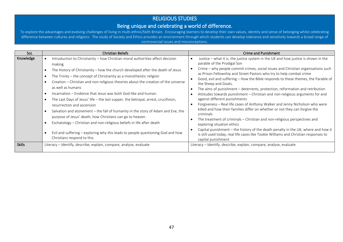## RELIGIOUS STUDIES

Being unique and celebrating a world of difference.<br>To explore the advantages and evolving challenges of living in multi-ethnic/faith Britain. Encouraging learners to develop their own values, identity and sense of belongi difference between cultures and religions. The study of Society and Ethics provides an environment through which students can develop tolerance and sensitivity towards a broad range of controversial issues and misconceptions.

| SoL           | <b>Christian Beliefs</b>                                                                                                                                                                                                                                                                                                                                                                                                                                                                                                                                                                                                                                                                                                                                                                                                                                                                           | <b>Crime and Punishment</b>                                                                                                                                                                                                                                                                                                                                                                                                                                                                                                                                                                                                                                                                                                                                                                                                                                                                                                                                                                                                                                                           |
|---------------|----------------------------------------------------------------------------------------------------------------------------------------------------------------------------------------------------------------------------------------------------------------------------------------------------------------------------------------------------------------------------------------------------------------------------------------------------------------------------------------------------------------------------------------------------------------------------------------------------------------------------------------------------------------------------------------------------------------------------------------------------------------------------------------------------------------------------------------------------------------------------------------------------|---------------------------------------------------------------------------------------------------------------------------------------------------------------------------------------------------------------------------------------------------------------------------------------------------------------------------------------------------------------------------------------------------------------------------------------------------------------------------------------------------------------------------------------------------------------------------------------------------------------------------------------------------------------------------------------------------------------------------------------------------------------------------------------------------------------------------------------------------------------------------------------------------------------------------------------------------------------------------------------------------------------------------------------------------------------------------------------|
| Knowledge     | Introduction to Christianity - how Christian moral authorities affect decision<br>making<br>The History of Christianity – how the church developed after the death of Jesus<br>The Trinity $-$ the concept of Christianity as a monotheistic religion<br>Creation – Christian and non-religious theories about the creation of the universe<br>as well as humans<br>Incarnation – Evidence that Jesus was both God-like and human.<br>The Last Days of Jesus' life - the last supper, the betrayal, arrest, crucifixion,<br>resurrection and ascension<br>Salvation and atonement - the fall of humanity in the story of Adam and Eve, the<br>purpose of Jesus' death, how Christians can go to heaven.<br>Eschatology - Christian and non-religious beliefs in life after death<br>Evil and suffering - exploring why this leads to people questioning God and how<br>Christians respond to this. | Justice - what it is, the justice system in the UK and how justice is shown in the<br>parable of the Prodigal Son<br>Crime – why people commit crimes, social issues and Christian organisations such<br>as Prison Fellowship and Street Pastors who try to help combat crime<br>Good, evil and suffering - How the Bible responds to these themes, the Parable of<br>the Sheep and Goats.<br>The aims of punishment - deterrents, protection, reformation and retribution<br>Attitudes towards punishment - Christian and non-religious arguments for and<br>against different punishments<br>Forgiveness - Real life cases of Anthony Walker and Jenny Nicholson who were<br>killed and how their families differ on whether or not they can forgive the<br>criminals<br>The treatment of criminals - Christian and non-religious perspectives and<br>exploring situation ethics<br>Capital punishment - the history of the death penalty in the UK, where and how it<br>is still used today, real life cases like Tookie Williams and Christian responses to<br>capital punishment |
| <b>Skills</b> | Literacy - Identify, describe, explain, compare, analyse, evaluate                                                                                                                                                                                                                                                                                                                                                                                                                                                                                                                                                                                                                                                                                                                                                                                                                                 | Literacy - Identify, describe, explain, compare, analyse, evaluate                                                                                                                                                                                                                                                                                                                                                                                                                                                                                                                                                                                                                                                                                                                                                                                                                                                                                                                                                                                                                    |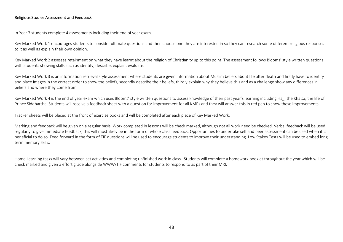#### Religious Studies Assessment and Feedback

In Year 7 students complete 4 assessments including their end of year exam.

Key Marked Work 1 encourages students to consider ultimate questions and then choose one they are interested in so they can research some different religious responses to it as well as explain their own opinion.

Key Marked Work 2 assesses retainment on what they have learnt about the religion of Christianity up to this point. The assessment follows Blooms' style written questions with students showing skills such as identify, describe, explain, evaluate.

Key Marked Work 3 is an information retrieval style assessment where students are given information about Muslim beliefs about life after death and firstly have to identify and place images in the correct order to show the beliefs, secondly describe their beliefs, thirdly explain why they believe this and as a challenge show any differences in beliefs and where they come from.

Key Marked Work 4 is the end of year exam which uses Blooms' style written questions to assess knowledge of their past year's learning including Hajj, the Khalsa, the life of Prince Siddhartha. Students will receive a feedback sheet with a question for improvement for all KMPs and they will answer this in red pen to show these improvements.

Tracker sheets will be placed at the front of exercise books and will be completed after each piece of Key Marked Work.

Marking and feedback will be given on a regular basis. Work completed in lessons will be check marked, although not all work need be checked. Verbal feedback will be used regularly to give immediate feedback, this will most likely be in the form of whole class feedback. Opportunities to undertake self and peer assessment can be used when it is beneficial to do so. Feed forward in the form of TIF questions will be used to encourage students to improve their understanding. Low Stakes Tests will be used to embed long term memory skills.

Home Learning tasks will vary between set activities and completing unfinished work in class. Students will complete a homework booklet throughout the year which will be check marked and given a effort grade alongside WWW/TIF comments for students to respond to as part of their MRI.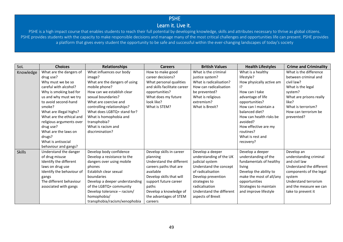# PSHE

## Learn it. Live it.

PSHE is a high impact course that enables students to reach their full potential by developing knowledge, skills and attributes necessary to thrive as global citizens. PSHE provides students with the capacity to make responsible decisions and manage many of the most critical challenges and opportunities life can present. PSHE provides a platform that gives every student the opportunity to be safe and successful within the ever-changing landscapes of today's society

| SoL           | <b>Choices</b>            | <b>Relationships</b>           | <b>Careers</b>               | <b>British Values</b>    | <b>Health Lifestyles</b> | <b>Crime and Criminality</b> |
|---------------|---------------------------|--------------------------------|------------------------------|--------------------------|--------------------------|------------------------------|
| Knowledge     | What are the dangers of   | What influences our body       | How to make good             | What is the criminal     | What is a healthy        | What is the difference       |
|               | drug use?                 | image?                         | career decisions?            | justice system?          | lifestyle?               | between criminal and         |
|               | Why must we be so         | What are the dangers of using  | What personal qualities      | What is radicalisation?  | How physically active am | civil law?                   |
|               | careful with alcohol?     | mobile phone?                  | and skills facilitate career | How can radicalisation   | 12                       | What is the legal            |
|               | Why is smoking bad for    | How can we establish clear     | opportunities?               | be prevented?            | How can I take           | system?                      |
|               | us and why must we try    | sexual boundaries?             | What does my future          | What is religious        | advantage of life        | What are prisons really      |
|               | to avoid second-hand      | What are coercive and          | look like?                   | extremism?               | opportunities?           | like?                        |
|               | smoke?                    | controlling relationships?     | What is STEM?                | What is Brexit?          | How can I maintain a     | What is terrorism?           |
|               | What are illegal highs?   | What does LGBTQ+ stand for?    |                              |                          | balanced diet?           | How can terrorism be         |
|               | What are the ethical and  | What is homophobia and         |                              |                          | How can health risks be  | prevented?                   |
|               | religious arguments over  | transphobia?                   |                              |                          | avoided?                 |                              |
|               | drug use?                 | What is racism and             |                              |                          | How effective are my     |                              |
|               | What are the laws on      | discrimination?                |                              |                          | routines?                |                              |
|               | drugs?                    |                                |                              |                          | What is rest and         |                              |
|               | What is antisocial        |                                |                              |                          | recovery?                |                              |
|               | behaviour and gangs?      |                                |                              |                          |                          |                              |
| <b>Skills</b> | Understand the danger     | Develop body confidence        | Develop skills in career     | Develop a deeper         | Develop a deeper         | Develop an                   |
|               | of drug misuse            | Develop a resistance to the    | planning                     | understanding of the UK  | understanding of the     | understanding criminal       |
|               | Identify the different    | dangers over using mobile      | Understand the different     | judicial system          | fundamentals of healthy  | and civil law                |
|               | laws on drug use          | phones                         | careers paths that are       | Understand the concept   | living                   | Understand the different     |
|               | Identify the behaviour of | Establish clear sexual         | available                    | of radicalisation        | Develop the ability to   | components of the legal      |
|               | gangs                     | boundaries                     | Develop skills that will     | Develop prevention       | make the most of all/any | system                       |
|               | The different behaviour   | Develop a deeper understanding | support future career        | strategies to            | opportunities            | Understand terrorism         |
|               | associated with gangs     | of the LGBTQ+ community        | paths                        | radicalisation           | Strategies to maintain   | and the measure we can       |
|               |                           | Develop tolerance - racism/    | Develop a knowledge of       | Understand the different | and improve lifestyle    | take to prevent it           |
|               |                           | homophobia/                    | the advantages of STEM       | aspects of Brexit        |                          |                              |
|               |                           | transphobia/racism/xenophobia  | careers                      |                          |                          |                              |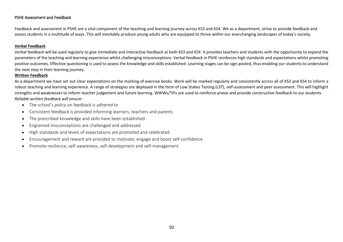## PSHE Assessment and Feedback

Feedback and assessment in PSHE are a vital component of the teaching and learning journey across KS3 and KS4. We as a department, strive to provide feedback and assess students in a multitude of ways. This will inevitably produce young adults who are equipped to thrive within our everchanging landscapes of today's society.

#### **Verbal Feedback**

Verbal feedback will be used regularly to give immediate and interactive feedback at both KS3 and KS4. It provides teachers and students with the opportunity to expand the parameters of the teaching and learning experience whilst challenging misconceptions. Verbal feedback in PSHE reinforces high standards and expectations whilst promoting positive outcomes. Effective questioning is used to assess the knowledge and skills established. Learning stages can be sign-posted, thus enabling our students to understand the next step in their learning journey.

#### **Written Feedback**

As a department we have set out clear expectations on the marking of exercise books. Work will be marked regularly and consistently across all of KS3 and KS4 to inform a robust teaching and learning experience. A range of strategies are deployed in the form of Low Stakes Testing (LST), self-assessment and peer assessment. This will highlight strengths and weaknesses to inform teacher judgement and future learning. WWWs/TIFs are used to reinforce praise and provide constructive feedback to our students. *Reliable written feedback will ensure*:

- The school's policy on feedback is adhered to
- Consistent feedback is provided informing learners, teachers and parents
- The prescribed knowledge and skills have been established
- Engrained misconceptions are challenged and addressed
- High standards and levels of expectations are promoted and celebrated
- Encouragement and reward are provided to motivate, engage and boost self-confidence
- Promote resilience, self-awareness, self-development and self-management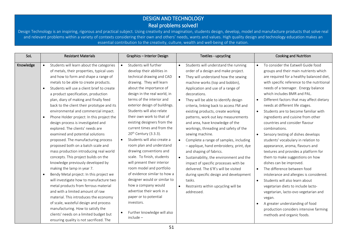## DESIGN AND TECHNOLOGY Real problems solved!

Design Technology is an inspiring, rigorous and practical subject. Using creativity and imagination, students design, develop, model and manufacture products that solve real and relevant problems within a variety of contexts considering their own and others' needs, wants and values. High quality design and technology education makes an essential contribution to the creativity, culture, wealth and well-being of the nation.

| SoL       | <b>Resistant Materials</b>                                                                                                                                                                                                                                                                                                                                                                                                                                                                                                                                                                                                                                                                                                                                                                                                                                                                                                                                                                                                                                                                                                                                                                       | Graphics - Interior Design                                                                                                                                                                                                                                                                                                                                                                                                                                                                                                                                                                                                                                                                                                                                                                                          | Textiles - upcycling                                                                                                                                                                                                                                                                                                                                                                                                                                                                                                                                                                                                                                                                                                                                                                                                                                                             | <b>Cooking and Nutrition</b>                                                                                                                                                                                                                                                                                                                                                                                                                                                                                                                                                                                                                                                                                                                                                                                                                                                                                                                                                                                                                                                      |  |
|-----------|--------------------------------------------------------------------------------------------------------------------------------------------------------------------------------------------------------------------------------------------------------------------------------------------------------------------------------------------------------------------------------------------------------------------------------------------------------------------------------------------------------------------------------------------------------------------------------------------------------------------------------------------------------------------------------------------------------------------------------------------------------------------------------------------------------------------------------------------------------------------------------------------------------------------------------------------------------------------------------------------------------------------------------------------------------------------------------------------------------------------------------------------------------------------------------------------------|---------------------------------------------------------------------------------------------------------------------------------------------------------------------------------------------------------------------------------------------------------------------------------------------------------------------------------------------------------------------------------------------------------------------------------------------------------------------------------------------------------------------------------------------------------------------------------------------------------------------------------------------------------------------------------------------------------------------------------------------------------------------------------------------------------------------|----------------------------------------------------------------------------------------------------------------------------------------------------------------------------------------------------------------------------------------------------------------------------------------------------------------------------------------------------------------------------------------------------------------------------------------------------------------------------------------------------------------------------------------------------------------------------------------------------------------------------------------------------------------------------------------------------------------------------------------------------------------------------------------------------------------------------------------------------------------------------------|-----------------------------------------------------------------------------------------------------------------------------------------------------------------------------------------------------------------------------------------------------------------------------------------------------------------------------------------------------------------------------------------------------------------------------------------------------------------------------------------------------------------------------------------------------------------------------------------------------------------------------------------------------------------------------------------------------------------------------------------------------------------------------------------------------------------------------------------------------------------------------------------------------------------------------------------------------------------------------------------------------------------------------------------------------------------------------------|--|
| Knowledge | Students will learn about the categories<br>of metals, their properties, typical uses<br>and how to form and shape a range of<br>metals to be able to create products.<br>Students will use a client brief to create<br>a product specification, production<br>plan, diary of making and finally feed<br>back to the client their prototype and its<br>environmental and commercial impact.<br>Phone Holder project: In this project the<br>$\bullet$<br>design process is investigated and<br>explored. The clients' needs are<br>examined and potential solutions<br>proposed. The manufacturing process<br>proposed both on a batch scale and<br>mass production introducing real world<br>concepts. This project builds on the<br>knowledge previously developed by<br>making the lamp in year 7.<br>Bendy Metal project: In this project we<br>$\bullet$<br>will investigate how to manufacture two<br>metal products from ferrous material<br>and with a limited amount of raw<br>material. This introduces the economy<br>of scale, wasteful design and process<br>manufacturing. How to satisfy the<br>clients' needs on a limited budget but<br>ensuring quality is not sacrificed. The | Students will further<br>$\bullet$<br>develop their abilities in<br>technical drawing and CAD<br>drawing. They will learn<br>about the importance of<br>design in the real world, in<br>terms of the interior and<br>exterior design of buildings.<br>Students will also relate<br>their own work to that of<br>existing designers from the<br>current times and from the<br>20 <sup>th</sup> Century (3.3.3).<br>Students will also create a<br>$\bullet$<br>room plan and understand<br>drawing conventions and<br>scale. To finish, students<br>will present their interior<br>room model and portfolio<br>of evidence similar to how a<br>designer would or similar to<br>how a company would<br>advertise their work in a<br>paper or to potential<br>investors.<br>Further knowledge will also<br>$include -$ | Students will understand the running<br>$\bullet$<br>order of a design and make project.<br>They will understand how the sewing<br>$\bullet$<br>machine works (top and bobbin),<br>Application and use of a range of<br>decorations.<br>They will be able to identify design<br>$\bullet$<br>criteria, linking back to access FM and<br>existing products, create working<br>patterns, work out key measurements<br>and area, have knowledge of the<br>workings, threading and safety of the<br>sewing machine.<br>Complete a range of samples, including<br>$\bullet$<br>- applique, hand embroidery, print, dye<br>and shaping of fabrics.<br>Sustainability, the environment and the<br>impact of specific processes with be<br>delivered. The 6'R's will be visited<br>during specific design and development<br>tasks.<br>Restraints within upcycling will be<br>addressed. | To consider the Eatwell Guide food<br>$\bullet$<br>groups and their main nutrients which<br>are required for a healthy balanced diet,<br>with specific reference to the nutritional<br>needs of a teenager. Energy balance<br>which includes BMR and PAL.<br>Different factors that may affect dietary<br>$\bullet$<br>needs at different life stages.<br>Students are to become familiar with<br>$\bullet$<br>ingredients and cuisine from other<br>countries and consider flavour<br>combinations.<br>Sensory testing of dishes develops<br>$\bullet$<br>students' vocabulary in relation to<br>appearance, aroma, flavours and<br>textures and provides a platform for<br>them to make suggestions on how<br>dishes can be improved.<br>The difference between food<br>$\bullet$<br>intolerance and allergies is considered.<br>Students will also learn about<br>$\bullet$<br>vegetarian diets to include lacto-<br>vegetarian, lacto-ovo vegetarian and<br>vegan.<br>A greater understanding of food<br>production considers intensive farming<br>methods and organic foods. |  |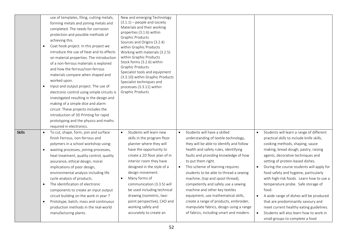|               | use of templates, filing, cutting metals,<br>forming metals and joining metals and<br>completed. The needs for corrosion<br>protection and possible methods of<br>achieving this.<br>Coat hook project. In this project we<br>$\bullet$<br>introduce the use of heat and its effects<br>on material properties. The introduction<br>of a non-ferrous materials is explored<br>and how the ferrous/non-ferrous<br>materials compare when shaped and<br>worked upon.<br>Input and output project. The use of<br>$\bullet$<br>electronic control using simple circuits is<br>investigated resulting in the design and<br>making of a simple dice and alarm<br>circuit. These projects includes the<br>introduction of 3D Printing for rapid<br>prototyping and the physics and maths<br>required in electronics. | New and emerging Technology<br>$(3.1.1)$ – people and society<br>Materials and their working<br>properties (3.1.6) within<br><b>Graphic Products</b><br>Sources and Origins (3.2.4)<br>within Graphic Products<br>Working with materials (3.2.5)<br>within Graphic Products<br>Stock forms (3.2.6) within<br>Graphic Products<br>Specialist tools and equipment<br>(3.3.10) within Graphic Products<br>Specialist techniques and<br>processes (3.3.11) within<br><b>Graphic Products</b> |                                                                                                                                                                                                                                                                                                                                                                                                                                                                                                                                                                                                                      |                                                                                                                                                                                                                                                                                                                                                                                                                                                                                                                                                                                                                                                                |
|---------------|---------------------------------------------------------------------------------------------------------------------------------------------------------------------------------------------------------------------------------------------------------------------------------------------------------------------------------------------------------------------------------------------------------------------------------------------------------------------------------------------------------------------------------------------------------------------------------------------------------------------------------------------------------------------------------------------------------------------------------------------------------------------------------------------------------------|------------------------------------------------------------------------------------------------------------------------------------------------------------------------------------------------------------------------------------------------------------------------------------------------------------------------------------------------------------------------------------------------------------------------------------------------------------------------------------------|----------------------------------------------------------------------------------------------------------------------------------------------------------------------------------------------------------------------------------------------------------------------------------------------------------------------------------------------------------------------------------------------------------------------------------------------------------------------------------------------------------------------------------------------------------------------------------------------------------------------|----------------------------------------------------------------------------------------------------------------------------------------------------------------------------------------------------------------------------------------------------------------------------------------------------------------------------------------------------------------------------------------------------------------------------------------------------------------------------------------------------------------------------------------------------------------------------------------------------------------------------------------------------------------|
| <b>Skills</b> | To cut, shape, form, join and surface<br>finish Ferrous, non-ferrous and<br>polymers in a school workshop using:<br>wasting processes, joining processes,<br>$\bullet$<br>heat treatment, quality control, quality<br>assurance, ethical design, moral<br>implications of poor design,<br>environmental analysis including life<br>cycle analysis of products.<br>The identification of electronic<br>$\bullet$<br>components to create an input output<br>circuit building on the work in year 7<br>Prototype, batch, mass and continuous<br>$\bullet$<br>production methods in the real-world<br>manufacturing plants.                                                                                                                                                                                      | Students will learn new<br>skills in the program floor<br>planner where they will<br>have the opportunity to<br>create a 2D floor plan of in<br>interior room they have<br>designed in the style of a<br>design movement.<br>Many forms of<br>communication (3.3.5) will<br>be used including technical<br>drawing (isometric, two-<br>point perspective), CAD and<br>working safely and<br>accurately to create an                                                                      | Students will have a skilled<br>$\bullet$<br>understanding of textile technology,<br>they will be able to identify and follow<br>health and safety rules, identifying<br>faults and providing knowledge of how<br>to put them right.<br>This scheme of learning requires<br>$\bullet$<br>students to be able to thread a sewing<br>machine, (top and spool thread),<br>competently and safely use a sewing<br>machine and other key textiles<br>equipment, use mathematical skills,<br>create a range of products, embroider,<br>manipulate fabrics, design using a range<br>of fabrics, including smart and modern. | Students will learn a range of different<br>$\bullet$<br>practical skills to include knife skills,<br>cooking methods, shaping, sauce<br>making, bread dough, pastry, raising<br>agents, decorative techniques and<br>setting of protein-based dishes.<br>During the course students will apply for<br>food safety and hygiene, particularly<br>with high-risk foods. Learn how to use a<br>temperature probe. Safe storage of<br>food.<br>A wide range of dishes will be produced<br>$\bullet$<br>that are predominantly savoury and<br>meet current healthy eating guidelines.<br>Students will also learn how to work in<br>small groups to complete a food |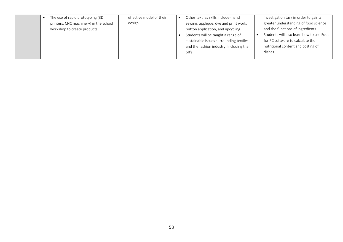|  | The use of rapid prototyping (3D<br>printers, CNC machinery) in the school<br>workshop to create products. | effective model of their<br>design. |  | Other textiles skills include- hand<br>sewing, applique, dye and print work,<br>button application, and upcycling.<br>Students will be taught a range of<br>sustainable issues surrounding textiles<br>and the fashion industry, including the<br>6R's. |  | investigation task in order to gain a<br>greater understanding of food science<br>and the functions of ingredients.<br>Students will also learn how to use Food<br>for PC software to calculate the<br>nutritional content and costing of<br>dishes. |
|--|------------------------------------------------------------------------------------------------------------|-------------------------------------|--|---------------------------------------------------------------------------------------------------------------------------------------------------------------------------------------------------------------------------------------------------------|--|------------------------------------------------------------------------------------------------------------------------------------------------------------------------------------------------------------------------------------------------------|
|--|------------------------------------------------------------------------------------------------------------|-------------------------------------|--|---------------------------------------------------------------------------------------------------------------------------------------------------------------------------------------------------------------------------------------------------------|--|------------------------------------------------------------------------------------------------------------------------------------------------------------------------------------------------------------------------------------------------------|